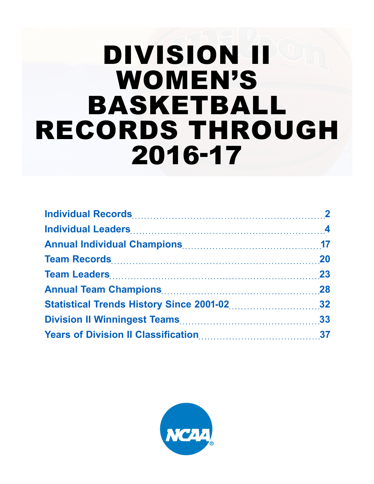# DIVISION II WOMEN'S BASKETBALL RECORDS THROUGH 2016-17

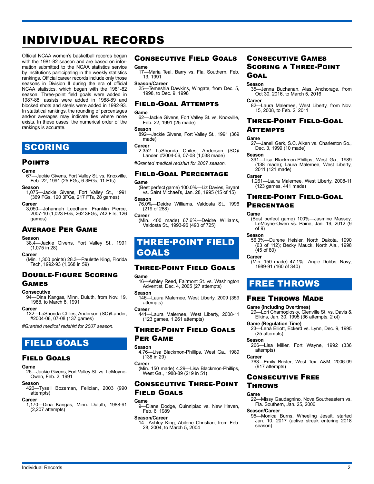# INDIVIDUAL RECORDS

Official NCAA women's basketball records began with the 1981-82 season and are based on information submitted to the NCAA statistics service by institutions participating in the weekly statistics rankings. Official career records include only those seasons in Division II during the era of official NCAA statistics, which began with the 1981-82 season. Three-point field goals were added in 1987-88, assists were added in 1988-89 and blocked shots and steals were added in 1992-93. In statistical rankings, the rounding of percentages and/or averages may indicate ties where none exists. In these cases, the numerical order of the rankings is accurate.

## **SCORING**

#### **POINTS**

#### **Game**

67—Jackie Givens, Fort Valley St. vs. Knoxville, Feb. 22, 1991 (25 FGs, 6 3FGs, 11 FTs)

## **Season**<br>-1.075

1,075—Jackie Givens, Fort Valley St., 1991 (369 FGs, 120 3FGs, 217 FTs, 28 games)

#### **Career**

3,050—Johannah Leedham, Franklin Pierce, 2007-10 (1,023 FGs, 262 3FGs, 742 FTs, 126 games)

#### Average Per Game

#### **Season**

38.4—Jackie Givens, Fort Valley St., 1991  $(1,075$  in 28)

#### **Career**

(Min. 1,300 points) 28.3—Paulette King, Florida Tech, 1992-93 (1,668 in 59)

#### Double-Figure Scoring Games

#### **Consecutive**

94—Dina Kangas, Minn. Duluth, from Nov. 19, 1988, to March 8, 1991

#### **Career**

132—LaShonda Chiles, Anderson (SC)/Lander, #2004-06, 07-08 (137 games)

*#Granted medical redshirt for 2007 season.*

## FIELD GOALS

#### Field Goals

#### **Game**

26—Jackie Givens, Fort Valley St. vs. LeMoyne-Owen, Feb. 2, 1991

## **Season**

420—Tysell Bozeman, Felician, 2003 (990 attempts)

#### **Career**

1,170—Dina Kangas, Minn. Duluth, 1988-91 (2,207 attempts)

#### Consecutive Field Goals

#### **Game**

17—Maria Teal, Barry vs. Fla. Southern, Feb. 13, 1991

#### **Season/Career**

25—Temeshia Dawkins, Wingate, from Dec. 5, 1998, to Dec. 9, 1998

#### Field-Goal Attempts

**Game** 62—Jackie Givens, Fort Valley St. vs. Knoxville, Feb. 22, 1991 (25 made)

#### **Season**

892—Jackie Givens, Fort Valley St., 1991 (369 made)

#### **Career**

2,352—LaShonda Chiles, Anderson (SC)/ Lander, #2004-06, 07-08 (1,038 made)

*#Granted medical redshirt for 2007 season.*

#### Field-Goal Percentage

#### **Game**

(Best perfect game) 100.0%—Liz Davies, Bryant vs. Saint Michael's, Jan. 28, 1995 (15 of 15)

**Season**<br>-76.0% 76.0%—Deidre Williams, Valdosta St., 1996 (219 of 288)

**Career**

(Min. 400 made) 67.6%—Deidre Williams, Valdosta St., 1993-96 (490 of 725)

## THREE-POINT FIELD GOALS

#### Three-Point Field Goals

#### **Game**

16—Ashley Reed, Fairmont St. vs. Washington Adventist, Dec. 4, 2005 (27 attempts)

#### **Season**

146—Laura Malernee, West Liberty, 2009 (359 attempts)

#### **Career**

441—Laura Malernee, West Liberty, 2008-11 (123 games, 1,261 attempts)

#### Three-Point Field Goals Per Game

## **Season**<br>4.76-

-Lisa Blackmon-Phillips, West Ga., 1989  $(138 \text{ in } 29)$ 

#### **Career**

(Min. 150 made) 4.29—Lisa Blackmon-Phillips, West Ga., 1988-89 (219 in 51)

### Consecutive Three-Point Field Goals

#### **Game**

9—Diane Dodge, Quinnipiac vs. New Haven, Feb. 6, 1989

#### **Season/Career**

14—Ashley King, Abilene Christian, from Feb. 28, 2004, to March 5, 2004

Individual Records 2

## Consecutive Games Scoring a Three-Point **GOAL**

#### **Season**

35—Jenna Buchanan, Alas. Anchorage, from Oct 30. 2016, to March 5, 2016

#### **Career**

82—Laura Malernee, West Liberty, from Nov. 15, 2008, to Feb. 2, 2011

#### Three-Point Field-Goal **ATTEMPTS**

### **Game**

27—Janell Gerk, S.C. Aiken vs. Charleston So., Dec. 3, 1999 (10 made)

#### **Season**

391—Lisa Blackmon-Phillips, West Ga., 1989 (138 made); Laura Malernee, West Liberty, 2011 (121 made)

#### **Career**

1,261—Laura Malernee, West Liberty, 2008-11 (123 games, 441 made)

## Three-Point Field-Goal

## **PERCENTAGE**

#### **Game**

(Best perfect game) 100%—Jasmine Massey, LeMoyne-Owen vs. Paine, Jan. 19, 2012 (9 of 9)

#### **Season**

56.3%—Durene Heisler, North Dakota, 1990 (63 of 112); Becky Mauck, North Ala., 1998 (45 of 80)

#### **Career**

(Min. 150 made) 47.1%—Angie Dobbs, Navy, 1989-91 (160 of 340)

## FREE THROWS

#### Free Throws Made

#### **Game (Including Overtimes)**

29—Lori Charnoplosky, Glenville St. vs. Davis & Elkins, Jan. 30, 1995 (36 attempts, 2 ot)

**Game (Regulation Time)** 

#### 23—Lena Elliott, Eckerd vs. Lynn, Dec. 9, 1995 (25 attempts)

#### **Season**

266—Lisa Miller, Fort Wayne, 1992 (336 attempts)

#### **Career**

763—Emily Brister, West Tex. A&M, 2006-09 (917 attempts)

### Consecutive Free **THROWS**

#### **Game**

**Season/Career**

season)

22—Missy Gaudagnino, Nova Southeastern vs. Fla. Southern, Jan. 25, 2006

95—Monica Burns, Wheeling Jesuit, started Jan. 10, 2017 (active streak entering 2018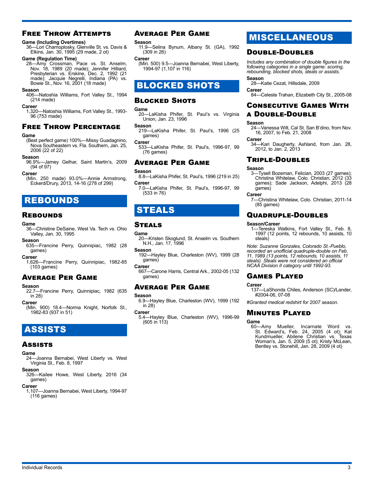## Free Throw Attempts

#### **Game (Including Overtimes)**

36—Lori Charnoplosky, Glenville St. vs. Davis & Elkins, Jan. 30, 1995 (29 made, 2 ot)

#### **Game (Regulation Time)**

28—Amy Crossman, Pace vs. St. Anselm, Nov. 18, 1989 (20 made); Jennifer Hilliard, Presbyterian vs. Erskine, Dec. 2, 1992 (21 made); Jacquie Negrelli, Indiana (PA) vs. Bowie St., Nov. 16, 2001 (18 made)

#### **Season**

406—Natoshia Williams, Fort Valley St., 1994 (214 made)

#### **Career**

1,320—Natoshia Williams, Fort Valley St., 1993- 96 (753 made)

#### Free Throw Percentage

#### **Game**

(Best perfect game) 100%—Missy Guadagnino, Nova Southeastern vs. Fla. Southern, Jan. 25, 2006 (22 of 22)

#### **Season**

96.9%—Jamey Gelhar, Saint Martin's, 2009 (94 of 97)

#### **Career**

(Min. 250 made) 93.0%—Annie Armstrong, Eckerd/Drury, 2013, 14-16 (278 of 299)

## REBOUNDS

#### **REBOUNDS**

## Game<br>
36–

<sub>-</sub><br>Christine DeSaine, West Va. Tech vs. Ohio Valley, Jan. 30, 1995

**Season** 635—Francine Perry, Quinnipiac, 1982 (28 games)

#### **Career**

1,626—Francine Perry, Quinnipiac, 1982-85 (103 games)

#### Average Per Game

#### **Season**

22.7—Francine Perry, Quinnipiac, 1982 (635 in 28)

**Career**

(Min. 900) 18.4—Norma Knight, Norfolk St., 1982-83 (937 in 51)

## ASSISTS

#### Assists

#### **Game**

24—Joanna Bernabei, West Liberty vs. West Virginia St., Feb. 8, 1997

#### **Season**

326—Kailee Howe, West Liberty, 2016 (34 games)

#### **Career**

1,107—Joanna Bernabei, West Liberty, 1994-97 (116 games)

#### Average Per Game

#### **Season**

11.9—Selina Bynum, Albany St. (GA), 1992 (309 in 26)

**Career**

(Min. 500) 9.5—Joanna Bernabei, West Liberty, 1994-97 (1,107 in 116)

## BLOCKED SHOTS

#### **BLOCKED SHOTS**

Game<br>
20–

-LaKisha Phifer, St. Paul's vs. Virginia Union, Jan. 23, 1996

**Season**

219—LaKisha Phifer, St. Paul's, 1996 (25 games)

**Career**

533—LaKisha Phifer, St. Paul's, 1996-97, 99 (76 games)

#### Average Per Game

#### **Season**

- 8.8—LaKisha Phifer, St. Paul's, 1996 (219 in 25) **Career**
- 7.0—LaKisha Phifer, St. Paul's, 1996-97, 99 (533 in 76)

## STEALS

#### **STEALS**

#### **Game**

20—Kristen Skoglund, St. Anselm vs. Southern N.H., Jan. 17, 1996

**Season** 192—Hayley Blue, Charleston (WV), 1999 (28 games)

**Career**

667—Carone Harris, Central Ark., 2002-05 (132 games)

#### Average Per Game

#### **Season**

6.9—Hayley Blue, Charleston (WV), 1999 (192 in 28)

**Career**

5.4—Hayley Blue, Charleston (WV), 1996-99 (605 in 113)

## MISCELLANEOUS

#### Double-Doubles

*Includes any combination of double figures in the following categories in a single game: scoring, rebounding, blocked shots, steals or assists.*

**Season**

28—Katie Cezat, Hillsdale, 2009

Career<br> **Career** -Celeste Trahan, Elizabeth City St., 2005-08

## Consecutive Games With a Double-Double

#### **Season**

24—Vanessa Wilt, Cal St. San B'dino, from Nov. 16, 2007, to Feb. 21, 2008

**Career**

**..**<br>–Kari Daugherty, Ashland, from Jan. 28, 2012, to Jan. 2, 2013

#### Triple-Doubles

#### **Season**

3—Tysell Bozeman, Felician, 2003 (27 games); Christina Whitelaw, Colo. Christian, 2012 (33 games); Sade Jackson, Adelphi, 2013 (28 games)

#### **Career**

7—Christina Whitelaw, Colo. Christian, 2011-14 (85 games)

#### Quadruple-Doubles

#### **Season/Career**

1—Tereska Watkins, Fort Valley St., Feb. 8, 1997 (12 points, 12 rebounds, 10 assists, 10 steals)

*Note: Suzanne Gonzales, Colorado St.-Pueblo, recorded an unofficial quadruple-double on Feb. 11, 1989 (13 points, 12 rebounds, 10 assists, 11 steals). Steals were not considered an official NCAA Division II category until 1992-93.*

#### Games Played

#### **Career**

137—LaShonda Chiles, Anderson (SC)/Lander, #2004-06, 07-08

*#Granted medical redshirt for 2007 season.*

#### Minutes Played

Game<br>60-Amy 60—Amy Mueller, Incarnate Word vs. St. Edward's, Feb. 24, 2005 (4 ot); Kat Kundmueller, Abilene Christian vs. Texas Woman's, Jan. 5, 2009 (5 ot); Kristy McLean, Bentley vs. Stonehill, Jan. 28, 2009 (4 ot)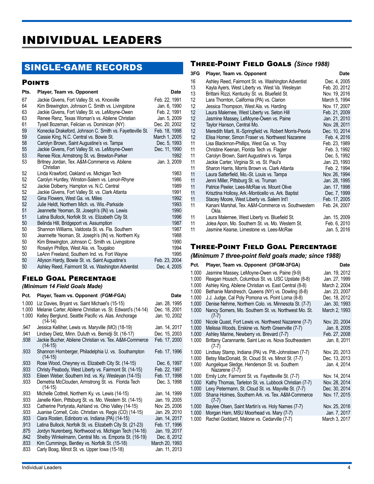## INDIVIDUAL LEADERS

## SINGLE-GAME RECORDS

#### **POINTS**

| Pts.                       | Player, Team vs. Opponent                                                                                                                                                                                                                                                                           | Date                                                                                     |
|----------------------------|-----------------------------------------------------------------------------------------------------------------------------------------------------------------------------------------------------------------------------------------------------------------------------------------------------|------------------------------------------------------------------------------------------|
| 67<br>64<br>63<br>63<br>61 | Jackie Givens, Fort Valley St. vs. Knoxville<br>Kim Brewington, Johnson C. Smith vs. Livingstone<br>Jackie Givens, Fort Valley St. vs. LeMoyne-Owen<br>Renee Renz, Texas Woman's vs. Abilene Christian                                                                                              | Feb. 22, 1991<br>Jan. 6, 1990<br>Feb. 2, 1991<br>Jan. 5, 2009                            |
| 59<br>59<br>58<br>55<br>53 | Tysell Bozeman, Felician vs. Dominican (NY)<br>Konecka Drakeford, Johnson C. Smith vs. Fayetteville St.<br>Cassie King, N.C. Central vs. Bowie St.<br>Carolyn Brown, Saint Augustine's vs. Tampa<br>Jackie Givens, Fort Valley St. vs. LeMoyne-Owen<br>Renee Rice, Armstrong St. vs. Brewton-Parker | Dec. 20, 2002<br>Feb. 18, 1998<br>March 1, 2005<br>Dec. 5, 1993<br>Dec. 11, 1990<br>1992 |
| 53                         | Britney Jordan, Tex. A&M-Commerce vs. Abilene<br>Christian                                                                                                                                                                                                                                          | Jan. 3, 2009                                                                             |
| 52                         | Linda Krawford, Oakland vs. Michigan Tech                                                                                                                                                                                                                                                           | 1983                                                                                     |
| 52                         | Carolyn Huntley, Winston-Salem vs. Lenoir-Rhyne                                                                                                                                                                                                                                                     | 1986                                                                                     |
| 52                         | Jackie Dolberry, Hampton vs. N.C. Central                                                                                                                                                                                                                                                           | 1989                                                                                     |
| 52                         | Jackie Givens, Fort Valley St. vs. Clark Atlanta                                                                                                                                                                                                                                                    | 1991                                                                                     |
| 52                         | Gina Flowers, West Ga. vs. Miles                                                                                                                                                                                                                                                                    | 1992                                                                                     |
| 52                         | Julie Heldt, Northern Mich. vs. Wis.-Parkside                                                                                                                                                                                                                                                       | 1993                                                                                     |
| 51                         | Jeannette Yeoman, St. Joseph's (IN) vs. Lewis                                                                                                                                                                                                                                                       | 1990                                                                                     |
| 51                         | Latina Bullock, Norfolk St. vs. Elizabeth City St.                                                                                                                                                                                                                                                  | 1996                                                                                     |
| 50                         | Belinda Hill, Bridgeport vs. Assumption                                                                                                                                                                                                                                                             | 1987                                                                                     |
| 50                         | Shannon Williams, Valdosta St. vs. Fla. Southern                                                                                                                                                                                                                                                    | 1987                                                                                     |
| 50                         | Jeannette Yeoman, St. Joseph's (IN) vs. Northern Ky.                                                                                                                                                                                                                                                | 1988                                                                                     |
| 50                         | Kim Brewington, Johnson C. Smith vs. Livingstone                                                                                                                                                                                                                                                    | 1990                                                                                     |
| 50                         | Rosalyn Phillips, West Ala. vs. Tougaloo                                                                                                                                                                                                                                                            | 1994                                                                                     |
| 50                         | LeAnn Freeland, Southern Ind. vs. Fort Wayne                                                                                                                                                                                                                                                        | 1995                                                                                     |
| 50                         | Allyson Hardy, Bowie St. vs. Saint Augustine's                                                                                                                                                                                                                                                      | Feb. 23, 2004                                                                            |
| 50                         | Ashley Reed, Fairmont St. vs. Washington Adventist                                                                                                                                                                                                                                                  | Dec. 4, 2005                                                                             |

### Field Goal Percentage

*(Minimum 14 Field Goals Made)*

| Pct.           | Player, Team vs. Opponent (FGM-FGA)                                                                          | Date                           |  |
|----------------|--------------------------------------------------------------------------------------------------------------|--------------------------------|--|
| 1.000<br>1.000 | Liz Davies, Bryant vs. Saint Michael's (15-15)<br>Melanie Carter, Abilene Christian vs. St. Edward's (14-14) | Jan. 28, 1995<br>Dec. 18, 2001 |  |
| 1.000          | Kelley Berglund, Seattle Pacific vs. Alas. Anchorage<br>$(14-14)$                                            | Jan. 10, 2002                  |  |
| .947           | Jessica Kelliher, Lewis vs. Maryville (MO) (18-19)                                                           | Jan. 14, 2017                  |  |
| .941           | Lindsey Dietz, Minn. Duluth vs. Bemidji St. (16-17)                                                          | Dec. 15, 2003                  |  |
| .938           | Jackie Bucher, Abilene Christian vs. Tex. A&M-Commerce<br>$(14-15)$                                          | Feb. 17, 2000                  |  |
| .933           | Shannon Hornberger, Philadelphia U. vs. Southampton<br>$(14-15)$                                             | Feb. 17, 1996                  |  |
| .933           | Rose Wood, Cheyney vs. Elizabeth City St. (14-15)                                                            | Dec. 6, 1997                   |  |
| .933           | Christy Peabody, West Liberty vs. Fairmont St. (14-15)                                                       | Feb. 22, 1997                  |  |
| .933           | Eileen Weber, Southern Ind. vs. Ky. Wesleyan (14-15)                                                         | Feb. 17, 1998                  |  |
| .933           | Demetria McClouden, Armstrong St. vs. Florida Tech<br>$(14-15)$                                              | Dec. 3, 1998                   |  |
| .933           | Michelle Cottrell, Northern Ky. vs. Lewis (14-15)                                                            | Jan. 14, 1999                  |  |
| .933           | Janelle Klein, Pittsburg St. vs. Mo. Western St. (14-15)                                                     | Jan. 19, 2005                  |  |
| .933           | Catherine Portyrata, Ashland vs. Ohio Valley (14-15)                                                         | Nov. 25, 2006                  |  |
| .933           | Juanise Cornell, Colo. Christian vs. Regis (CO) (14-15)                                                      | Jan. 29, 2010                  |  |
| .933           | Ciara Rosten, Edinboro vs. Indiana (PA) (14-15)                                                              | Jan. 14, 2017                  |  |
| .913           | Latina Bullock, Norfolk St. vs. Elizabeth City St. (21-23)                                                   | Feb. 17, 1996                  |  |
| .875           | Jordyn Nurenberg, Northwood vs. Michigan Tech (14-16)                                                        | Jan. 19, 2017                  |  |
| .842           | Shelby Winkelmann, Central Mo. vs. Emporia St. (16-19)                                                       | Dec. 8, 2012                   |  |
| .833           | Kim Cummings, Bentley vs. Norfolk St. (15-18)                                                                | March 20, 1993                 |  |
| .833           | Carly Boag, Minot St. vs. Upper Iowa (15-18)                                                                 | Jan. 11, 2013                  |  |

#### Three-Point Field Goals *(Since 1988)*

| 3FG      | Player, Team vs. Opponent                                                                             | Date                          |
|----------|-------------------------------------------------------------------------------------------------------|-------------------------------|
| 16<br>13 | Ashley Reed, Fairmont St. vs. Washington Adventist<br>Kayla Ayers, West Liberty vs. West Va. Wesleyan | Dec. 4, 2005<br>Feb. 20, 2012 |
| 13       | Brittani Rizzi, Kentucky St. vs. Bluefield St.                                                        | Nov. 19, 2016                 |
| 12       | Lara Thornton, California (PA) vs. Clarion                                                            | March 5, 1994                 |
| 12       | Jessica Thompson, West Ala. vs. Harding                                                               | Nov. 17, 2007                 |
| 12       | Laura Malernee, West Liberty vs. Seton Hill                                                           | Feb. 21, 2009                 |
| 12       | Jasmine Massey, LeMoyne-Owen vs. Paine                                                                | Jan. 21, 2010                 |
| 12       | Taylor Hanson, Central Mo.                                                                            | Nov. 28, 2011                 |
| 12       | Meredith Marti, III.-Springfield vs. Robert Morris-Peoria                                             | Dec. 10, 2014                 |
| 12       | Elisa Homer, Simon Fraser vs. Northwest Nazarene                                                      | Feb. 4, 2016                  |
| 11       | Lisa Blackmon-Phillips, West Ga. vs. Troy                                                             | Feb. 23, 1989                 |
| 11       | Christine Keenan, Florida Tech vs. Flagler                                                            | Feb. 3, 1992                  |
| 11       | Carolyn Brown, Saint Augustine's vs. Tampa                                                            | Dec. 5, 1992                  |
| 11       | Jackie Carter, Virginia St. vs. St. Paul's                                                            | Jan. 23, 1993                 |
| 11       | Sharon Harris, Morris Brown vs. Clark Atlanta                                                         | Feb. 2, 1994                  |
| 11       | Laura Satterfield, Mo.-St. Louis vs. Tampa                                                            | Nov. 26, 1994                 |
| 11       | Jenni Miller, Pittsburg St. vs. Truman                                                                | Jan. 28, 1995                 |
| 11       | Patrice Peeler, Lees-McRae vs. Mount Olive                                                            | Jan. 17, 1998                 |
| 11       | Krisztina Hollosy, Ark.-Monticello vs. Ark. Baptist                                                   | Dec. 7, 1999                  |
| 11       | Stacey Moore, West Liberty vs. Salem Int'l                                                            | Feb. 17, 2005                 |
| 11       | Kanani Marshal, Tex. A&M-Commerce vs. Southwestern<br>Okla.                                           | Feb. 24, 2007                 |
| 11       | Laura Malernee, West Liberty vs. Bluefield St.                                                        | Jan. 15, 2009                 |
| 11       | Jolea Apon, Mo. Southern St. vs. Mo. Western St.                                                      | Feb. 6, 2010                  |
| 11       | Jasmine Kearse, Limestone vs. Lees-McRae                                                              | Jan. 5, 2016                  |

### Three-Point Field Goal Percentage

### *(Minimum 7 three-point field goals made; since 1988)*

| Pct.  | Player, Team vs. Opponent (3FGM-3FGA)                           | <b>Date</b>   |
|-------|-----------------------------------------------------------------|---------------|
| 1.000 | Jasmine Massey, LeMoyne-Owen vs. Paine (9-9)                    | Jan. 19, 2012 |
| 1.000 | Reagan Housch, Columbus St. vs. USC Upstate (8-8)               | Jan. 27, 1999 |
| 1.000 | Ashley King, Abilene Christian vs. East Central (8-8)           | March 2, 2004 |
| 1.000 | Bethanie Mandresch, Queens (NY) vs. Dowling (8-8)               | Jan. 23, 2007 |
| 1.000 | J.J. Judge, Cal Poly Pomona vs. Point Loma (8-8)                | Dec. 18, 2012 |
| 1.000 | Denise Nehme, Northern Colo. vs. Minnesota St. (7-7)            | Jan. 30, 1993 |
| 1.000 | Nancy Somers, Mo. Southern St. vs. Northwest Mo. St.<br>$(7-7)$ | March 2, 1993 |
| 1.000 | Nicole Quast, Fort Lewis vs. Northwest Nazarene (7-7)           | Nov. 20, 2004 |
| 1.000 | Melissa Woods, Erskine vs. North Greenville (7-7)               | Jan. 8, 2005  |
| 1.000 | Ashley Marine, Newberry vs. Brevard (7-7)                       | Feb. 27, 2008 |
| 1.000 | Brittany Carannante, Saint Leo vs. Nova Southeastern<br>$(7-7)$ | Jan. 8, 2011  |
| 1.000 | Lindsay Stamp, Indiana (PA) vs. Pitt.-Johnstown (7-7)           | Nov. 20, 2013 |
| 1.000 | Betsy MacDonald, St. Cloud St. vs. Minot St. (7-7)              | Dec. 13, 2013 |
| 1.000 | Aungelique Sledge, Henderson St. vs. Southern<br>Nazarene (7-7) | Jan. 4, 2014  |
| 1.000 | Emily Lohr, Fairmont St. vs. Fayetteville St. (7-7)             | Nov. 14, 2014 |
| 1.000 | Kathy Thomas, Tarleton St. vs. Lubbock Christian (7-7)          | Nov. 28, 2014 |
| 1.000 | Lexy Petermann, St. Cloud St. vs. Mayville St. (7-7)            | Dec. 30, 2014 |
| 1.000 | Shana Holmes, Southern Ark. vs. Tex. A&M-Commerce<br>$(7-7)$    | Nov. 17, 2015 |
| 1.000 | Baylee Olsen, Saint Martin's vs. Holy Names (7-7)               | Nov. 25, 2016 |
| 1.000 | Morgan Ham, MSU Moorhead vs. Mary (7-7)                         | Jan. 7, 2017  |
| 1.000 | Rachel Goddard, Malone vs. Cedarville (7-7)                     | March 3, 2017 |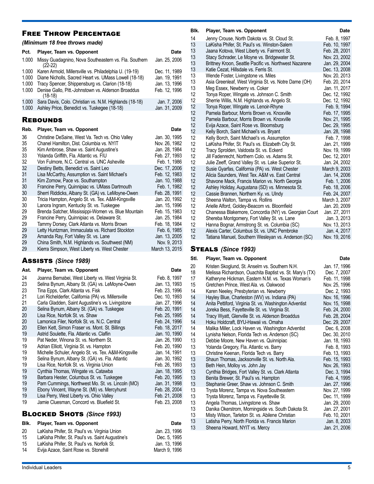### Free Throw Percentage

#### *(Minimum 18 free throws made)*

| Pct.                                                                 | Player, Team vs. Opponent                                                                                                                                                                                                                                                                                                                                                                                                                                                                                                                                                | Date                                                                                                                                                                                                   |
|----------------------------------------------------------------------|--------------------------------------------------------------------------------------------------------------------------------------------------------------------------------------------------------------------------------------------------------------------------------------------------------------------------------------------------------------------------------------------------------------------------------------------------------------------------------------------------------------------------------------------------------------------------|--------------------------------------------------------------------------------------------------------------------------------------------------------------------------------------------------------|
| 1.000                                                                | Missy Guadagnino, Nova Southeastern vs. Fla. Southern<br>$(22-22)$                                                                                                                                                                                                                                                                                                                                                                                                                                                                                                       | Jan. 25, 2006                                                                                                                                                                                          |
| 1.000<br>1.000<br>1.000<br>1.000                                     | Karen Armold, Millersville vs. Philadelphia U. (19-19)<br>Diane Nicholls, Sacred Heart vs. UMass Lowell (18-18)<br>Tracy Spencer, Shippensburg vs. Clarion (18-18)<br>Denise Gallo, Pitt.-Johnstown vs. Alderson Broaddus<br>$(18-18)$                                                                                                                                                                                                                                                                                                                                   | Dec. 11, 1989<br>Jan. 19, 1991<br>Jan. 13, 1996<br>Feb. 12, 1996                                                                                                                                       |
| 1.000<br>1.000                                                       | Sara Davis, Colo. Christian vs. N.M. Highlands (18-18)<br>Ashley Price, Benedict vs. Tuskegee (18-18)                                                                                                                                                                                                                                                                                                                                                                                                                                                                    | Jan. 7, 2006<br>Jan. 31, 2009                                                                                                                                                                          |
|                                                                      | <b>REBOUNDS</b>                                                                                                                                                                                                                                                                                                                                                                                                                                                                                                                                                          |                                                                                                                                                                                                        |
| Reb.                                                                 | Player, Team vs. Opponent                                                                                                                                                                                                                                                                                                                                                                                                                                                                                                                                                | Date                                                                                                                                                                                                   |
| 36<br>35<br>35<br>33<br>32<br>32<br>31<br>31<br>30<br>30<br>30<br>30 | Christine DeSaine, West Va. Tech vs. Ohio Valley<br>Chanel Hamilton, Dist. Columbia vs. NYIT<br>Kim Ambrose, Shaw vs. Saint Augustine's<br>Yolanda Griffith, Fla. Atlantic vs. FIU<br>Von Fulmore, N.C. Central vs. UNC Asheville<br>Destiny Betts, Benedict vs. Saint Leo<br>Lisa McCarthy, Assumption vs. Saint Michael's<br>Kim Zornow, Pace vs. Southampton<br>Francine Perry, Quinnipiac vs. UMass Dartmouth<br>Sherri Riddicks, Albany St. (GA) vs. LeMoyne-Owen<br>Tricia Hampton, Angelo St. vs. Tex. A&M-Kingsville<br>Lanora Ingram, Kentucky St. vs. Tuskegee | Jan. 30, 1995<br>Nov. 26, 1982<br>Jan. 28, 1984<br>Feb. 27, 1993<br>Feb. 1, 1986<br>Dec. 17, 2006<br>Feb. 12, 1983<br>Jan. 10, 1988<br>Feb. 1, 1982<br>Feb. 28, 1991<br>Jan. 20, 1992<br>Jan. 15, 1996 |
| 29<br>29<br>29                                                       | Brenda Satcher, Mississippi-Women vs. Blue Mountain<br>Francine Perry, Quinnipiac vs. Delaware St.<br>Tammy Dorsey, Clark Atlanta vs. Morris Brown                                                                                                                                                                                                                                                                                                                                                                                                                       | Feb. 15, 1983<br>Jan. 25, 1984<br>Feb. 18, 1984                                                                                                                                                        |
| 29<br>29<br>29<br>29                                                 | Letty Huntzman, Immaculata vs. Richard Stockton<br>Amanda Ray, Fort Valley St. vs. Lane<br>China Smith, N.M. Highlands vs. Southwest (NM)<br>Kierra Simpson, West Liberty vs. West Chester                                                                                                                                                                                                                                                                                                                                                                               | Feb. 6, 1985<br>Jan. 13, 2005<br>Nov. 9, 2013<br>March 13, 2015                                                                                                                                        |

#### Assists *(Since 1989)*

#### Ast. Player, Team vs. Opponent **Date Date**

| 24 | Joanna Bernabei, West Liberty vs. West Virginia St.                            | Feb. 8, 1997  |
|----|--------------------------------------------------------------------------------|---------------|
| 23 | Selina Bynum, Albany St. (GA) vs. LeMoyne-Owen                                 | Jan. 13, 1993 |
| 23 | Tina Epps, Clark Atlanta vs. Fisk                                              | Feb. 23, 1996 |
| 21 | Lori Richelderfer, California (PA) vs. Millersville                            | Dec. 10, 1993 |
| 21 | Carla Gladden, Saint Augustine's vs. Livingstone                               | Jan. 27, 1996 |
| 20 | Selina Bynum, Albany St. (GA) vs. Tuskegee                                     | Feb. 20, 1991 |
| 20 | Lisa Rice, Norfolk St. vs. Shaw                                                | Feb. 25, 1995 |
| 20 | Lamonica Filer, Norfolk St. vs. N.C. Central                                   | Feb. 24, 1996 |
| 20 | Ellen Kett, Simon Fraser vs. Mont. St. Billings                                | Feb. 18, 2017 |
| 19 | Astrid Soulette, Fla. Atlantic vs. Claflin                                     | Jan. 10, 1990 |
| 19 | Pat Neder, Winona St. vs. Northern St.                                         | Jan. 26, 1990 |
| 19 | Adrian Elliott, Virginia St. vs. Hampton                                       | Feb. 20, 1990 |
| 19 | Michelle Schuler, Angelo St. vs. Tex. A&M-Kingsville                           | Jan. 14, 1991 |
| 19 | Selina Bynum, Albany St. (GA) vs. Fla. Atlantic                                | Jan. 30, 1992 |
| 19 | Lisa Rice, Norfolk St. vs. Virginia Union                                      | Feb. 26, 1993 |
| 19 | Cynthia Thomas, Wingate vs. Catawba                                            | Jan. 18, 1995 |
| 19 | Barbara Hester, Columbus St. vs. Tuskegee                                      | Feb. 20, 1995 |
| 19 | Pam Cummings, Northwest Mo. St. vs. Lincoln (MO)                               | Jan. 31, 1998 |
| 19 | Ebony Vincent, Wayne St. (MI) vs. Mercyhurst                                   | Feb. 28, 2004 |
| 19 | Lisa Perry, West Liberty vs. Ohio Valley                                       | Feb. 21, 2008 |
| 19 | Jamie Cluesman, Concord vs. Bluefield St.<br><b>BLOCKED SHOTS (Since 1993)</b> | Feb. 23, 2008 |
|    |                                                                                |               |

## **Blk.** Player, Team vs. Opponent **Date Date** 20 LaKisha Phifer, St. Paul's vs. Virginia Union Jan. 23, 1996<br>15 LaKisha Phifer, St. Paul's vs. Saint Augustine's Dec. 5, 1995 15 LaKisha Phifer, St. Paul's vs. Saint Augustine's Dec. 5, 1995<br>15 LaKisha Phifer, St. Paul's vs. Norfolk St. (2008) Jan. 13, 1996 15 LaKisha Phifer, St. Paul's vs. Norfolk St. Jan. 13, 1996<br>14 Evija Azace, Saint Rose vs. Stonehill Jan. Jan. 13, 1996

Evija Azace, Saint Rose vs. Stonehill

| Blk.     | Player, Team vs. Opponent                                                         | <b>Date</b>                    |
|----------|-----------------------------------------------------------------------------------|--------------------------------|
| 14       | Jenny Crouse, North Dakota vs. St. Cloud St.                                      | Feb. 8, 1997                   |
| 13       | LaKisha Phifer, St. Paul's vs. Winston-Salem                                      | Feb. 10, 1997                  |
| 13       | Jaana Kotova, West Liberty vs. Fairmont St.                                       | Feb. 28, 2001                  |
| 13       | Stacy Schrader, Le Moyne vs. Bridgewater St.                                      | Nov. 23, 2002                  |
| 13       | Brittney Kroon, Seattle Pacific vs. Northwest Nazarene                            | Jan. 29, 2004                  |
| 13       | Katie Cezat, Hillsdale vs. Ferris St.                                             | Dec. 13, 2008                  |
| 13       | Wende Foster, Livingstone vs. Miles                                               | Nov. 20, 2013                  |
| 13       | Asia Greenleaf, West Virginia St. vs. Notre Dame (OH)                             | Feb. 20, 2014                  |
| 13       | Meg Essex, Newberry vs. Coker                                                     | Jan. 11, 2017                  |
| 12       | Tonya Roper, Wingate vs. Johnson C. Smith                                         | Dec. 12, 1992                  |
| 12       | Sherrie Willis, N.M. Highlands vs. Angelo St.                                     | Dec. 12, 1992                  |
| 12       | Tonya Roper, Wingate vs. Lenoir-Rhyne                                             | Feb. 9, 1994                   |
| 12<br>12 | Pamela Barbour, Morris Brown vs. Knoxville                                        | Feb. 17, 1995                  |
|          | Pamela Barbour, Morris Brown vs. Knoxville                                        | Nov. 21, 1995                  |
| 12<br>12 | Evija Azace, Saint Rose vs. Bloomsburg<br>Kelly Borch, Saint Michael's vs. Bryant | Dec. 29, 1995<br>Jan. 28, 1998 |
| 12       | Kelly Borch, Saint Michael's vs. Assumption                                       | Feb. 7, 1998                   |
| 12       | LaKisha Phifer, St. Paul's vs. Elizabeth City St.                                 | Jan. 21, 1999                  |
| 12       | Tracy Sprolden, Valdosta St. vs. Eckerd                                           | Nov. 19, 1999                  |
| 12       | Jill Fadenrecht, Northern Colo. vs. Adams St.                                     | Dec. 12, 2001                  |
| 12       | Julie Zeeff, Grand Valley St. vs. Lake Superior St.                               | Jan. 24, 2002                  |
| 12       | Susie Gyarfas, California (PA) vs. West Chester                                   | March 9, 2003                  |
| 12       | Alicia Saunders, West Tex. A&M vs. East Central                                   | Jan. 14, 2006                  |
| 12       | Shavone Mack, Francis Marion vs. North Georgia                                    | Feb. 1, 2006                   |
| 12       | Ashley Holiday, Augustana (SD) vs. Minnesota St.                                  | Feb. 18, 2006                  |
| 12       | Cassie Brannen, Northern Ky. vs. Ulndy                                            | Feb. 24, 2007                  |
| 12       | Sheena Walton, Tampa vs. Rollins                                                  | March 3, 2007                  |
| 12       | Arielle Alford, Goldey-Beacom vs. Bloomfield                                      | Jan. 20, 2009                  |
| 12       | Chanessa Blakemore, Concordia (NY) vs. Georgian Court                             | Jan. 27, 2011                  |
| 12       | Shereba Montgomery, Fort Valley St. vs. Lane                                      | Jan. 3, 2013                   |
| 12       | Hanna Bognar, Armstrong St. vs. Columbia (SC)                                     | Nov. 13, 2013                  |

12 Alexis Carter, Columbus St. vs. UNC Pembroke Jan. 4, 2017<br>12 Tatiana Manuel, Southern Wesleyan vs. Anderson (SC) Nov. 19, 2016 Tatiana Manuel, Southern Wesleyan vs. Anderson (SC)

#### Steals *(Since 1993)*

#### Stl. Player, Team vs. Opponent **Date Date**

| 20 | Kristen Skoglund, St. Anselm vs. Southern N.H.           | Jan. 17, 1996 |
|----|----------------------------------------------------------|---------------|
| 18 | Melissa Richardson, Ouachita Baptist vs. St. Mary's (TX) | Dec. 7, 2007  |
| 17 | Katheryne Hickman, Eastern N.M. vs. Texas Woman's        | Feb. 11, 1998 |
| 15 | Gretchen Prince, West Ala. vs. Oakwood                   | Nov. 25, 1996 |
| 14 | Karen Neeley, Presbyterian vs. Newberry                  | Dec. 2, 1993  |
| 14 | Hayley Blue, Charleston (WV) vs. Indiana (PA)            | Nov. 16, 1996 |
| 14 | Anita Pettiford, Virginia St. vs. Washington Adventist   | Nov. 15, 1998 |
| 14 | Joreka Bess, Fayetteville St. vs. Virginia St.           | Feb. 24, 2000 |
| 14 | Tracy Wyatt, Glenville St. vs. Alderson Broaddus         | Feb. 28, 2004 |
| 14 | Hoku Holdcraft, BYU-Hawaii vs. Omaha                     | Dec. 29, 2007 |
| 14 | Malika Miller, Lock Haven vs. Washington Adventist       | Dec. 6, 2008  |
| 14 | Lynisha Nelson, Florida Tech vs. Anderson (SC)           | Dec. 30, 2010 |
| 13 | Debbie Moore, New Haven vs. Quinnipiac                   | Jan. 18, 1993 |
| 13 | Yolanda Gregory, Fla. Atlantic vs. Barry                 | Feb. 8, 1993  |
| 13 | Christine Keenan, Florida Tech vs. Barry                 | Feb. 13, 1993 |
| 13 | Shaun Thomas, Jacksonville St. vs. North Ala.            | Feb. 15, 1993 |
| 13 | Beth Hein, Molloy vs. John Jay                           | Nov. 26, 1993 |
| 13 | Cynthia Bridges, Fort Valley St. vs. Clark Atlanta       | Dec. 3, 1994  |
| 13 | Benita Brewer, St. Paul's vs. Hampton                    | Feb. 4, 1995  |
| 13 | Stephanie Greer, Shaw vs. Johnson C. Smith               | Jan. 27, 1996 |
| 13 | Trysta Morenz, Tampa vs. Nova Southeastern               | Nov. 27, 1999 |
| 13 | Trysta Morenz, Tampa vs. Fayetteville St.                | Dec. 11, 1999 |
| 13 | Angela Thomas, Livingstone vs. Shaw                      | Jan. 29, 2000 |
| 13 | Danika Okerstrom, Morningside vs. South Dakota St.       | Jan. 27, 2001 |
| 13 | Misty Wilson, Tarleton St. vs. Abilene Christian         | Feb. 10, 2001 |
| 13 | Latisha Perry, North Florida vs. Francis Marion          | Jan. 8, 2003  |
| 13 | Sheena Howard, NYIT vs. Mercy                            | Jan. 21, 2006 |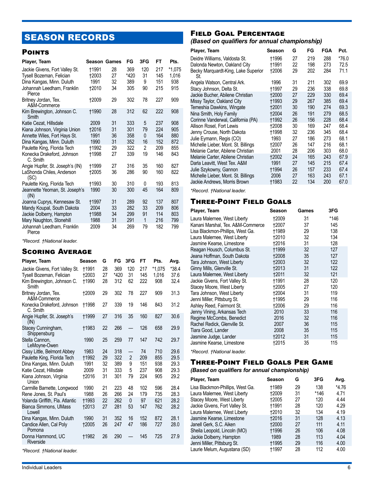## SEASON RECORDS

#### **POINTS**

| Player, Team                                                                                                         | <b>Season Games</b>                          |                      | FG                       | 3FG                 | FT                       | Pts.                     |
|----------------------------------------------------------------------------------------------------------------------|----------------------------------------------|----------------------|--------------------------|---------------------|--------------------------|--------------------------|
| Jackie Givens, Fort Valley St.<br>Tysell Bozeman, Felician<br>Dina Kangas, Minn. Duluth                              | †1991<br>12003<br>1991                       | 28<br>27<br>32       | 369<br>*420<br>389       | 120<br>31<br>9      | 217<br>145<br>151        | *1,075<br>1,016<br>938   |
| Johannah Leedham, Franklin<br>Pierce                                                                                 | 12010                                        | 34                   | 305                      | 90                  | 215                      | 915                      |
| Britney Jordan, Tex.<br>A&M-Commerce                                                                                 | †2009                                        | 29                   | 302                      | 78                  | 227                      | 909                      |
| Kim Brewington, Johnson C.<br>Smith                                                                                  | †1990                                        | 28                   | 312                      | 62                  | 222                      | 908                      |
| Katie Cezat, Hillsdale<br>Kiana Johnson, Virginia Union<br>Annette Wiles, Fort Hays St.<br>Dina Kangas, Minn. Duluth | 2009<br><b>†2016</b><br>1991<br>1990         | 31<br>31<br>36<br>31 | 333<br>301<br>358<br>352 | 5<br>79<br>0<br>16  | 237<br>224<br>164<br>152 | 908<br>905<br>880<br>872 |
| Paulette King, Florida Tech<br>Konecka Drakeford, Johnson<br>C. Smith                                                | †1992<br>†1998                               | 29<br>27             | 322<br>339               | 2<br>19             | 209<br>146               | 855<br>843               |
| Angie Hupfer, St. Joseph's (IN)<br>LaShonda Chiles, Anderson<br>(SC)                                                 | †1999<br>+2005                               | 27<br>36             | 316<br>286               | 35<br>90            | 160<br>160               | 827<br>822               |
| Paulette King, Florida Tech                                                                                          | †1993                                        | 30                   | 310                      | 0                   | 193                      | 813                      |
| Jeannette Yeoman, St. Joseph's<br>(IN)                                                                               | 1990                                         | 30                   | 300                      | 45                  | 164                      | 809                      |
| Joanna Cuprys, Kennesaw St.<br>Mandy Koupal, South Dakota<br>Jackie Dolberry, Hampton<br>Mary Naughton, Stonehill    | <b>+1997</b><br>2004<br><b>†1988</b><br>1988 | 31<br>33<br>34<br>31 | 289<br>282<br>299<br>291 | 92<br>33<br>91<br>1 | 137<br>209<br>114<br>216 | 807<br>806<br>803<br>799 |
| Johannah Leedham, Franklin<br>Pierce                                                                                 | 2009                                         | 34                   | 269                      | 79                  | 182                      | 799                      |

*\*Record. †National leader.*

#### Scoring Average

| Player, Team                                               | Season         | G        | FG          | 3FG                      | FT         | Pts.            | Avg.            |
|------------------------------------------------------------|----------------|----------|-------------|--------------------------|------------|-----------------|-----------------|
| Jackie Givens, Fort Valley St.<br>Tysell Bozeman, Felician | †1991<br>+2003 | 28<br>27 | 369<br>*420 | 120<br>31                | 217<br>145 | *1.075<br>1.016 | $*38.4$<br>37.6 |
| Kim Brewington, Johnson C.<br>Smith                        | †1990          | 28       | 312         | 62                       | 222        | 908             | 32.4            |
| Britney Jordan, Tex.<br>A&M-Commerce                       | 12009          | 29       | 302         | 78                       | 227        | 909             | 31.3            |
| Konecka Drakeford, Johnson<br>C. Smith                     | †1998          | 27       | 339         | 19                       | 146        | 843             | 31.2            |
| Angie Hupfer, St. Joseph's<br>(IN)                         | †1999          | 27       | 316         | 35                       | 160        | 827             | 30.6            |
| Stacey Cunningham,<br>Shippensburg                         | <b>†1983</b>   | 22       | 266         |                          | 126        | 658             | 29.9            |
| Stella Cannon.<br>LeMoyne-Owen                             | 1990           | 25       | 259         | 77                       | 147        | 742             | 29.7            |
| Cissy Little, Belmont Abbey                                | 1983           | 24       | 318         | $\overline{\phantom{0}}$ | 74         | 710             | 29.6            |
| Paulette King, Florida Tech                                | †1992          | 29       | 322         | 2                        | 209        | 855             | 29.5            |
| Dina Kangas, Minn. Duluth                                  | 1991           | 32       | 389         | 9                        | 151        | 938             | 29.3            |
| Katie Cezat, Hillsdale                                     | 2009           | 31       | 333         | 5                        | 237        | 908             | 29.3            |
| Kiana Johnson, Virginia<br>Union                           | <b>†2016</b>   | 31       | 301         | 79                       | 224        | 905             | 29.2            |
| Carmille Barnette, Longwood                                | 1990           | 21       | 223         | 48                       | 102        | 596             | 28.4            |
| Rene Jones, St. Paul's                                     | 1988           | 26       | 266         | 24                       | 179        | 735             | 28.3            |
| Yolanda Griffith, Fla. Atlantic                            | †1993          | 22       | 262         | 0                        | 97         | 621             | 28.2            |
| Bianca Simmons, UMass<br>Lowell                            | <b>†2013</b>   | 27       | 281         | 53                       | 147        | 762             | 28.2            |
| Dina Kangas, Minn. Duluth                                  | 1990           | 31       | 352         | 16                       | 152        | 872             | 28.1            |
| Candice Allen, Cal Poly<br>Pomona                          | <b>+2005</b>   | 26       | 247         | 47                       | 186        | 727             | 28.0            |
| Donna Hammond, UC<br>Riverside                             | <b>†1982</b>   | 26       | 290         |                          | 145        | 725             | 27.9            |
|                                                            |                |          |             |                          |            |                 |                 |

*\*Record. †National leader.*

## Field Goal Percentage

*(Based on qualifiers for annual championship)*

| Player, Team                               | Season | G  | FG  | FGA | Pct.    |
|--------------------------------------------|--------|----|-----|-----|---------|
| Deidre Williams, Valdosta St.              | †1996  | 27 | 219 | 288 | $*76.0$ |
| Dalonda Newton, Oakland City               | †1991  | 22 | 198 | 273 | 72.5    |
| Becky Marguardt-King, Lake Superior<br>St. | †2006  | 29 | 202 | 284 | 71.1    |
| Angela Watson, Central Ark.                | 1996   | 31 | 211 | 302 | 69.9    |
| Stacy Johnson, Delta St.                   | †1997  | 29 | 236 | 338 | 69.8    |
| Jackie Bucher, Abilene Christian           | 12000  | 27 | 229 | 330 | 69.4    |
| Missy Taylor, Oakland City                 | †1993  | 29 | 267 | 385 | 69.4    |
| Temeshia Dawkins, Wingate                  | +2001  | 30 | 190 | 274 | 69.3    |
| Nina Smith, Holy Family                    | +2004  | 26 | 191 | 279 | 68.5    |
| Corinne Vanderwal, California (PA)         | †1992  | 26 | 156 | 228 | 68.4    |
| Allison Rosel, Fort Lewis                  | †2008  | 30 | 169 | 247 | 68.4    |
| Jenny Crouse, North Dakota                 | †1998  | 32 | 236 | 345 | 68.4    |
| Julie Eymann, Regis (CO)                   | 1993   | 27 | 186 | 273 | 68.1    |
| Michelle Lieber, Mont. St. Billings        | +2007  | 26 | 147 | 216 | 68.1    |
| Melanie Carter, Abilene Christian          | 2001   | 28 | 206 | 303 | 68.0    |
| Melanie Carter, Abilene Christian          | †2002  | 24 | 165 | 243 | 67.9    |
| Darla Leavitt, West Tex. A&M               | 1991   | 27 | 145 | 215 | 67.4    |
| Julie Szykowny, Gannon                     | †1994  | 26 | 157 | 233 | 67.4    |
| Michelle Lieber, Mont. St. Billings        | 2006   | 27 | 163 | 243 | 67.1    |
| Jackie Andrews, Morris Brown               | †1983  | 22 | 134 | 200 | 67.0    |

*\*Record. †National leader.*

## Three-Point Field Goals

| Player, Team                      | Season       | Games | 3FG  |
|-----------------------------------|--------------|-------|------|
| Laura Malernee, West Liberty      | 12009        | 31    | *146 |
| Kanani Marshal, Tex. A&M-Commerce | 12007        | 37    | 145  |
| Lisa Blackmon-Phillips, West Ga.  | <b>†1989</b> | 29    | 138  |
| Laura Malernee, West Liberty      | +2010        | 32    | 134  |
| Jasmine Kearse, Limestone         | <b>t2016</b> | 31    | 128  |
| Reagan Housch, Columbus St.       | <b>+1999</b> | 32    | 127  |
| Jeana Hoffman, South Dakota       | 12008        | 35    | 127  |
| Tara Johnson, West Liberty        | <b>+2003</b> | 32    | 122  |
| Ginny Mills, Glenville St.        | <b>+2013</b> | 31    | 122  |
| Laura Malernee, West Liberty      | <b>†2011</b> | 32    | 121  |
| Jackie Givens, Fort Valley St.    | +1991        | 28    | 120  |
| Stacey Moore, West Liberty        | +2005        | 27    | 120  |
| Tara Johnson, West Liberty        | <b>+2004</b> | 31    | 119  |
| Jenni Miller, Pittsburg St.       | <b>†1995</b> | 29    | 116  |
| Ashley Reed, Fairmont St.         | <b>+2006</b> | 29    | 116  |
| Jenny Vining, Arkansas Tech       | 2010         | 33    | 116  |
| Regime McCombs, Benedict          | 2016         | 32    | 116  |
| Rachel Redick, Glenville St.      | 2007         | 36    | 115  |
| Tiara Good, Lander                | 2008         | 35    | 115  |
| Jasmine Judge, Lander             | 12012        | 31    | 115  |
| Jasmine Kearse, Limestone         | †2015        | 35    | 115  |

*\*Record. †National leader.*

#### Three-Point Field Goals Per Game

#### *(Based on qualifiers for annual championship)*

| Player, Team                     | Season       | G  | 3FG  | Avg.    |
|----------------------------------|--------------|----|------|---------|
| Lisa Blackmon-Phillips, West Ga. | †1989        | 29 | 138  | $*4.76$ |
| Laura Malernee, West Liberty     | +2009        | 31 | *146 | 4.71    |
| Stacey Moore, West Liberty       | +2005        | 27 | 120  | 4.44    |
| Jackie Givens, Fort Valley St.   | †1991        | 28 | 120  | 4.29    |
| Laura Malernee, West Liberty     | <b>t2010</b> | 32 | 134  | 4.19    |
| Jasmine Kearse, Limestone        | <b>†2016</b> | 31 | 128  | 4.13    |
| Janell Gerk, S.C. Aiken          | <b>+2000</b> | 27 | 111  | 4.11    |
| Sheila Leopold, Lincoln (MO)     | <b>+1996</b> | 26 | 106  | 4.08    |
| Jackie Dolberry, Hampton         | 1989         | 28 | 113  | 4.04    |
| Jenni Miller, Pittsburg St.      | <b>t1995</b> | 29 | 116  | 4.00    |
| Laurie Melum, Augustana (SD)     | †1997        | 28 | 112  | 4.00    |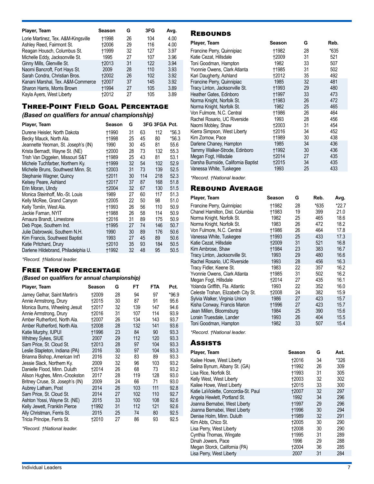| Player, Team                        | Season       | G  | 3FG | Avg. |
|-------------------------------------|--------------|----|-----|------|
| Lorie Martinez, Tex. A&M-Kingsville | +1998        | 26 | 104 | 4.00 |
| Ashley Reed, Fairmont St.           | <b>+2006</b> | 29 | 116 | 4.00 |
| Reagan Housch, Columbus St.         | <b>t1999</b> | 32 | 127 | 3.97 |
| Michelle Eddy, Jacksonville St.     | 1995         | 27 | 107 | 3.96 |
| Ginny Mills, Glenville St.          | <b>+2013</b> | 31 | 122 | 3.94 |
| Naomi Bancroft, Fort Hays St.       | 2009         | 28 | 110 | 3.93 |
| Sarah Condra, Christian Bros.       | <b>+2002</b> | 26 | 102 | 3.92 |
| Kanani Marshal, Tex. A&M-Commerce   | <b>†2007</b> | 37 | 145 | 3.92 |
| Sharon Harris, Morris Brown         | <b>+1994</b> | 27 | 105 | 3.89 |
| Kayla Ayers, West Liberty           | +2012        | 27 | 105 | 3.89 |

## Three-Point Field Goal Percentage

## *(Based on qualifiers for annual championship)*

| Player, Team                        | Season       | G  |     | 3FG 3FGA Pct. |         |
|-------------------------------------|--------------|----|-----|---------------|---------|
| Durene Heisler, North Dakota        | †1990        | 31 | 63  | 112           | $*56.3$ |
| Becky Mauck, North Ala.             | †1998        | 25 | 45  | 80            | $*56.3$ |
| Jeannette Yeoman, St. Joseph's (IN) | 1990         | 30 | 45  | 81            | 55.6    |
| Krista Bernadt, Wayne St. (NE)      | +2000        | 28 | 73  | 132           | 55.3    |
| Trish Van Diggelen, Missouri S&T    | †1989        | 25 | 43  | 81            | 53.1    |
| Michele Tuchfarber, Northern Ky.    | †1999        | 32 | 54  | 102           | 52.9    |
| Michelle Bruns, Southwest Minn. St. | <b>+2003</b> | 31 | 73  | 139           | 52.5    |
| Stephanie Wagner, Quincy            | <b>t2011</b> | 30 | 114 | 218           | 52.3    |
| Kelsey Peare, Ashland               | <b>†2017</b> | 37 | 87  | 168           | 51.8    |
| Erin Moran, Ulndy                   | <b>+2004</b> | 32 | 67  | 130           | 51.5    |
| Monica Steinhoff, Mo.-St. Louis     | 1989         | 27 | 60  | 117           | 51.3    |
| Kelly McRee, Grand Canyon           | +2005        | 22 | 50  | 98            | 51.0    |
| Kelly Tomlin, West Ala.             | +1993        | 26 | 56  | 110           | 50.9    |
| Jackie Farnan, NYIT                 | †1988        | 26 | 58  | 114           | 50.9    |
| Amaura Brandt, Limestone            | <b>†2016</b> | 31 | 89  | 175           | 50.9    |
| Deb Pope, Southern Ind.             | †1995        | 27 | 74  | 146           | 50.7    |
| Julie Dabrowski, Southern N.H.      | 1990         | 30 | 89  | 176           | 50.6    |
| Kim Francis, Southwest Baptist      | 1993         | 27 | 45  | 89            | 50.6    |
| Katie Pritchard, Drury              | 12010        | 35 | 93  | 184           | 50.5    |
| Darlene Hildebrand, Philadelphia U. | †1992        | 32 | 48  | 95            | 50.5    |

*\*Record. †National leader.*

## Free Throw Percentage

#### *(Based on qualifiers for annual championship)*

| Player, Team                     | Season       | G  | FT  | <b>FTA</b> | Pct.    |
|----------------------------------|--------------|----|-----|------------|---------|
| Jamey Gelhar, Saint Martin's     | 12009        | 28 | 94  | 97         | $*96.9$ |
| Annie Armstrong, Drury           | <b>t2015</b> | 30 | 87  | 91         | 95.6    |
| Monica Burns, Wheeling Jesuit    | †2017        | 32 | 139 | 147        | 94.6    |
| Annie Armstrong, Drury           | <b>+2016</b> | 31 | 107 | 114        | 93.9    |
| Amber Rutherford, North Ala.     | +2007        | 26 | 134 | 143        | 93.7    |
| Amber Rutherford, North Ala.     | 12008        | 28 | 132 | 141        | 93.6    |
| Katie Murphy, IUPUI              | †1996        | 23 | 84  | 90         | 93.3    |
| <b>Whitney Sykes, SIUE</b>       | 2007         | 29 | 112 | 120        | 93.3    |
| Sam Price, St. Cloud St.         | <b>+2013</b> | 28 | 97  | 104        | 93.3    |
| Leslie Stapleton, Indiana (PA)   | 2016         | 30 | 97  | 104        | 93.3    |
| Brianna Bishop, American Int'l   | 2016         | 32 | 83  | 89         | 93.3    |
| Jessie Slack, Northern Ky.       | 2009         | 32 | 96  | 103        | 93.2    |
| Danielle Flood, Minn. Duluth     | †2014        | 26 | 68  | 73         | 93.2    |
| Alison Hughes, Minn.-Crookston   | 2017         | 28 | 119 | 128        | 93.0    |
| Britney Cruse, St. Joseph's (IN) | 2009         | 24 | 66  | 71         | 93.0    |
| Aubrey Latham, Post              | 2014         | 26 | 103 | 111        | 92.8    |
| Sam Price, St. Cloud St.         | 2014         | 27 | 102 | 110        | 92.7    |
| Ashton Yossi, Wayne St. (NE)     | 2015         | 33 | 100 | 108        | 92.6    |
| Kelly Jewett, Franklin Pierce    | <b>†1992</b> | 31 | 112 | 121        | 92.6    |
| Ally Christman, Ferris St.       | 2015         | 25 | 74  | 80         | 92.5    |
| Tricia Principe, Ferris St.      | 12010        | 27 | 86  | 93         | 92.5    |

*\*Record. †National leader.*

## **REBOUNDS**

| Player, Team                        | Season       | G  | Reb. |
|-------------------------------------|--------------|----|------|
| Francine Perry, Quinnipiac          | †1982        | 28 | *635 |
| Katie Cezat, Hillsdale              | +2009        | 31 | 521  |
| Toni Goodman, Hampton               | 1982         | 33 | 507  |
| Yvonnie Owens, Clark Atlanta        | <b>†1985</b> | 31 | 502  |
| Kari Daugherty, Ashland             | †2012        | 35 | 492  |
| Francine Perry, Quinnipiac          | 1985         | 32 | 481  |
| Tracy Linton, Jacksonville St.      | <b>+1993</b> | 29 | 480  |
| Heather Gates, Edinboro             | †1997        | 33 | 473  |
| Norma Knight, Norfolk St.           | <b>+1983</b> | 26 | 472  |
| Norma Knight, Norfolk St.           | 1982         | 25 | 465  |
| Von Fulmore, N.C. Central           | †1986        | 26 | 464  |
| Rachel Rosario, UC Riverside        | 1993         | 28 | 456  |
| Naomi Mobley, Shaw                  | <b>†2003</b> | 31 | 454  |
| Kierra Simpson, West Liberty        | †2016        | 34 | 452  |
| Kim Zornow, Pace                    | †1989        | 30 | 438  |
| Darlene Chaney, Hampton             | 1985         | 34 | 436  |
| Tammy Walker-Strode, Edinboro       | †1992        | 30 | 436  |
| Megan Fogt, Hillsdale               | 12014        | 27 | 435  |
| Darsha Burnside, California Baptist | <b>†2015</b> | 34 | 435  |
| Vanessa White, Tuskegee             | 1993         | 25 | 433  |

*\*Record. †National leader.*

## Rebound Average

| Player, Team                       | Season       | G  | Reb. | Avg.  |
|------------------------------------|--------------|----|------|-------|
| Francine Perry, Quinnipiac         | †1982        | 28 | *635 | *22.7 |
| Chanel Hamilton, Dist. Columbia    | <b>†1983</b> | 19 | 399  | 21.0  |
| Norma Knight, Norfolk St.          | 1982         | 25 | 465  | 18.6  |
| Norma Knight, Norfolk St.          | 1983         | 26 | 472  | 18.2  |
| Von Fulmore, N.C. Central          | †1986        | 26 | 464  | 17.8  |
| Vanessa White, Tuskegee            | <b>+1993</b> | 25 | 433  | 17.3  |
| Katie Cezat, Hillsdale             | <b>+2009</b> | 31 | 521  | 16.8  |
| Kim Ambrose, Shaw                  | †1984        | 23 | 383  | 16.7  |
| Tracy Linton, Jacksonville St.     | 1993         | 29 | 480  | 16.6  |
| Rachel Rosario, UC Riverside       | 1993         | 28 | 456  | 16.3  |
| Tracy Fidler, Keene St.            | 1983         | 22 | 357  | 16.2  |
| Yvonnie Owens, Clark Atlanta       | †1985        | 31 | 502  | 16.2  |
| Megan Fogt, Hillsdale              | <b>+2014</b> | 27 | 435  | 16.1  |
| Yolanda Griffith, Fla. Atlantic    | 1993         | 22 | 352  | 16.0  |
| Celeste Trahan, Elizabeth City St. | 12008        | 24 | 382  | 15.9  |
| Sylvia Walker, Virginia Union      | 1986         | 27 | 423  | 15.7  |
| Kisha Conway, Francis Marion       | <b>t1996</b> | 27 | 423  | 15.7  |
| Jean Millen, Bloomsburg            | 1984         | 25 | 390  | 15.6  |
| Lorain Truesdale, Lander           | 1993         | 26 | 404  | 15.5  |
| Toni Goodman, Hampton              | 1982         | 33 | 507  | 15.4  |

*\*Record. †National leader.*

#### **Assists**

| Player, Team                         | Season       | G  | Ast. |
|--------------------------------------|--------------|----|------|
| Kailee Howe, West Liberty            | <b>†2016</b> | 34 | *326 |
| Selina Bynum, Albany St. (GA)        | †1992        | 26 | 309  |
| Lisa Rice, Norfolk St.               | <b>†1993</b> | 31 | 305  |
| Kelly West, West Liberty             | <b>+2003</b> | 32 | 302  |
| Kailee Howe, West Liberty            | <b>t2015</b> | 33 | 300  |
| Katie LaViolette, Concordia-St. Paul | <b>+2007</b> | 32 | 297  |
| Angela Hewlett, Portland St.         | 1992         | 34 | 296  |
| Joanna Bernabei, West Liberty        | <b>t1997</b> | 29 | 296  |
| Joanna Bernabei, West Liberty        | <b>t1996</b> | 30 | 294  |
| Denise Holm, Minn. Duluth            | <b>t1989</b> | 32 | 291  |
| Kim Abts, Chico St.                  | +2005        | 30 | 290  |
| Lisa Perry, West Liberty             | <b>+2008</b> | 30 | 290  |
| Cynthia Thomas, Wingate              | †1995        | 31 | 289  |
| Dinah Jowers, Pace                   | 1996         | 29 | 288  |
| Megan Storck, California (PA)        | <b>†2004</b> | 36 | 285  |
| Lisa Perry, West Liberty             | 2007         | 31 | 284  |
|                                      |              |    |      |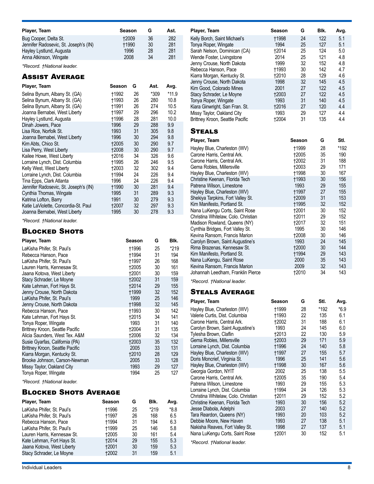| Player, Team                          | Season       | G  | Ast. |
|---------------------------------------|--------------|----|------|
| Bug Cooper, Delta St.                 | <b>+2009</b> | 36 | 282  |
| Jennifer Radosevic, St. Joseph's (IN) | <b>+1990</b> | 30 | 281  |
| Hayley Lystlund, Augusta              | 1996         | 28 | 281  |
| Anna Atkinson, Wingate                | 2008         | 34 | 281  |

*\*Record. †National leader.*

## Assist Average

| Player, Team                          | Season       | G  | Ast. | Avg.    |
|---------------------------------------|--------------|----|------|---------|
| Selina Bynum, Albany St. (GA)         | †1992        | 26 | *309 | $*11.9$ |
| Selina Bynum, Albany St. (GA)         | †1993        | 26 | 280  | 10.8    |
| Selina Bynum, Albany St. (GA)         | <b>+1991</b> | 26 | 274  | 10.5    |
| Joanna Bernabei, West Liberty         | †1997        | 29 | 296  | 10.2    |
| Hayley Lystlund, Augusta              | <b>†1996</b> | 28 | 281  | 10.0    |
| Dinah Jowers, Pace                    | 1996         | 29 | 288  | 9.9     |
| Lisa Rice, Norfolk St.                | 1993         | 31 | 305  | 9.8     |
| Joanna Bernabei, West Liberty         | 1996         | 30 | 294  | 9.8     |
| Kim Abts, Chico St.                   | 12005        | 30 | 290  | 9.7     |
| Lisa Perry, West Liberty              | 12008        | 30 | 290  | 9.7     |
| Kailee Howe, West Liberty             | †2016        | 34 | 326  | 9.6     |
| Lorraine Lynch, Dist. Columbia        | †1995        | 26 | 246  | 9.5     |
| Kelly West, West Liberty              | +2003        | 32 | 302  | 9.4     |
| Lorraine Lynch, Dist. Columbia        | †1994        | 24 | 226  | 9.4     |
| Tina Epps, Clark Atlanta              | 1996         | 24 | 226  | 9.4     |
| Jennifer Radosevic, St. Joseph's (IN) | +1990        | 30 | 281  | 9.4     |
| Cynthia Thomas, Wingate               | 1995         | 31 | 289  | 9.3     |
| Katrina Lofton, Barry                 | 1991         | 30 | 279  | 9.3     |
| Katie LaViolette, Concordia-St. Paul  | †2007        | 32 | 297  | 9.3     |
| Joanna Bernabei, West Liberty         | 1995         | 30 | 278  | 9.3     |

*\*Record. †National leader.*

#### **BLOCKED SHOTS**

| Player, Team                    | Season       | G  | Blk. |
|---------------------------------|--------------|----|------|
| LaKisha Phifer, St. Paul's      | †1996        | 25 | *219 |
| Rebecca Hanson, Pace            | †1994        | 31 | 194  |
| LaKisha Phifer, St. Paul's      | <b>†1997</b> | 26 | 168  |
| Lauren Harris, Kennesaw St.     | +2005        | 30 | 161  |
| Jaana Kotova, West Liberty      | 12001        | 30 | 159  |
| Stacy Schrader, Le Moyne        | 12002        | 31 | 159  |
| Kate Lehman, Fort Hays St.      | +2014        | 29 | 155  |
| Jenny Crouse, North Dakota      | †1999        | 32 | 152  |
| LaKisha Phifer, St. Paul's      | 1999         | 25 | 146  |
| Jenny Crouse, North Dakota      | †1998        | 32 | 145  |
| Rebecca Hanson, Pace            | †1993        | 30 | 142  |
| Kate Lehman, Fort Hays St.      | <b>†2015</b> | 34 | 141  |
| Tonya Roper, Wingate            | 1993         | 31 | 140  |
| Brittney Kroon, Seattle Pacific | †2004        | 31 | 135  |
| Alicia Saunders, West Tex. A&M  | †2006        | 32 | 134  |
| Susie Gyarfas, California (PA)  | 12003        | 35 | 132  |
| Brittney Kroon, Seattle Pacific | 2005         | 33 | 131  |
| Kiarra Morgan, Kentucky St.     | 12010        | 28 | 129  |
| Brooke Johnson, Carson-Newman   | 2005         | 33 | 128  |
| Missy Taylor, Oakland City      | 1993         | 29 | 127  |
| Tonya Roper, Wingate            | 1994         | 25 | 127  |

*\*Record. †National leader.*

### **BLOCKED SHOTS AVERAGE**

| Player, Team                | Season       | G  | Blk.   | Avg.   |
|-----------------------------|--------------|----|--------|--------|
| LaKisha Phifer, St. Paul's  | †1996        | 25 | $*219$ | $*8.8$ |
| LaKisha Phifer, St. Paul's  | +1997        | 26 | 168    | 6.5    |
| Rebecca Hanson, Pace        | †1994        | 31 | 194    | 6.3    |
| LaKisha Phifer, St. Paul's  | +1999        | 25 | 146    | 5.8    |
| Lauren Harris, Kennesaw St. | +2005        | 30 | 161    | 5.4    |
| Kate Lehman, Fort Hays St.  | <b>+2014</b> | 29 | 155    | 5.3    |
| Jaana Kotova, West Liberty  | <b>†2001</b> | 30 | 159    | 5.3    |
| Stacy Schrader, Le Moyne    | <b>+2002</b> | 31 | 159    | 5.1    |

| Player, Team                                                      | Season               | G                            | BIK.       | Avg.       |
|-------------------------------------------------------------------|----------------------|------------------------------|------------|------------|
| Kelly Borch, Saint Michael's<br>Tonya Roper, Wingate              | <b>†1998</b><br>1994 | 24<br>25                     | 122<br>127 | 5.1<br>5.1 |
| Sarah Nelson, Dominican (CA)                                      | †2014                | 25                           | 124        | 5.0        |
| Wende Foster, Livingstone                                         | 2014                 | 25                           | 121        | 4.8        |
| Jenny Crouse, North Dakota                                        | 1999                 | 32                           | 152        | 4.8        |
| Rebecca Hanson, Pace                                              | †1993                | 30                           | 142        | 4.7        |
| Kiarra Morgan, Kentucky St.<br>Jenny Crouse, North Dakota         | <b>†2010</b><br>1998 | 28<br>32                     | 129<br>145 | 4.6<br>4.5 |
| Kim Good, Colorado Mines                                          | 2001                 | 27                           | 122        | 4.5        |
| Stacy Schrader, Le Moyne                                          | <b>†2003</b>         | 27                           | 122        | 4.5        |
| Tonya Roper, Wingate                                              | 1993                 | 31                           | 140        | 4.5        |
| Kiara Ginwright, San Fran. St.                                    | <b>†2016</b>         | 27                           | 120        | 4.4        |
| Missy Taylor, Oakland City                                        | 1993                 | 29                           | 127        | 4.4        |
| Brittney Kroon, Seattle Pacific                                   | <b>†2004</b>         | 31                           | 135        | 4.4        |
| <b>STEALS</b>                                                     |                      |                              |            |            |
| Player, Team                                                      |                      | Season                       | G          | StI.       |
| Hayley Blue, Charleston (WV)                                      |                      | †1999                        | 28         | *192       |
| Carone Harris, Central Ark.                                       |                      | <b>†2005</b>                 | 35         | 190        |
| Carone Harris, Central Ark.                                       |                      | <b>†2002</b>                 | 31         | 188        |
| Gema Robles, Millersville                                         |                      | <b>†2003</b>                 | 29         | 171        |
| Hayley Blue, Charleston (WV)<br>Christine Keenan, Florida Tech    |                      | <b>+1998</b><br><b>†1993</b> | 30<br>30   | 167<br>156 |
| Patrena Wilson, Limestone                                         |                      | 1993                         | 29         | 155        |
| Hayley Blue, Charleston (WV)                                      |                      | †1997                        | 27         | 155        |
| Shekiya Tarpkins, Fort Valley St.                                 |                      | <b>†2009</b>                 | 31         | 153        |
| Kim Manifesto, Portland St.                                       |                      | <b>†1995</b>                 | 32         | 152        |
| Nana LuKengu Corts, Saint Rose                                    |                      | <b>†2001</b>                 | 30         | 152        |
| Christina Whitelaw, Colo. Christian                               |                      | <b>†2011</b>                 | 29         | 152        |
| Madison Rowland, Queens (NY)                                      |                      | †2017                        | 32         | 151<br>146 |
| Cynthia Bridges, Fort Valley St.<br>Kevina Ransom, Francis Marion |                      | 1995<br>†2008                | 30<br>30   | 146        |
| Carolyn Brown, Saint Augustine's                                  |                      | 1993                         | 24         | 145        |
| Rima Brazenas, Kennesaw St.                                       |                      | <b>t2000</b>                 | 30         | 144        |
| Kim Manifesto, Portland St.                                       |                      | <b>†1994</b>                 | 29         | 143        |
| Nana LuKengu, Saint Rose                                          |                      | 2000                         | 35         | 143        |
| Kevina Ransom, Francis Marion                                     |                      | 2009                         | 32         | 143        |
| Johannah Leedham, Franklin Pierce                                 |                      | <b>†2010</b>                 | 34         | 143        |
| *Record. †National leader.                                        |                      |                              |            |            |
| <b>STEALS AVERAGE</b>                                             |                      |                              |            |            |
| Player, Team                                                      | Season               | G                            | StI.       | Avg.       |
| Hayley Blue, Charleston (WV)                                      | †1999                | 28                           | *192       | $*6.9$     |
| Valerie Curtis, Dist. Columbia                                    | †1993                | 22                           | 135        | 6.1        |
| Carone Harris, Central Ark.<br>Carolyn Brown, Saint Augustine's   | 12002<br>1993        | 31<br>24                     | 188<br>145 | 6.1<br>6.0 |
| Tylesha Brown, Claflin                                            | <b>†2013</b>         | 22                           | 130        | 5.9        |
| Gema Robles, Millersville                                         | †2003                | 29                           | 171        | 5.9        |
| Lorraine Lynch, Dist. Columbia                                    | <b>†1996</b>         | 24                           | 140        | 5.8        |
| Hayley Blue, Charleston (WV)                                      | †1997                | 27                           | 155        | 5.7        |
| Doris Moncrief, Virginia St.                                      | 1996                 | 25                           | 141        | 5.6        |
| Hayley Blue, Charleston (WV)                                      | <b>†1998</b>         | 30                           | 167        | 5.6        |
| Georgia Gordon, NYIT                                              | 2002                 | 25                           | 138        | 5.5        |
| Carone Harris, Central Ark.<br>Patrena Wilson, Limestone          | †2005<br>1993        | 35<br>29                     | 190<br>155 | 5.4<br>5.3 |
| Lorraine Lynch, Dist. Columbia                                    | †1994                | 24                           | 126        | 5.3        |
| Christina Whitelaw, Colo. Christian                               | †2011                | 29                           | 152        | 5.2        |
| Christine Keenan, Florida Tech                                    | 1993                 | 30                           | 156        | 5.2        |
| Jesse Dlabola, Adelphi                                            | 2003                 | 27                           | 140        | 5.2        |
| Tara Reardon, Queens (NY)                                         | 1993                 | 20                           | 103        | 5.2        |
| Debbie Moore, New Haven                                           | 1993                 | 27                           | 138        | 5.1        |
| Nakisha Reaves, Fort Valley St.                                   | 1998                 | 27                           | 137        | 5.1        |
| Nana LuKengu Corts, Saint Rose                                    | <b>†2001</b>         | 30                           | 152        | 5.1        |

*\*Record. †National leader.*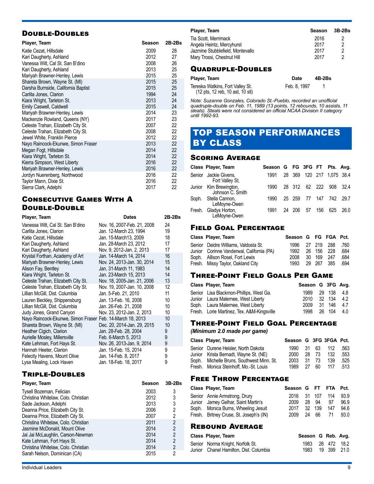## Double-Doubles

| Player, Team                        | Season | 2B-2Bs |
|-------------------------------------|--------|--------|
| Katie Cezat, Hillsdale              | 2009   | 28     |
| Kari Daugherty, Ashland             | 2012   | 27     |
| Vanessa Wilt, Cal St. San B'dino    | 2008   | 26     |
| Kari Daugherty, Ashland             | 2013   | 25     |
| Mariyah Brawner-Henley, Lewis       | 2015   | 25     |
| Shareta Brown, Wayne St. (MI)       | 2015   | 25     |
| Darsha Burnside, California Baptist | 2015   | 25     |
| Carlita Jones, Clarion              | 1994   | 24     |
| Kiara Wright, Tarleton St.          | 2013   | 24     |
| Emily Caswell, Caldwell             | 2015   | 24     |
| Mariyah Brawner-Henley, Lewis       | 2014   | 23     |
| Mackenzie Rowland, Queens (NY)      | 2017   | 23     |
| Celeste Trahan, Elizabeth City St.  | 2007   | 22     |
| Celeste Trahan, Elizabeth City St.  | 2008   | 22     |
| Jewel White, Franklin Pierce        | 2012   | 22     |
| Nayo Raincock-Ekunwe, Simon Fraser  | 2013   | 22     |
| Megan Fogt, Hillsdale               | 2014   | 22     |
| Kiara Wright, Tarleton St.          | 2014   | 22     |
| Kierra Simpson, West Liberty        | 2016   | 22     |
| Mariyah Brawner-Henley, Lewis       | 2016   | 22     |
| Jordyn Nuerenberg, Northwood        | 2016   | 22     |
| Taylor Mann, Dixie St.              | 2016   | 22     |
| Sierra Clark, Adelphi               | 2017   | 22     |
|                                     |        |        |

## Consecutive Games With A Double-Double

| Player, Team                                              | Dates                       | 2B-2Bs |
|-----------------------------------------------------------|-----------------------------|--------|
| Vanessa Wilt, Cal St. San B'dino                          | Nov. 16, 2007-Feb. 21, 2008 | 24     |
| Carlita Jones, Clarion                                    | Jan. 12-March 23, 1994      | 19     |
| Katie Cezat, Hillsdale                                    | Jan. 15-March13, 2009       | 18     |
| Kari Daugherty, Ashland                                   | Jan. 28-March 23, 2012      | 17     |
| Kari Daugherty, Ashland                                   | Nov. 9, 2012-Jan. 2, 2013   | 17     |
| Krystal Forthan, Academy of Art                           | Jan. 14-March 14, 2014      | 16     |
| Mariyah Brawner-Henley, Lewis                             | Nov. 24, 2013-Jan. 30, 2014 | 15     |
| Alison Fay, Bentley                                       | Jan. 31-March 11, 1983      | 14     |
| Kiara Wright, Tarleton St.                                | Jan. 23-March 15, 2013      | 14     |
| Celeste Trahan, Elizabeth City St.                        | Nov. 18, 2005-Jan. 21, 2006 | 13     |
| Celeste Trahan, Elizabeth City St.                        | Nov. 19, 2007-Jan. 10, 2008 | 12     |
| Lillian McGill, Dist. Columbia                            | Jan. 5-Feb. 21, 2010        | 11     |
| Lauren Beckley, Shippensburg                              | Jan. 13-Feb. 16, 2008       | 10     |
| Lillian McGill, Dist. Columbia                            | Jan. 26-Feb. 21, 2008       | 10     |
| Judy Jones, Grand Canyon                                  | Nov. 23, 2012-Jan. 2, 2013  | 10     |
| Nayo Raincock-Ekunwe, Simon Fraser Feb. 14-March 18, 2013 |                             | 10     |
| Shareta Brown, Wayne St. (MI)                             | Dec. 20, 2014-Jan. 29, 2015 | 10     |
| Heather Cigich, Clarion                                   | Jan. 28-Feb. 28, 2004       | 9      |
| Aurielle Mosley, Millersville                             | Feb. 6-March 5, 2013        | 9      |
| Kate Lehman, Fort Hays St.                                | Nov. 26, 2013-Jan. 9, 2014  | 9      |
| Hannah Heeter, Clarion                                    | Jan. 15-Feb. 15, 2014       | 9      |
| Felecity Havens, Mount Olive                              | Jan. 14-Feb. 8, 2017        | 9      |
| Lysa Mealing, Lock Haven                                  | Jan. 18-Feb. 18, 2017       | 9      |

## Triple-Doubles

| Player, Team                        | Season | $3B-2Bs$       |
|-------------------------------------|--------|----------------|
| Tysell Bozeman, Felician            | 2003   | 3              |
| Christina Whitelaw, Colo. Christian | 2012   | 3              |
| Sade Jackson, Adelphi               | 2013   | 3              |
| Deanna Price, Elizabeth City St.    | 2006   | 2              |
| Deanna Price, Elizabeth City St.    | 2007   | 2              |
| Christina Whitelaw, Colo. Christian | 2011   | 2              |
| Jasmine McDonald, Mount Olive       | 2014   | 2              |
| Jai Jai McLaughlin, Carson-Newman   | 2014   | $\overline{2}$ |
| Kate Lehman, Fort Hays St.          | 2014   | $\overline{2}$ |
| Christina Whitelaw, Colo. Christian | 2014   | $\overline{2}$ |
| Sarah Nelson, Dominican (CA)        | 2015   | 2              |

| Player, Team                     | Season | 3B-2Bs |
|----------------------------------|--------|--------|
| Tia Scott. Merrimack             | 2016   |        |
| Angela Heintz, Mercyhurst        | 2017   | 2      |
| Jazmine Stubblefield, Montevallo | 2017   | 2      |
| Mary Trossi, Chestnut Hill       | 2017   | 2      |
|                                  |        |        |

#### Quadruple-Doubles

#### **Player, Team Date 4B-2Bs**

| . .wyv., .vu                                                         | ----         | ------- |  |
|----------------------------------------------------------------------|--------------|---------|--|
| Tereska Watkins, Fort Valley St.<br>(12 pts, 12 reb, 10 ast, 10 stl) | Feb. 8, 1997 |         |  |
|                                                                      |              |         |  |

*Note: Suzanne Gonzales, Colorado St.-Pueblo, recorded an unofficial quadruple-double on Feb. 11, 1989 (13 points, 12 rebounds, 10 assists, 11 steals). Steals were not considered an official NCAA Division II category until 1992-93.*

## TOP SEASON PERFORMANCES BY CLASS

### Scoring Average

| Class Player, Team                         | Season G FG 3FG FT Pts. Avg. |  |               |                           |          |
|--------------------------------------------|------------------------------|--|---------------|---------------------------|----------|
| Senior Jackie Givens.<br>Fort Valley St.   | 1991                         |  |               | 28 369 120 217 1.075 38.4 |          |
| Junior Kim Brewington,<br>Johnson C. Smith | 1990                         |  |               | 28 312 62 222 908 32.4    |          |
| Soph. Stella Cannon,<br>LeMoyne-Owen       | 1990                         |  |               | 25 259 77 147 742 29.7    |          |
| Fresh. Gladys Horton,<br>LeMoyne-Owen      | 1991                         |  | 24 206 57 156 |                           | 625 26.0 |

### Field Goal Percentage

| Class Player, Team                        | Season G FG FGA Pct. |  |            |      |
|-------------------------------------------|----------------------|--|------------|------|
| Senior Deidre Williams, Valdosta St.      | 1996 27 219 288 .760 |  |            |      |
| Junior Corinne Vanderwal, California (PA) | 1992 26 156 228      |  |            | .684 |
| Soph. Allison Rosel, Fort Lewis           | 2008                 |  | 30 169 247 | .684 |
| Fresh. Missy Taylor, Oakland City         | 1993 29 267 385      |  |            | .694 |

### Three-Point Field Goals Per Game

| Class Player, Team                         | Season G 3FG Avg. |        |      |
|--------------------------------------------|-------------------|--------|------|
| Senior Lisa Blackmon-Phillips, West Ga.    | 1989 29 138       |        | -4.8 |
| Junior Laura Malernee, West Liberty        | 2010 32 134       |        | -4.2 |
| Soph. Laura Malernee, West Liberty         | 2009              | 31 146 | 4.7  |
| Fresh. Lorie Martinez, Tex. A&M-Kingsville | 1998 26 104       |        | 4.0  |

## Three-Point Field Goal Percentage

*(Minimum 2.0 made per game)*

| Class Player, Team                        | Season G 3FG 3FGA Pct. |           |       |                |       |
|-------------------------------------------|------------------------|-----------|-------|----------------|-------|
| Senior Durene Heisler, North Dakota       |                        |           |       | 1990 31 63 112 | .563  |
| Junior Krista Bernadt, Wayne St. (NE)     | 2000                   |           | 28 73 | 132            | .553  |
| Soph. Michelle Bruns, Southwest Minn. St. | 2003                   |           | 31 73 | 139            | .525  |
| Fresh. Monica Steinhoff. Mo.-St. Louis    | 1989                   | $-27$ $-$ |       | 117            | - 513 |

### Free Throw Percentage

| Class Player, Team                      | Season G FT FTA Pct. |          |     |      |
|-----------------------------------------|----------------------|----------|-----|------|
| Senior Annie Armstrong, Drury           | 2016 31 107 114      |          |     | 93.9 |
| Junior Jamey Gelhar, Saint Martin's     | 2009                 | 28.94    | .97 | 96.9 |
| Soph. Monica Burns, Wheeling Jesuit     | 2017                 | 32 139   | 147 | 94.6 |
| Fresh. Britney Cruse, St. Joseph's (IN) | 2009                 | 24 66 71 |     | 93.0 |

### Rebound Average

| Class Player, Team                     | Season G Reb. Avg. |  |  |
|----------------------------------------|--------------------|--|--|
| Senior Norma Knight, Norfolk St.       | 1983 26 472 18.2   |  |  |
| Junior Chanel Hamilton, Dist. Columbia | 1983 19 399 21.0   |  |  |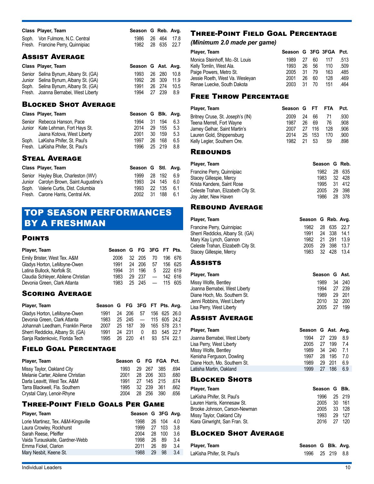| Class Player, Team                | Season G Reb. Avg. |  |  |
|-----------------------------------|--------------------|--|--|
| Soph. Von Fulmore, N.C. Central   | 1986 26 464 17.8   |  |  |
| Fresh. Francine Perry, Quinnipiac | 1982 28 635 22.7   |  |  |

## Assist Average

| Class Player, Team                   | Season G Ast. Avg. |        |             |
|--------------------------------------|--------------------|--------|-------------|
| Senior Selina Bynum, Albany St. (GA) | 1993 26 280 10.8   |        |             |
| Junior Selina Bynum, Albany St. (GA) | 1992               |        | 26 309 11.9 |
| Soph. Selina Bynum, Albany St. (GA)  | 1991               | 26 274 | 10.5        |
| Fresh. Joanna Bernabei, West Liberty | 1994 27 239        |        | 8.9         |

#### Blocked Shot Average

| Class Player, Team                | Season G Blk. Avg. |     |        |     |
|-----------------------------------|--------------------|-----|--------|-----|
| Senior Rebecca Hanson, Pace       | 1994               | 31  | 194    | 6.3 |
| Junior Kate Lehman, Fort Hays St. | 2014               | 29. | 155    | 5.3 |
| Jaana Kotova, West Liberty        | 2001               | 30  | 159    | 5.3 |
| Soph. LaKisha Phifer, St. Paul's  | 1997               | 26  | 168    | 6.5 |
| Fresh. LaKisha Phifer, St. Paul's | 1996               |     | 25 219 | 8.8 |
|                                   |                    |     |        |     |

## Steal Average

| Class Player, Team                      | Season G Stl. Avg. |            |    |  |
|-----------------------------------------|--------------------|------------|----|--|
| Senior Hayley Blue, Charleston (WV)     | 1999               | 28 192 6.9 |    |  |
| Junior Carolyn Brown, Saint Augustine's | 1993               | 24 145     | 60 |  |
| Soph. Valerie Curtis, Dist. Columbia    | 1993               | 22 135 6.1 |    |  |
| Fresh. Carone Harris, Central Ark.      | 2002               | 31 188     | 61 |  |

## TOP SEASON PERFORMANCES BY A FRESHMAN

## **POINTS**

| Player, Team                        | Season G FG 3FG FT Pts. |           |                                |         |
|-------------------------------------|-------------------------|-----------|--------------------------------|---------|
| Emily Brister, West Tex. A&M        | 2006.                   | 32 205 70 |                                | 196 676 |
| Gladys Horton, LeMoyne-Owen         | 1991                    | 24 206    | 57                             | 156 625 |
| Latina Bullock. Norfolk St.         | 1994                    |           | 31 196 5 222 619               |         |
| Claudia Schleyer, Abilene Christian | 1983                    |           | $29\ \ 237\ \ -\ \ 142\ \ 616$ |         |
| Devonia Green, Clark Atlanta        | 1983                    |           | $25\ \ 245\ \ -\ \ 115\ \ 605$ |         |

## Scoring Average

| Player, Team                      | Season G FG 3FG FT Pts. Avg. |        |                                                    |             |              |
|-----------------------------------|------------------------------|--------|----------------------------------------------------|-------------|--------------|
| Gladys Horton, LeMoyne-Owen       | 1991                         | 24 206 | 57                                                 |             | 156 625 26.0 |
| Devonia Green, Clark Atlanta      | 1983                         |        | $25\quad 245 \quad - \quad 115\quad 605\quad 24.2$ |             |              |
| Johannah Leedham, Franklin Pierce | 2007                         | 25 187 | 39                                                 |             | 165 578 23.1 |
| Sherri Reddicks, Albany St. (GA)  | 1991                         | 24 231 | 0                                                  |             | 83 545 22.7  |
| Sanja Radenkovic, Florida Tech    | 1995                         | 26 220 | 41                                                 | 93 574 22.1 |              |

## Field Goal Percentage

| Player, Team                      | Season G FG FGA Pct. |        |            |      |
|-----------------------------------|----------------------|--------|------------|------|
| Missy Taylor, Oakland City        | 1993                 |        | 29 267 385 | .694 |
| Melanie Carter, Abilene Christian | 2001                 |        | 28 206 303 | .680 |
| Darla Leavitt. West Tex. A&M      | 1991                 |        | 27 145 215 | .674 |
| Tarra Blackwell, Fla. Southern    | 1995                 | 32 239 | - 361      | .662 |
| Crystal Clary, Lenoir-Rhyne       | 2004                 | 28 256 | 390        | .656 |

## Three-Point Field Goals Per Game

| 1998 | 26 | 104 | 4.0               |
|------|----|-----|-------------------|
| 1999 | 27 | 103 | 3.8               |
| 2004 | 28 | 100 | 3.6               |
| 1998 | 26 | 89  | 3.4               |
| 2011 | 26 | 89  | 3.4               |
| 1988 | 29 | 98  | 3.4               |
|      |    |     | Season G 3FG Avg. |

## Three-Point Field Goal Percentage

#### *(Minimum 2.0 made per game)*

| Player, Team                    | Season G 3FG 3FGA Pct. |     |    |     |      |
|---------------------------------|------------------------|-----|----|-----|------|
| Monica Steinhoff, Mo.-St. Louis | 1989                   | 27  | 60 | 117 | .513 |
| Kelly Tomlin, West Ala.         | 1993                   | 26  | 56 | 110 | .509 |
| Paige Powers, Metro St.         | 2005                   | -31 | 79 | 163 | .485 |
| Jessie Roeth, West Va. Wesleyan | 2001                   | 26  | 60 | 128 | .469 |
| Renae Luecke, South Dakota      | 2003                   | -31 | 70 | 151 | .464 |

## Free Throw Percentage

| Player, Team                     | Season G FT |    |     | <b>FTA</b> | Pct. |
|----------------------------------|-------------|----|-----|------------|------|
| Britney Cruse, St. Joseph's (IN) | 2009        | 24 | 66  | 71         | .930 |
| Teena Merrell, Fort Wayne        | 1987        | 26 | 69  | 76         | .908 |
| Jamey Gelhar, Saint Martin's     | 2007        | 27 | 116 | 128        | .906 |
| Lauren Gold, Shippensburg        | 2014        | 25 | 153 | 170        | .900 |
| Kelly Legler, Southern Ore.      | 1982        | 21 | 53  | 59         | .898 |

### **REBOUNDS**

| Player, Team                       | Season G Reb. |        |
|------------------------------------|---------------|--------|
| Francine Perry, Quinnipiac         | 1982          | 28 635 |
| Stacey Gillespie, Mercy            | 1983 32 428   |        |
| Krista Kandere. Saint Rose         | 1995 31 412   |        |
| Celeste Trahan, Elizabeth City St. | 2005          | 29 398 |
| Joy Jeter, New Haven               | 1986 28 378   |        |

## Rebound Average

| Player, Team                                                                                                                                                              | Season                                       |                                      | G Reb. Avg.                            |                                        |
|---------------------------------------------------------------------------------------------------------------------------------------------------------------------------|----------------------------------------------|--------------------------------------|----------------------------------------|----------------------------------------|
| Francine Perry, Quinnipiac<br>Sherri Reddicks, Albany St. (GA)<br>Mary Kay Lynch, Gannon<br>Celeste Trahan, Elizabeth City St.                                            | 1982<br>1991<br>1982<br>2005                 | 28<br>24<br>21<br>29                 | 635<br>338<br>291<br>398               | 22.7<br>14.1<br>13.9<br>13.7           |
| Stacey Gillespie, Mercy                                                                                                                                                   | 1983                                         | 32                                   | 428                                    | 13.4                                   |
| <b>ASSISTS</b>                                                                                                                                                            |                                              |                                      |                                        |                                        |
| Player, Team                                                                                                                                                              |                                              | Season                               |                                        | G Ast.                                 |
| Missy Wolfe, Bentley<br>Joanna Bernabei, West Liberty<br>Diane Hoch, Mo. Southern St.<br>Jenni Robbins, West Liberty<br>Lisa Perry, West Liberty                          |                                              | 1989<br>1994<br>1989<br>2010<br>2005 | 34<br>27<br>29<br>32<br>27             | 240<br>239<br>201<br>200<br>199        |
| <b>ASSIST AVERAGE</b>                                                                                                                                                     |                                              |                                      |                                        |                                        |
| Player, Team                                                                                                                                                              | Season G Ast. Avg.                           |                                      |                                        |                                        |
| Joanna Bernabei, West Liberty<br>Lisa Perry, West Liberty<br>Missy Wolfe, Bentley<br>Kenisha Ferguson, Dowling<br>Diane Hoch, Mo. Southern St.<br>Latisha Martin, Oakland | 1994<br>2005<br>1989<br>1997<br>1989<br>1999 | 27<br>27<br>34<br>28<br>29<br>27     | 239<br>199<br>240<br>195<br>201<br>186 | 8.9<br>7.4<br>7.1<br>7.0<br>6.9<br>6.9 |
| <b>BLOCKED SHOTS</b>                                                                                                                                                      |                                              |                                      |                                        |                                        |
| Player, Team                                                                                                                                                              |                                              | Season                               | G                                      | Blk.                                   |
| LaKisha Phifer, St. Paul's<br>Lauren Harris, Kennesaw St.                                                                                                                 |                                              | 1996<br>2005                         | 25<br>30                               | 219<br>161                             |

| Lui 1911 u Tilloi, Ol. Tuul 9  | 1JU         |            | LV LIV |
|--------------------------------|-------------|------------|--------|
| Lauren Harris. Kennesaw St.    | 2005        | 30 161     |        |
| Brooke Johnson. Carson-Newman  | 2005        | - 33 - 128 |        |
| Missy Taylor, Oakland City     | 1993 29 127 |            |        |
| Kiara Ginwright, San Fran. St. | 2016 27 120 |            |        |
|                                |             |            |        |

## Blocked Shot Average

| Player, Team               | Season G Blk. Avg. |  |  |
|----------------------------|--------------------|--|--|
| LaKisha Phifer, St. Paul's | 1996 25 219 8.8    |  |  |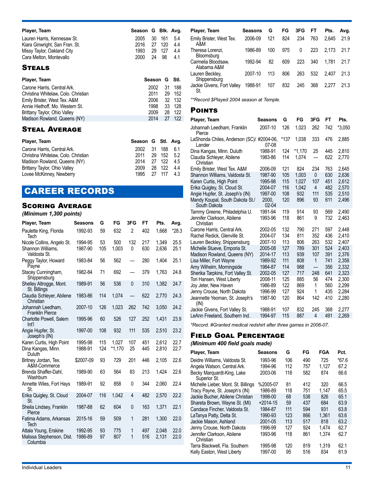| Player, Team                   | Season G Blk. Avg. |    |        |     |
|--------------------------------|--------------------|----|--------|-----|
| Lauren Harris, Kennesaw St.    | 2005               |    | 30 161 | 5.4 |
| Kiara Ginwright, San Fran. St. | 2016 27 120        |    |        | 44  |
| Missy Taylor, Oakland City     | 1993               |    | 29 127 | 44  |
| Cara Melton, Montevallo        | 2000               | 24 | - 98   | 4.1 |
| STEALS                         |                    |    |        |     |

#### Steals

| Player, Team                        | Season G Stl. |     |        |
|-------------------------------------|---------------|-----|--------|
| Carone Harris, Central Ark.         | 2002          | .31 | 188    |
| Christina Whitelaw, Colo. Christian | 2011          |     | 29 152 |
| Emily Brister, West Tex. A&M        | 2006          |     | 32 132 |
| Annie Hiethoff, Mo. Western St.     | 1998          |     | 33 128 |
| Brittany Taylor, Ohio Valley        | 2009          | 28  | -122   |
| Madison Rowland, Queens (NY)        | 2014          | 27  | 122    |

## Steal Average

| Player, Team                        | Season G Stl. Avg. |            |  |
|-------------------------------------|--------------------|------------|--|
| Carone Harris, Central Ark.         | 2002 31 188 6.1    |            |  |
| Christina Whitelaw, Colo. Christian | 2011               | 29 152 5.2 |  |
| Madison Rowland, Queens (NY)        | 2014 27 122 4.5    |            |  |
| Brittany Taylor, Ohio Valley        | 2009               | 28 122 4.4 |  |
| Lovee McKinney, Newberry            | 1995 27 117 43     |            |  |

## CAREER RECORDS

## Scoring Average

#### *(Minimum 1,300 points)*

| Player, Team                                | Seasons   | G   | FG       | 3FG            | FT  | Pts.  | Avg.    |
|---------------------------------------------|-----------|-----|----------|----------------|-----|-------|---------|
| Paulette King, Florida<br>Tech              | 1992-93   | 59  | 632      | $\overline{2}$ | 402 | 1,668 | $*28.3$ |
| Nicole Collins, Angelo St.                  | 1994-95   | 53  | 500      | 132            | 217 | 1,349 | 25.5    |
| Shannon Williams.<br>Valdosta St.           | 1987-90   | 105 | 1,003    | 0              | 630 | 2.636 | 25.1    |
| Peggy Taylor, Howard<br>Payne               | 1983-84   | 56  | 562      |                | 280 | 1.404 | 25.1    |
| Stacey Cunningham,<br>Shippensburg          | 1982-84   | 71  | 692      |                | 379 | 1.763 | 24.8    |
| Shelley Altrogge, Mont.<br>St. Billings     | 1989-91   | 56  | 536      | $\mathbf{0}$   | 310 | 1,382 | 24.7    |
| Claudia Schleyer, Abilene<br>Christian      | 1983-86   | 114 | 1,074    |                | 622 | 2,770 | 24.3    |
| Johannah Leedham,<br><b>Franklin Pierce</b> | 2007-10   | 126 | 1,023    | 262            | 742 | 3,050 | 24.2    |
| Charlotte Powell, Salem<br>Int <sup>1</sup> | 1995-96   | 60  | 526      | 127            | 252 | 1,431 | 23.9    |
| Angie Hupfer, St.<br>Joseph's (IN)          | 1997-00   | 108 | 932      | 111            | 535 | 2,510 | 23.2    |
| Karen Curtis, High Point                    | 1995-98   | 115 | 1.027    | 107            | 451 | 2,612 | 22.7    |
| Dina Kangas, Minn.<br>Duluth                | 1988-91   | 124 | $*1.170$ | 25             | 445 | 2.810 | 22.7    |
| Britney Jordan, Tex.<br>A&M-Commerce        | \$2007-09 | 93  | 729      | 201            | 446 | 2,105 | 22.6    |
| Brenda Shaffer-Dahl.<br>Washburn            | 1989-90   | 63  | 564      | 83             | 213 | 1.424 | 22.6    |
| Annette Wiles, Fort Hays<br>St.             | 1989-91   | 92  | 858      | 0              | 344 | 2.060 | 22.4    |
| Erika Quigley, St. Cloud<br>St.             | 2004-07   | 116 | 1,042    | 4              | 482 | 2,570 | 22.2    |
| Sheila Lindsey, Franklin<br>Pierce          | 1987-88   | 62  | 604      | $\mathbf{0}$   | 163 | 1,371 | 22.1    |
| Fatima Adams, Arkansas<br>Tech              | 2015-16   | 59  | 509      | 1              | 281 | 1,300 | 22.0    |
| Attala Young, Erskine                       | 1992-95   | 93  | 775      | 1              | 497 | 2,048 | 22.0    |
| Malissa Stephenson, Dist.<br>Columbia       | 1986-89   | 97  | 807      | 1              | 516 | 2,131 | 22.0    |
|                                             |           |     |          |                |     |       |         |

| Player, Team                      | Seasons | G   | FG  | 3FG | FТ  | Pts.  | Avg. |
|-----------------------------------|---------|-----|-----|-----|-----|-------|------|
| Emily Brister, West Tex.<br>A&M   | 2006-09 | 121 | 824 | 234 | 763 | 2.645 | 21.9 |
| Theresa Lorenzi,<br>Bloomsburg    | 1986-89 | 100 | 975 | 0   | 223 | 2.173 | 21.7 |
| Carmelia Bloodsaw,<br>Alabama A&M | 1992-94 | 82  | 609 | 223 | 340 | 1.781 | 21.7 |
| Lauren Beckley,<br>Shippensburg   | 2007-10 | 113 | 806 | 263 | 532 | 2.407 | 21.3 |
| Jackie Givens, Fort Valley<br>St. | 1988-91 | 107 | 832 | 245 | 368 | 2.277 | 21.3 |

*\*\*Record \$Played 2004 season at Temple.* 

#### **POINTS**

| Player, Team                                    | Seasons              | G    | FG       | 3FG                      | FT  | Pts.   |
|-------------------------------------------------|----------------------|------|----------|--------------------------|-----|--------|
| Johannah Leedham, Franklin<br>Pierce            | 2007-10              | 126  | 1,023    | 262                      | 742 | *3,050 |
| LaShonda Chiles, Anderson (SC)/<br>Lander       | #2004-06.<br>$07-08$ | *137 | 1,038    | 333                      | 476 | 2,885  |
| Dina Kangas, Minn. Duluth                       | 1988-91              | 124  | $*1.170$ | 25                       | 445 | 2,810  |
| Claudia Schleyer, Abilene<br>Christian          | 1983-86              | 114  | 1,074    | $\overline{\phantom{0}}$ | 622 | 2,770  |
| Emily Brister, West Tex. A&M                    | 2006-09              | 121  | 824      | 234                      | 763 | 2.645  |
| Shannon Williams, Valdosta St.                  | 1987-90              | 105  | 1.003    | 0                        | 630 | 2.636  |
| Karen Curtis, High Point                        | 1995-98              | 115  | 1.027    | 107                      | 451 | 2,612  |
| Erika Quigley, St. Cloud St.                    | 2004-07              | 116  | 1.042    | 4                        | 482 | 2.570  |
| Angie Hupfer, St. Joseph's (IN)                 | 1997-00              | 108  | 932      | 111                      | 535 | 2.510  |
| Mandy Koupal, South Dakota St./<br>South Dakota | 2000.<br>$02 - 04$   | 120  | 896      | 93                       | 611 | 2.496  |
| Tammy Greene, Philadelphia U.                   | 1991-94              | 119  | 914      | 93                       | 569 | 2.490  |
| Jennifer Clarkson, Abilene<br>Christian         | 1993-96              | 118  | 861      | 9                        | 732 | 2,463  |
| Carone Harris, Central Ark.                     | 2002-05              | 132  | 790      | 271                      | 597 | 2,448  |
| Rachel Redick, Glenville St.                    | 2004-07              | 134  | 811      | 352                      | 436 | 2.410  |
| Lauren Beckley, Shippensburg                    | 2007-10              | 113  | 806      | 263                      | 532 | 2,407  |
| Michelle Stueve, Emporia St.                    | 2005-08              | 127  | 789      | 301                      | 524 | 2,403  |
| Madison Rowland, Queens (NY)                    | 2014-17              | 113  | 939      | 107                      | 391 | 2,376  |
| Lisa Miller, Fort Wayne                         | 1989-92              | 111  | 808      | 1                        | 741 | 2,358  |
| Amy Wilhelm, Morningside                        | 1984-87              | 114  | 988      |                          | 356 | 2.332  |
| Sherika Tarpkins, Fort Valley St.               | 2002-05              | 127  | 717      | 248                      | 641 | 2.323  |
| Tori Hansen, West Liberty                       | 2008-11              | 125  | 885      | 56                       | 474 | 2,300  |
| Joy Jeter, New Haven                            | 1986-89              | 122  | 869      | 1                        | 560 | 2.299  |
| Jenny Crouse, North Dakota                      | 1996-99              | 127  | 924      | 1                        | 435 | 2.284  |
| Jeannette Yeoman, St. Joseph's<br>(IN)          | 1987-90              | 120  | 864      | 142                      | 410 | 2.280  |
| Jackie Givens, Fort Valley St.                  | 1988-91              | 107  | 832      | 245                      | 368 | 2,277  |
| LeAnn Freeland, Southern Ind.                   | 1994-97              | 115  | 887      | 4                        | 491 | 2,269  |

*\*Record. #Granted medical redshirt after three games in 2006-07.*

#### Field Goal Percentage

#### *(Minimum 400 field goals made)*

| Player, Team                               | Seasons    | G   | FG  | FGA   | Pct.    |
|--------------------------------------------|------------|-----|-----|-------|---------|
| Deidre Williams, Valdosta St.              | 1993-96    | 106 | 490 | 725   | $*67.6$ |
| Angela Watson, Central Ark.                | 1994-96    | 112 | 757 | 1.127 | 67.2    |
| Becky Marguardt-King, Lake<br>Superior St. | 2003-06    | 118 | 582 | 874   | 66.6    |
| Michelle Lieber, Mont. St. Billings        | %2005-07   | 81  | 412 | 320   | 66.5    |
| Tracy Payne, St. Joseph's (IN)             | 1986-89    | 118 | 751 | 1.147 | 65.5    |
| Jackie Bucher, Abilene Christian           | 1998-00    | 68  | 538 | 826   | 65.1    |
| Shareta Brown, Wayne St. (MI)              | $+2014-15$ | 59  | 437 | 684   | 63.9    |
| Candace Fincher. Valdosta St.              | 1984-87    | 111 | 594 | 931   | 63.8    |
| LaTanya Patty, Delta St.                   | 1990-93    | 123 | 866 | 1.361 | 63.6    |
| Jackie Mason, Ashland                      | 2001-05    | 113 | 517 | 818   | 63.2    |
| Jenny Crouse, North Dakota                 | 1996-99    | 127 | 924 | 1.474 | 62.7    |
| Jennifer Clarkson, Abilene<br>Christian    | 1993-96    | 118 | 861 | 1.374 | 62.7    |
| Tarra Blackwell, Fla. Southern             | 1995-98    | 120 | 819 | 1.319 | 62.1    |
| Kelly Easton, West Liberty                 | 1997-00    | 95  | 516 | 834   | 61.9    |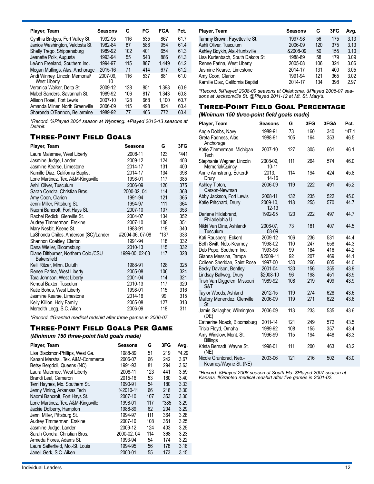| Player, Team                                          | Seasons        | G   | FG  | <b>FGA</b> | Pct. |
|-------------------------------------------------------|----------------|-----|-----|------------|------|
| Cynthia Bridges, Fort Valley St.                      | 1992-95        | 116 | 535 | 867        | 61.7 |
| Janice Washington, Valdosta St.                       | 1982-84        | 87  | 586 | 954        | 61.4 |
| Shelly Trego, Shippensburg                            | 1989-92        | 102 | 401 | 654        | 61.3 |
| Jeanette Polk, Augusta                                | 1993-94        | 55  | 543 | 886        | 61.3 |
| LeAnn Freeland, Southern Ind.                         | 1994-97        | 115 | 887 | 1.449      | 61.2 |
| Megan Mullings, Alas. Anchorage                       | 2015-16        | 71  | 414 | 677        | 61.2 |
| Andi Winney, Lincoln Memorial/<br><b>West Liberty</b> | 2007-09.<br>10 | 116 | 537 | 881        | 61.0 |
| Veronica Walker, Delta St.                            | 2009-12        | 128 | 851 | 1.398      | 60.9 |
| Mabel Sanders, Savannah St.                           | 1989-92        | 106 | 817 | 1.343      | 60.8 |
| Allison Rosel, Fort Lewis                             | 2007-10        | 128 | 668 | 1.100      | 60.7 |
| Amanda Milner, North Greenville                       | 2006-09        | 115 | 498 | 824        | 60.4 |
| Sharonda O'Bannon, Bellarmine                         | 1989-92        | 77  | 466 | 772        | 60.4 |

*\*Record. %Played 2004 season at Wyoming. +Played 2012-13 seasons at Detroit.*

## Three-Point Field Goals

| Player, Team                                               | Seasons         | G    | 3FG    |
|------------------------------------------------------------|-----------------|------|--------|
| Laura Malernee, West Liberty                               | 2008-11         | 123  | $*441$ |
| Jasmine Judge, Lander                                      | 2009-12         | 124  | 403    |
| Jasmine Kearse, Limestone                                  | 2014-17         | 131  | 400    |
| Kamille Diaz, California Baptist                           | 2014-17         | 134  | 398    |
| Lorie Martinez, Tex. A&M-Kingsville                        | 1998-01         | 117  | 385    |
| Ashli Oliver, Tusculum                                     | 2006-09         | 120  | 375    |
| Sarah Condra, Christian Bros.                              | 2000-02, 04     | 114  | 368    |
| Amy Coon, Clarion                                          | 1991-94         | 121  | 365    |
| Jenni Miller, Pittsburg St.                                | 1994-97         | 111  | 364    |
| Naomi Bancroft, Fort Hays St.                              | 2007-10         | 107  | 353    |
| Rachel Redick, Glenville St.                               | 2004-07         | 134  | 352    |
| Audrey Timmerman, Erskine                                  | 2007-10         | 108  | 351    |
| Mary Nesbit, Keene St.                                     | 1988-91         | 118  | 340    |
| LaShonda Chiles, Anderson (SC)/Lander                      | #2004-06, 07-08 | *137 | 333    |
| Shannon Coakley, Clarion                                   | 1991-94         | 118  | 332    |
| Dana Wieller, Bloomsburg                                   | 2010-13         | 115  | 332    |
| Diane Dittburner, Northern Colo./CSU<br><b>Bakersfield</b> | 1999-00, 02-03  | 117  | 328    |
| Kelli Ritzer, Minn. Duluth                                 | 1988-91         | 128  | 325    |
| Renee Farina, West Liberty                                 | 2005-08         | 106  | 324    |
| Tara Johnson, West Liberty                                 | 2001-04         | 114  | 321    |
| Kendal Baxter, Tusculum                                    | 2010-13         | 117  | 320    |
| Katie Bohus, West Liberty                                  | 1998-01         | 115  | 316    |
| Jasmine Kearse, Limestone                                  | 2014-16         | 99   | 315    |
| Kelly Killion, Holy Family                                 | 2005-08         | 127  | 313    |
| Meredith Legg, S.C. Aiken                                  | 2006-09         | 118  | 311    |

*\*Record. #Granted medical redshirt after three games in 2006-07.*

## Three-Point Field Goals Per Game

*(Minimum 150 three-point field goals made)*

| Player, Team                        | Seasons     | G   | 3FG  | Avg.    |
|-------------------------------------|-------------|-----|------|---------|
| Lisa Blackmon-Phillips, West Ga.    | 1988-89     | 51  | 219  | $*4.29$ |
| Kanani Marshal, Tex. A&M-Commerce   | 2006-07     | 66  | 242  | 3.67    |
| Betsy Bergdoll, Queens (NC)         | 1991-93     | 81  | 294  | 3.63    |
| Laura Malernee, West Liberty        | 2008-11     | 123 | 441  | 3.59    |
| Brandi Leal, Cameron                | 2015-16     | 53  | 180  | 3.40    |
| Terri Haynes, Mo. Southern St.      | 1990-91     | 54  | 180  | 3.33    |
| Jenny Vining, Arkansas Tech         | %2010-11    | 66  | 218  | 3.30    |
| Naomi Bancroft, Fort Hays St.       | 2007-10     | 107 | 353  | 3.30    |
| Lorie Martinez, Tex. A&M-Kingsville | 1998-01     | 117 | *385 | 3.29    |
| Jackie Dolberry, Hampton            | 1988-89     | 62  | 204  | 3.29    |
| Jenni Miller, Pittsburg St.         | 1994-97     | 111 | 364  | 3.28    |
| Audrey Timmerman, Erskine           | 2007-10     | 108 | 351  | 3.25    |
| Jasmine Judge, Lander               | 2009-12     | 124 | 403  | 3.25    |
| Sarah Condra. Christian Bros.       | 2000-02, 04 | 114 | 368  | 3.23    |
| Armeda Flores, Adams St.            | 1993-94     | 54  | 174  | 3.22    |
| Laura Satterfield, Mo.-St. Louis    | 1994-95     | 56  | 178  | 3.18    |
| Janell Gerk, S.C. Aiken             | 2000-01     | 55  | 173  | 3.15    |

| Player, Team                      | <b>Seasons</b> | G   | 3FG | Avg. |
|-----------------------------------|----------------|-----|-----|------|
| Tammy Brown, Fayetteville St.     | 1997-98        | 56  | 175 | 3.13 |
| Ashli Oliver, Tusculum            | 2006-09        | 120 | 375 | 3.13 |
| Ashley Boykin, Ala.-Huntsville    | &2008-09       | 50  | 155 | 3.10 |
| Lisa Kurtenbach, South Dakota St. | 1988-89        | 58  | 179 | 3.09 |
| Renee Farina, West Liberty        | 2005-08        | 106 | 324 | 3.06 |
| Jasmine Kearse, Limestone         | 2014-17        | 131 | 400 | 3.05 |
| Amy Coon, Clarion                 | 1991-94        | 121 | 365 | 3.02 |
| Kamille Diaz, California Baptist  | 2014-17        | 134 | 398 | 2.97 |

*\*Record. %Played 2008-09 seasons at Oklahoma. &Played 2006-07 seasons at Jacksonville St. @Played 2011-12 at Mt. St. Mary's.* 

## Three-Point Field Goal Percentage

#### *(Minimum 150 three-point field goals made)*

| Player, Team                                      | Seasons               | G   | 3FG | 3FGA | Pct.    |
|---------------------------------------------------|-----------------------|-----|-----|------|---------|
| Angie Dobbs, Navy                                 | 1989-91               | 73  | 160 | 340  | $*47.1$ |
| Greta Fadness, Alas.<br>Anchorage                 | 1988-91               | 105 | 164 | 353  | 46.5    |
| Katie Zimmerman, Michigan<br>Tech                 | 2007-10               | 127 | 305 | 661  | 46.1    |
| Stephanie Wagner, Lincoln<br>Memorial/Quincy      | 2008-09.<br>$10 - 11$ | 111 | 264 | 574  | 46.0    |
| Annie Armstrong, Eckerd/<br>Drury                 | 2013.<br>14-16        | 114 | 194 | 424  | 45.8    |
| Ashley Tipton,<br>Carson-Newman                   | 2006-09               | 119 | 222 | 491  | 45.2    |
| Abby Jackson, Fort Lewis                          | 2008-11               | 132 | 235 | 522  | 45.0    |
| Katie Pritchard, Drury                            | 2009-10.<br>$12 - 13$ | 118 | 255 | 570  | 44.7    |
| Darlene Hildebrand,<br>Philadelphia U.            | 1992-95               | 120 | 222 | 497  | 44.7    |
| Nikki Van Dine, Ashland/<br>Tusculum              | 2006-07.<br>08-09     | 73  | 181 | 407  | 44.5    |
| Kati Rausberg, Eckerd                             | 2009-12               | 106 | 236 | 531  | 44.4    |
| Beth Swift, Neb.-Kearney                          | 1998-02               | 110 | 247 | 558  | 44.3    |
| Deb Pope, Southern Ind.                           | 1993-96               | 99  | 184 | 416  | 44.2    |
| Gianna Messina, Tampa                             | &2009-11              | 92  | 207 | 469  | 44.1    |
| Colleen Sheridan, Saint Rose                      | 1997-00               | 130 | 266 | 605  | 44.0    |
| Becky Davison, Bentley                            | 2001-04               | 130 | 156 | 355  | 43.9    |
| Lindsay Ballweg, Drury                            | \$2008-10             | 96  | 198 | 451  | 43.9    |
| Trish Van Diggelen, Missouri<br>S&T               | 1989-92               | 108 | 219 | 499  | 43.9    |
| Taylor Woods, Ashland                             | 2012-15               | 119 | 274 | 628  | 43.6    |
| Mallory Menendez, Glenville<br>St                 | 2006-09               | 119 | 271 | 622  | 43.6    |
| Jamie Gallagher, Wilmington<br>(DE)               | 2006-09               | 113 | 233 | 535  | 43.6    |
| Catherine Noack, Bloomsburg                       | 2011-14               | 121 | 249 | 572  | 43.5    |
| Tricia Floyd, Omaha                               | 1989-92               | 108 | 155 | 357  | 43.4    |
| Amy Winslow, Mont. St.<br><b>Billings</b>         | 1996-99               | 115 | 194 | 448  | 43.3    |
| Krista Bernadt, Wayne St.<br>(NE)                 | 1998-01               | 111 | 200 | 463  | 43.2    |
| Nicole Gruntorad, Neb.-<br>Kearney/Wayne St. (NE) | 2003-06               | 121 | 216 | 502  | 43.0    |

*\*Record. &Played 2008 season at South Fla. \$Played 2007 season at Kansas. #Granted medical redshirt after five games in 2001-02.*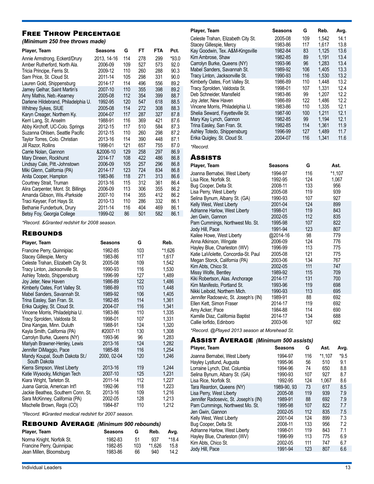## Free Throw Percentage

*(Minimum 250 free throws made)*

| Player, Team                        | Seasons     | G   | FT  | <b>FTA</b> | Pct.    |
|-------------------------------------|-------------|-----|-----|------------|---------|
| Annie Armstrong, Eckerd/Drury       | 2013, 14-16 | 114 | 278 | 299        | $*93.0$ |
| Amber Rutherford, North Ala.        | 2006-09     | 109 | 527 | 573        | 92.0    |
| Tricia Principe, Ferris St.         | 2009-12     | 110 | 260 | 288        | 90.3    |
| Sam Price, St. Cloud St.            | 2011-14     | 105 | 298 | 331        | 90.0    |
| Lauren Gold, Shippensburg           | 2014-17     | 114 | 496 | 556        | 89.2    |
| Jamey Gelhar, Saint Martin's        | 2007-10     | 110 | 355 | 398        | 89.2    |
| Amy Mathis, Neb.-Kearney            | 2005-08     | 112 | 354 | 399        | 88.7    |
| Darlene Hildebrand, Philadelphia U. | 1992-95     | 120 | 547 | 618        | 88.5    |
| Whitney Sykes, SIUE                 | 2005-08     | 114 | 272 | 308        | 88.3    |
| Karyn Creager, Northern Ky.         | 2004-07     | 117 | 287 | 327        | 87.8    |
| Kerri Lang, St. Anselm              | 1988-91     | 116 | 369 | 421        | 87.6    |
| Abby Kirchoff, UC-Colo. Springs     | 2012-15     | 117 | 510 | 584        | 87.3    |
| Suzanna Ohlsen, Seattle Pacific     | 2012-15     | 110 | 260 | 298        | 87.2    |
| Taylor Torres, Colo. Christian      | 2013-16     | 114 | 390 | 448        | 87.1    |
| Jill Razor, Rollins                 | 1998-01     | 121 | 657 | 755        | 87.0    |
| Carrie Nolan, Gannon                | &2006-10    | 129 | 258 | 297        | 86.9    |
| Mary Dineen, Rockhurst              | 2014-17     | 108 | 422 | 486        | 86.8    |
| Lindsay Cale, Pitt.-Johnstown       | 2006-09     | 105 | 257 | 296        | 86.8    |
| Miki Glenn, California (PA)         | 2014-17     | 123 | 724 | 834        | 86.8    |
| Anita Cooper, Hampton               | 1983-86     | 118 | 271 | 313        | 86.6    |
| Courtney Strait, Truman             | 2013-16     | 115 | 312 | 361        | 86.4    |
| Alira Carpenter, Mont. St. Billings | 2006-09     | 113 | 306 | 355        | 86.2    |
| Amanda Gibson, Wis.-Parkside        | 2007-10     | 114 | 355 | 412        | 86.2    |
| Traci Keyser, Fort Hays St.         | 2010-13     | 110 | 286 | 332        | 86.1    |
| Bethanie Funderburk, Drury          | 2011-14     | 116 | 404 | 469        | 86.1    |
| Betsy Foy, Georgia College          | 1999-02     | 86  | 501 | 582        | 86.1    |

*\*Record. &Granted redshirt for 2008 season.*

#### **REBOUNDS**

| Player, Team                                    | Seasons     | G   | Reb.   |
|-------------------------------------------------|-------------|-----|--------|
| Francine Perry, Quinnipiac                      | 1982-85     | 103 | *1,626 |
| Stacey Gillespie, Mercy                         | 1983-86     | 117 | 1,617  |
| Celeste Trahan, Elizabeth City St.              | 2005-08     | 109 | 1,542  |
| Tracy Linton, Jacksonville St.                  | 1990-93     | 116 | 1,530  |
| Ashley Totedo, Shippensburg                     | 1996-99     | 127 | 1,489  |
| Joy Jeter, New Haven                            | 1986-89     | 122 | 1,486  |
| Kimberly Oates, Fort Valley St.                 | 1986-89     | 110 | 1,448  |
| Mabel Sanders, Savannah St.                     | 1989-92     | 106 | 1,405  |
| Trina Easley, San Fran. St.                     | 1982-85     | 114 | 1,361  |
| Erika Quigley, St. Cloud St.                    | 2004-07     | 116 | 1,341  |
| Vincene Morris, Philadelphia U.                 | 1983-86     | 110 | 1,335  |
| Tracy Sprolden, Valdosta St.                    | 1998-01     | 107 | 1.331  |
| Dina Kangas, Minn. Duluth                       | 1988-91     | 124 | 1,320  |
| Kayla Smith, California (PA)                    | #2007-11    | 130 | 1,308  |
| Carrolyn Burke, Queens (NY)                     | 1993-96     | 96  | 1,283  |
| Mariyah Brawner-Henley, Lewis                   | 2013-16     | 124 | 1,282  |
| Jennifer DiMaggio, Pace                         | 1985-88     | 116 | 1,254  |
| Mandy Koupal, South Dakota St./<br>South Dakota | 2000, 02-04 | 120 | 1,246  |
| Kierra Simpson, West Liberty                    | 2013-16     | 119 | 1,244  |
| Katie Wysocky, Michigan Tech                    | 2007-10     | 125 | 1,231  |
| Kiara Wright, Tarleton St.                      | 2011-14     | 112 | 1,227  |
| Juana Garcia, American Int'l                    | 1992-96     | 118 | 1,223  |
| Jackie Beathea, Southern Conn. St.              | 2013-16     | 109 | 1,216  |
| Sara McKinney, California (PA)                  | 2002-05     | 128 | 1,213  |
| Mischelle Brown, Regis (CO)                     | 1984-87     | 110 | 1,212  |

*\*Record. #Granted medical redshirt for 2007 season.* 

## Rebound Average *(Minimum 900 rebounds)*

| Player, Team               | <b>Seasons</b> | G   | Reb.   | Ava.    |
|----------------------------|----------------|-----|--------|---------|
| Norma Knight, Norfolk St.  | 1982-83        | .51 | 937    | $*18.4$ |
| Francine Perry, Quinnipiac | 1982-85        | 103 | *1.626 | 15.8    |
| Jean Millen, Bloomsburg    | 1983-86        | 66  | 940    | 14.2    |

| Player, Team                       | Seasons | G   | Reb.  | Avg. |
|------------------------------------|---------|-----|-------|------|
| Celeste Trahan, Elizabeth City St. | 2005-08 | 109 | 1.542 | 14.1 |
| Stacey Gillespie, Mercy            | 1983-86 | 117 | 1.617 | 13.8 |
| Kay Goodwin, Tex. A&M-Kingsville   | 1982-84 | 83  | 1.125 | 13.6 |
| Kim Ambrose, Shaw                  | 1982-85 | 89  | 1.191 | 13.4 |
| Carrolyn Burke, Queens (NY)        | 1993-96 | 96  | 1.283 | 13.4 |
| Mabel Sanders, Savannah St.        | 1989-92 | 106 | 1.405 | 13.3 |
| Tracy Linton, Jacksonville St.     | 1990-93 | 116 | 1.530 | 13.2 |
| Kimberly Oates, Fort Valley St.    | 1986-89 | 110 | 1.448 | 13.2 |
| Tracy Sprolden, Valdosta St.       | 1998-01 | 107 | 1.331 | 12.4 |
| Deb Schneider, Mansfield           | 1983-86 | 99  | 1.207 | 12.2 |
| Joy Jeter, New Haven               | 1986-89 | 122 | 1.486 | 12.2 |
| Vincene Morris, Philadelphia U.    | 1983-86 | 110 | 1.335 | 12.1 |
| Shelia Seward, Fayetteville St.    | 1987-90 | 100 | 1.211 | 12.1 |
| Mary Kay Lynch, Gannon             | 1982-85 | 99  | 1.194 | 12.1 |
| Trina Easley, San Fran. St.        | 1982-85 | 114 | 1,361 | 11.9 |
| Ashley Totedo, Shippensburg        | 1996-99 | 127 | 1.489 | 11.7 |
| Erika Quigley, St. Cloud St.       | 2004-07 | 116 | 1.341 | 11.6 |
| *Record.                           |         |     |       |      |

### **Assists**

| Player, Team                                        | <b>Seasons</b>     | G         | Ast.       |
|-----------------------------------------------------|--------------------|-----------|------------|
| Joanna Bernabei, West Liberty                       | 1994-97            | 116       | $*1,107$   |
| Lisa Rice, Norfolk St.                              | 1992-95            | 124       | 1,067      |
| Bug Cooper, Delta St.                               | 2008-11            | 133       | 956        |
| Lisa Perry, West Liberty                            | 2005-08            | 119       | 939        |
| Selina Bynum, Albany St. (GA)                       | 1990-93            | 107       | 927        |
| Kelly West, West Liberty                            | 2001-04            | 124       | 899        |
| Adrianne Harlow, West Liberty                       | 1998-01            | 119       | 843        |
| Jen Gwin, Gannon                                    | 2002-05            | 112       | 835        |
| Pam Cummings, Northwest Mo. St.                     | 1995-98            | 107       | 822        |
| Jody Hill, Pace                                     | 1991-94            | 123       | 807        |
| Kailee Howe, West Liberty                           | @2014-16           | 98        | 779        |
| Anna Atkinson, Wingate                              | 2006-09            | 124       | 776        |
| Hayley Blue, Charleston (WV)                        | 1996-99            | 113       | 775        |
| Katie LaViolette, Concordia-St. Paul                | 2005-08            | 121       | 775        |
| Megan Storck, California (PA)                       | 2003-06            | 134       | 767        |
| Kim Abts, Chico St.                                 | 2002-05            | 111       | 747        |
| Missy Wolfe, Bentley                                | 1989-92            | 115       | 709        |
| Kiki Robertson, Alas. Anchorage                     | 2014-17            | 131       | 700        |
| Kim Manifesto, Portland St.                         | 1993-96            | 119       | 698        |
| Nikki Leibold, Northern Mich.                       | 1990-93<br>1989-91 | 113       | 695<br>692 |
| Jennifer Radosevic, St. Joseph's (IN)               | 2014-17            | 88<br>119 | 692        |
| Ellen Kett, Simon Fraser                            | 1984-88            | 114       | 690        |
| Amy Acker, Pace<br>Kamille Diaz, California Baptist | 2014-17            | 134       | 688        |
| Callie lorfido, Edinboro                            | 2003-06            | 107       | 682        |
|                                                     |                    |           |            |

*\*Record. @Played 2013 season at Morehead St.*

| <b>ASSIST AVERAGE (Minimum 500 assists)</b> |  |
|---------------------------------------------|--|
|---------------------------------------------|--|

| Player, Team                          | Seasons     | G   | Ast.     | Avg.   |
|---------------------------------------|-------------|-----|----------|--------|
| Joanna Bernabei, West Liberty         | 1994-97     | 116 | $*1.107$ | $*9.5$ |
| Hayley Lystlund, Augusta              | 1995-96     | 56  | 510      | 9.1    |
| Lorraine Lynch, Dist. Columbia        | 1994-96     | 74  | 650      | 8.8    |
| Selina Bynum, Albany St. (GA)         | 1990-93     | 107 | 927      | 8.7    |
| Lisa Rice, Norfolk St.                | 1992-95     | 124 | 1.067    | 8.6    |
| Tara Reardon, Queens (NY)             | 1989-90, 93 | 73  | 617      | 8.5    |
| Lisa Perry, West Liberty              | 2005-08     | 119 | 939      | 7.9    |
| Jennifer Radosevic, St. Joseph's (IN) | 1989-91     | 88  | 692      | 7.9    |
| Pam Cummings, Northwest Mo. St.       | 1995-98     | 107 | 822      | 7.7    |
| Jen Gwin, Gannon                      | 2002-05     | 112 | 835      | 7.5    |
| Kelly West, West Liberty              | 2001-04     | 124 | 899      | 7.3    |
| Bug Cooper, Delta St.                 | 2008-11     | 133 | 956      | 7.2    |
| Adrianne Harlow, West Liberty         | 1998-01     | 119 | 843      | 7.1    |
| Hayley Blue, Charleston (WV)          | 1996-99     | 113 | 775      | 6.9    |
| Kim Abts, Chico St.                   | 2002-05     | 111 | 747      | 6.7    |
| Jody Hill, Pace                       | 1991-94     | 123 | 807      | 6.6    |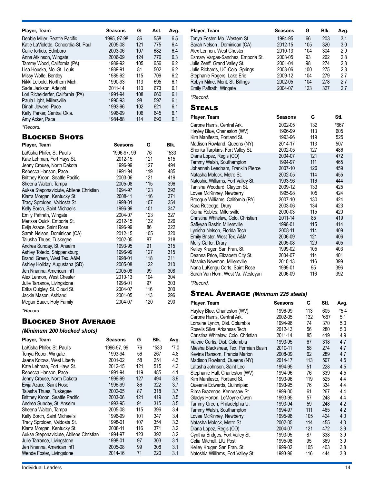| Player, Team                                                                                                                                                                                                                                                                                                                                                                                                                                                                                                                                                  | <b>Seasons</b>                                                                                                                                                                                         | G                              | Ast.                                                                                                                   | Avg.                                                                                                                        |
|---------------------------------------------------------------------------------------------------------------------------------------------------------------------------------------------------------------------------------------------------------------------------------------------------------------------------------------------------------------------------------------------------------------------------------------------------------------------------------------------------------------------------------------------------------------|--------------------------------------------------------------------------------------------------------------------------------------------------------------------------------------------------------|--------------------------------|------------------------------------------------------------------------------------------------------------------------|-----------------------------------------------------------------------------------------------------------------------------|
| Debbie Miller, Seattle Pacific<br>Katie LaViolette, Concordia-St. Paul<br>Callie Iorfido, Edinboro<br>Anna Atkinson, Wingate                                                                                                                                                                                                                                                                                                                                                                                                                                  | 1995, 97-98<br>2005-08<br>2003-06<br>2006-09                                                                                                                                                           | 86<br>121<br>107<br>124        | 558<br>775<br>682<br>776                                                                                               | 6.5<br>6.4<br>6.4<br>6.3                                                                                                    |
| Tammy Wood, California (PA)<br>Lisa Houska, Mo.-St. Louis<br>Missy Wolfe, Bentley                                                                                                                                                                                                                                                                                                                                                                                                                                                                             | 1989-92<br>1989-91<br>1989-92<br>1990-93                                                                                                                                                               | 105<br>81<br>115<br>113        | 656<br>502<br>709<br>695                                                                                               | 6.2<br>6.2<br>6.2<br>6.1                                                                                                    |
| Nikki Leibold, Northern Mich.<br>Sade Jackson, Adelphi                                                                                                                                                                                                                                                                                                                                                                                                                                                                                                        | 2011-14                                                                                                                                                                                                | 110                            | 673                                                                                                                    | 6.1                                                                                                                         |
| Lori Richelderfer, California (PA)<br>Paula Light, Millersville<br>Dinah Jowers, Pace<br>Kelly Parker, Central Okla.<br>Amy Acker, Pace                                                                                                                                                                                                                                                                                                                                                                                                                       | 1991-94<br>1990-93<br>1993-96<br>1996-99<br>1984-88                                                                                                                                                    | 108<br>98<br>102<br>106<br>114 | 660<br>597<br>621<br>645<br>690                                                                                        | 6.1<br>6.1<br>6.1<br>6.1<br>6.1                                                                                             |
| *Record.                                                                                                                                                                                                                                                                                                                                                                                                                                                                                                                                                      |                                                                                                                                                                                                        |                                |                                                                                                                        |                                                                                                                             |
| <b>BLOCKED SHOTS</b><br>Player, Team                                                                                                                                                                                                                                                                                                                                                                                                                                                                                                                          | <b>Seasons</b>                                                                                                                                                                                         |                                | G                                                                                                                      | Blk.                                                                                                                        |
| LaKisha Phifer, St. Paul's<br>Kate Lehman, Fort Hays St.<br>Jenny Crouse, North Dakota<br>Rebecca Hanson, Pace<br>Brittney Kroon, Seattle Pacific<br>Sheena Walton, Tampa<br>Aukse Steponaviciute, Abilene Christian<br>Kiarra Morgan, Kentucky St.<br>Tracy Sprolden, Valdosta St.<br>Kelly Borch, Saint Michael's<br>Emily Paffrath, Wingate<br>Merissa Quick, Emporia St.<br>Evija Azace, Saint Rose<br>Sarah Nelson, Dominican (CA)<br>Talusha Thues, Tuskegee<br>Andrea Sunday, St. Anselm<br>Ashley Totedo, Shippensburg<br>Brandi Green, West Tex. A&M | 1996-97, 99<br>2012-15<br>1996-99<br>1991-94<br>2003-06<br>2005-08<br>1994-97<br>2008-11<br>1998-01<br>1996-99<br>2004-07<br>2012-15<br>1996-99<br>2012-15<br>2002-05<br>1993-95<br>1996-99<br>1998-01 |                                | 76<br>121<br>127<br>119<br>121<br>115<br>123<br>116<br>107<br>101<br>123<br>132<br>86<br>105<br>87<br>91<br>127<br>118 | *533<br>515<br>494<br>485<br>419<br>396<br>392<br>371<br>354<br>347<br>327<br>326<br>322<br>320<br>318<br>315<br>315<br>311 |
| Ashley Holiday, Augustana (SD)<br>Jen Nnanna, American Int'l                                                                                                                                                                                                                                                                                                                                                                                                                                                                                                  | 2005-08<br>2005-08                                                                                                                                                                                     |                                | 122<br>99                                                                                                              | 310<br>308                                                                                                                  |
| Alex Lennon, West Chester<br>Julie Tarrance, Livingstone<br>Erika Quigley, St. Cloud St.<br>Jackie Mason, Ashland<br>Megan Bauer, Holy Family<br>*Record.                                                                                                                                                                                                                                                                                                                                                                                                     | 2010-13<br>1998-01<br>2004-07<br>2001-05<br>2004-07                                                                                                                                                    |                                | 104<br>97<br>116<br>113<br>120                                                                                         | 304<br>303<br>300<br>296<br>290                                                                                             |

## Blocked Shot Average

## *(Minimum 200 blocked shots)*

| Player, Team                            | Seasons     | G   | Blk. | Avg.   |
|-----------------------------------------|-------------|-----|------|--------|
| LaKisha Phifer, St. Paul's              | 1996-97, 99 | 76  | *533 | $*7.0$ |
| Tonya Roper, Wingate                    | 1993-94     | 56  | 267  | 4.8    |
| Jaana Kotova, West Liberty              | 2001-02     | 58  | 251  | 4.3    |
| Kate Lehman, Fort Hays St.              | 2012-15     | 121 | 515  | 4.3    |
| Rebecca Hanson, Pace                    | 1991-94     | 119 | 485  | 4.1    |
| Jenny Crouse, North Dakota              | 1996-99     | 127 | 494  | 3.9    |
| Evija Azace, Saint Rose                 | 1996-99     | 86  | 322  | 3.7    |
| Talasha Thues, Tuskegee                 | 2002-05     | 87  | 318  | 3.7    |
| Brittney Kroon, Seattle Pacific         | 2003-06     | 121 | 419  | 3.5    |
| Andrea Sunday, St. Anselm               | 1993-95     | 91  | 315  | 3.5    |
| Sheena Walton, Tampa                    | 2005-08     | 115 | 396  | 3.4    |
| Kelly Borch, Saint Michael's            | 1996-99     | 101 | 347  | 3.4    |
| Tracy Sprolden, Valdosta St.            | 1998-01     | 107 | 354  | 3.3    |
| Kiarra Morgan, Kentucky St.             | 2008-11     | 116 | 371  | 3.2    |
| Aukse Steponaviciute, Abilene Christian | 1994-97     | 123 | 392  | 3.2    |
| Julie Tarrance, Livingstone             | 1998-01     | 97  | 303  | 3.1    |
| Jen Nnanna, American Int'l              | 2005-08     | 99  | 308  | 3.1    |
| Wende Foster, Livingstone               | 2014-16     | 71  | 220  | 3.1    |

| Player, Team                       | Seasons | G   | Blk. | Avg. |
|------------------------------------|---------|-----|------|------|
| Tonya Foster, Mo. Western St.      | 1994-95 | 66  | 203  | 3.1  |
| Sarah Nelson, Dominican (CA)       | 2012-15 | 105 | 320  | 3.0  |
| Alex Lennon, West Chester          | 2010-13 | 104 | 304  | 2.9  |
| Esmary Vargas-Sanchez, Emporia St. | 2003-05 | 93  | 262  | 2.8  |
| Julie Zeeff, Grand Valley St.      | 2001-04 | 98  | 274  | 2.8  |
| Julie Richards, UC-Colo. Springs   | 2003-06 | 100 | 275  | 2.8  |
| Stephanie Rogers, Lake Erie        | 2009-12 | 104 | 279  | 2.7  |
| Robyn Milne, Mont. St. Billings    | 2002-05 | 104 | 278  | 27   |
| Emily Paffrath, Wingate            | 2004-07 | 123 | 327  | 2.7  |
| *Record.                           |         |     |      |      |

### **STEALS**

| Player, Team                        | Seasons | G   | Stl. |
|-------------------------------------|---------|-----|------|
| Carone Harris, Central Ark.         | 2002-05 | 132 | *667 |
| Hayley Blue, Charleston (WV)        | 1996-99 | 113 | 605  |
| Kim Manifesto, Portland St.         | 1993-96 | 119 | 525  |
| Madison Rowland, Queens (NY)        | 2014-17 | 113 | 507  |
| Sherika Tarpkins, Fort Valley St.   | 2002-05 | 127 | 486  |
| Diana Lopez, Regis (CO)             | 2004-07 | 121 | 472  |
| Tammy Walsh, Southampton            | 1994-97 | 111 | 465  |
| Johannah Leedham, Franklin Pierce   | 2007-10 | 126 | 459  |
| Natasha Molock, Metro St.           | 2002-05 | 114 | 455  |
| Natoshia Williams, Fort Valley St.  | 1993-96 | 116 | 444  |
| Tanisha Woodard, Clayton St.        | 2009-12 | 133 | 425  |
| Lovee McKinney, Newberry            | 1995-98 | 105 | 424  |
| Brooque Williams, California (PA)   | 2007-10 | 130 | 424  |
| Kara Rutledge, Drury                | 2003-06 | 134 | 423  |
| Gema Robles, Millersville           | 2000-03 | 115 | 420  |
| Christina Whitelaw, Colo. Christian | 2011-14 | 85  | 419  |
| Safiyyah Bashir, Millersville       | 1998-01 | 115 | 414  |
| Lynisha Nelson, Florida Tech        | 2008-11 | 114 | 409  |
| Emily Brister, West Tex. A&M        | 2006-09 | 121 | 406  |
| Molly Carter, Drury                 | 2005-08 | 129 | 405  |
| Kelley Kruger, San Fran. St.        | 1999-02 | 105 | 403  |
| Deanna Price, Elizabeth City St.    | 2004-07 | 114 | 401  |
| Mashira Newman, Millersville        | 2010-13 | 116 | 399  |
| Nana LuKengu Corts, Saint Rose      | 1999-01 | 95  | 396  |
| Sarah Van Horn, West Va. Wesleyan   | 2006-09 | 116 | 392  |
| *Record.                            |         |     |      |

## Steal Average *(Minimum 225 steals)*

| Player, Team                          | Seasons | G   | StI. | Avg.   |
|---------------------------------------|---------|-----|------|--------|
| Hayley Blue, Charleston (WV)          | 1996-99 | 113 | 605  | $*5.4$ |
| Carone Harris, Central Ark.           | 2002-05 | 132 | *667 | 5.1    |
| Lorraine Lynch, Dist. Columbia        | 1994-96 | 74  | 370  | 5.0    |
| Roselis Silva, Arkansas Tech          | 2012-13 | 56  | 280  | 5.0    |
| Christina Whitelaw, Colo. Christian   | 2011-14 | 85  | 419  | 4.9    |
| Valerie Curtis, Dist. Columbia        | 1993-95 | 67  | 318  | 4.7    |
| Miesha Blackshear, Tex. Permian Basin | 2010-11 | 58  | 274  | 4.7    |
| Kevina Ransom, Francis Marion         | 2008-09 | 62  | 289  | 4.7    |
| Madison Rowland, Queens (NY)          | 2014-17 | 113 | 507  | 4.5    |
| Latasha Johnson, Saint Leo            | 1994-95 | 51  | 228  | 4.5    |
| Stephanie Hall, Charleston (WV)       | 1994-96 | 76  | 339  | 4.5    |
| Kim Manifesto, Portland St.           | 1993-96 | 119 | 525  | 4.4    |
| Queenie Edwards, Quinnipiac           | 1993-95 | 76  | 334  | 4.4    |
| Rima Brazenas, Kennesaw St.           | 1999-00 | 61  | 267  | 4.4    |
| Gladys Horton, LeMoyne-Owen           | 1993-95 | 57  | 248  | 4.4    |
| Tammy Green, Philadelphia U.          | 1993-94 | 59  | 248  | 4.2    |
| Tammy Walsh, Southampton              | 1994-97 | 111 | 465  | 4.2    |
| Lovee McKinney, Newberry              | 1995-98 | 105 | 424  | 4.0    |
| Natasha Molock, Metro St.             | 2002-05 | 114 | 455  | 4.0    |
| Diana Lopez, Regis (CO)               | 2004-07 | 121 | 472  | 3.9    |
| Cynthia Bridges, Fort Valley St.      | 1993-95 | 87  | 338  | 3.9    |
| Celia Mitchell, LIU Post              | 1995-98 | 95  | 369  | 3.9    |
| Kelley Kruger, San Fran. St.          | 1999-02 | 105 | 403  | 3.8    |
| Natoshia Williams, Fort Valley St.    | 1993-96 | 116 | 444  | 3.8    |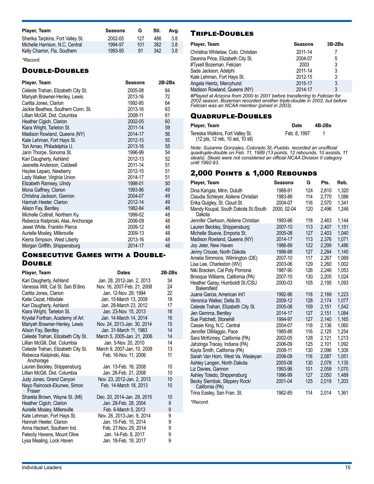| Player, Team                      | <b>Seasons</b> | G   | Stl. | Ava. |
|-----------------------------------|----------------|-----|------|------|
| Sherika Tarpkins, Fort Valley St. | 2002-05        | 127 | 486  | 3.8  |
| Michelle Harrison, N.C. Central   | 1994-97        | 101 | 382  | 3.8  |
| Kelly Charron, Fla. Southern      | 1993-95        | 91  | 342  | 3.8  |
|                                   |                |     |      |      |

*\*Record.* 

## Double-Doubles

| Player, Team                        | <b>Seasons</b> | $2B-2Bs$ |
|-------------------------------------|----------------|----------|
| Celeste Trahan, Elizabeth City St.  | 2005-08        | 84       |
| Mariyah Brawner-Henley, Lewis       | 2013-16        | 72       |
| Carlita Jones, Clarion              | 1992-95        | 64       |
| Jackie Beathea, Southern Conn. St.  | 2013-16        | 63       |
| Lillian McGill, Dist. Columbia      | 2008-11        | 61       |
| Heather Cigich, Clarion             | 2002-05        | 60       |
| Kiara Wright, Tarleton St.          | 2011-14        | 59       |
| Madison Rowland, Queens (NY)        | 2014-17        | 56       |
| Kate Lehman, Fort Hays St.          | 2012-15        | 55       |
| Tori Arnao, Philadelphia U.         | 2013-16        | 55       |
| Jann Thorpe, Sonoma St.             | 1996-99        | 54       |
| Kari Daugherty, Ashland             | 2012-13        | 52       |
| Jeanette Anderson, Caldwell         | 2011-14        | 51       |
| Haylee Lepaio, Newberry             | 2012-15        | 51       |
| Lady Walker, Virginia Union         | 2014-17        | 51       |
| Elizabeth Ramsey, Ulndy             | 1998-01        | 50       |
| Mona Gaffney, Clarion               | 1993-96        | 49       |
| Christina Jackson, Gannon           | 2004-07        | 49       |
| Hannah Heeter, Clarion              | 2012-14        | 49       |
| Alison Fay, Bentley                 | 1982-84        | 48       |
| Michelle Cottrell, Northern Ky.     | 1999-02        | 48       |
| Rebecca Kielpinski, Alas. Anchorage | 2006-09        | 48       |
| Jewel White, Franklin Pierce        | 2009-12        | 48       |
| Aurielle Mosley, Millersville       | 2009-13        | 48       |
| Kierra Simpson, West Liberty        | 2013-16        | 48       |
| Morgan Griffith, Shippensburg       | 2014-17        | 48       |

#### Consecutive Games with a Double-**DOUBLE**

| Player, Team                           | <b>Dates</b>                | $2B-2Bs$ |
|----------------------------------------|-----------------------------|----------|
| Kari Daugherty, Ashland                | Jan. 28, 2012-Jan. 2, 2013  | 34       |
| Vanessa Wilt, Cal St. San B'dino       | Nov. 16, 2007-Feb. 21, 2008 | 24       |
| Carlita Jones, Clarion                 | Jan. 12-Nov. 29, 1994       | 22       |
| Katie Cezat. Hillsdale                 | Jan. 15-March 13, 2009      | 18       |
| Kari Daugherty, Ashland                | Jan. 28-March 23, 2012      | 17       |
| Kiara Wright, Tarleton St.             | Jan. 23-Nov. 15, 2013       | 16       |
| Krystal Forthan, Academy of Art        | Jan. 14-March 14, 2014      | 16       |
| Mariyah Brawner-Henley, Lewis          | Nov. 24, 2013-Jan. 30, 2014 | 15       |
| Alison Fay, Bentley                    | Jan. 31-March 11, 1983      | 14       |
| Celeste Trahan, Elizabeth City St.     | March 5, 2005-Jan. 21, 2006 | 14       |
| Lillian McGill, Dist. Columbia         | Jan. 5-Nov. 20, 2010        | 14       |
| Celeste Trahan, Elizabeth City St.     | March 9, 2007-Jan. 10, 2008 | 13       |
| Rebecca Kielpinski, Alas.<br>Anchorage | Feb. 16-Nov. 11, 2006       | 11       |
| Lauren Beckley, Shippensburg           | Jan. 13-Feb. 16, 2008       | 10       |
| Lillian McGill, Dist. Columbia         | Jan. 26-Feb. 21, 2008       | 10       |
| Judy Jones, Grand Canyon               | Nov. 23, 2012-Jan. 2, 2013  | 10       |
| Nayo Raincock-Ekunwe, Simon<br>Fraser  | Feb. 14-March 18, 2013      | 10       |
| Shareta Brown, Wayne St. (MI)          | Dec. 20, 2014-Jan. 29, 2015 | 10       |
| Heather Cigich, Clarion                | Jan. 28-Feb. 28, 2004       | 9        |
| Aurielle Mosley, Millersville          | Feb. 6-March 5, 2013        | 9        |
| Kate Lehman, Fort Hays St.             | Nov. 26, 2013-Jan. 9, 2014  | 9        |
| Hannah Heeter, Clarion                 | Jan. 15-Feb. 15, 2014       | 9        |
| Anna Hackert, Southern Ind.            | Feb. 27-Nov. 29, 2014       | 9        |
| Felecity Havens, Mount Olive           | Jan. 14-Feb. 8, 2017        | 9        |
| Lysa Mealing, Lock Haven               | Jan. 18-Feb. 18, 2017       | 9        |

## Triple-Doubles

| Player, Team                        | <b>Seasons</b> | $3B-2Bs$ |
|-------------------------------------|----------------|----------|
| Christina Whitelaw, Colo. Christian | 2011-14        |          |
| Deanna Price, Elizabeth City St.    | 2004-07        | 5        |
| #Tysell Bozeman, Felician           | 2003           | 3        |
| Sade Jackson, Adelphi               | 2011-14        | 3        |
| Kate Lehman, Fort Hays St.          | 2012-15        | 3        |
| Angela Heintz, Mercyhurst           | 2015-17        | 3        |
| Madison Rowland, Queens (NY)        | 2014-17        | 3        |
|                                     |                |          |

*#Played at Arizona from 2000 to 2001 before transferring to Felician for 2002 season. Bozeman recorded another triple-double in 2002, but before Felician was an NCAA member (joined in 2003).*

## Quadruple-Doubles

| Player, Team                                                                                          | Date         | 4B-2Bs |
|-------------------------------------------------------------------------------------------------------|--------------|--------|
| Tereska Watkins, Fort Valley St.<br>$(12 \text{ pts}, 12 \text{ reb}, 10 \text{ ast}, 10 \text{ st})$ | Feb. 8. 1997 |        |

*Note: Suzanne Gonzales, Colorado St.-Pueblo, recorded an unofficial quadruple-double on Feb. 11, 1989 (13 points, 12 rebounds, 10 assists, 11 steals). Steals were not considered an official NCAA Division II category until 1992-93.*

## 2,000 Points & 1,000 Rebounds

| Player, Team                                     | <b>Seasons</b> | G   | Pts.  | Reb.  |
|--------------------------------------------------|----------------|-----|-------|-------|
| Dina Kangas, Minn. Duluth                        | 1988-91        | 124 | 2,810 | 1,320 |
| Claudia Schleyer, Abilene Christian              | 1983-86        | 114 | 2.770 | 1.086 |
| Erika Quigley, St. Cloud St.                     | 2004-07        | 116 | 2,570 | 1,341 |
| Mandy Koupal, South Dakota St./South<br>Dakota   | 2000, 02-04    | 120 | 2,496 | 1,246 |
| Jennifer Clarkson, Abilene Christian             | 1993-96        | 118 | 2,463 | 1,144 |
| Lauren Beckley, Shippensburg                     | 2007-10        | 113 | 2.407 | 1.151 |
| Michelle Stueve, Emporia St.                     | 2005-08        | 127 | 2,403 | 1.040 |
| Madison Rowland, Queens (NY)                     | 2014-17        | 113 | 2,376 | 1,071 |
| Joy Jeter, New Haven                             | 1986-89        | 122 | 2.299 | 1.486 |
| Jenny Crouse, North Dakota                       | 1996-99        | 127 | 2.284 | 1,145 |
| Amelia Simmons, Wilmington (DE)                  | 2007-10        | 117 | 2,267 | 1,069 |
| Lisa Lee, Charleston (WV)                        | 2003-06        | 129 | 2,260 | 1,002 |
| Niki Bracken, Cal Poly Pomona                    | 1987-90        | 126 | 2,246 | 1,053 |
| Brooque Williams, California (PA)                | 2007-10        | 130 | 2,205 | 1,024 |
| Heather Garay, Humboldt St./CSU<br>Bakersfield   | 2000-03        | 105 | 2,195 | 1.093 |
| Juana Garcia, American Int'l                     | 1992-96        | 118 | 2,189 | 1,223 |
| Veronica Walker, Delta St.                       | 2009-12        | 128 | 2,174 | 1,077 |
| Celeste Trahan, Elizabeth City St.               | 2005-08        | 109 | 2,151 | 1,542 |
| Jen Gemma, Bentley                               | 2014-17        | 127 | 2.151 | 1.084 |
| Sue Patchett, Stonehill                          | 1994-97        | 127 | 2,140 | 1,165 |
| Cassie King, N.C. Central                        | 2004-07        | 118 | 2.136 | 1.060 |
| Jennifer DiMaggio, Pace                          | 1985-88        | 116 | 2,125 | 1.254 |
| Sara McKinney, California (PA)                   | 2002-05        | 128 | 2,121 | 1,213 |
| Jahzinga Tracey, Indiana (PA)                    | 2006-09        | 125 | 2.101 | 1.092 |
| Kayla Smith, California (PA)                     | 2008-11        | 130 | 2,096 | 1,308 |
| Sarah Van Horn, West Va. Wesleyan                | 2006-09        | 116 | 2,087 | 1,051 |
| Ashley Langen, North Dakota                      | 2005-08        | 130 | 2,078 | 1,135 |
| Liz Davies, Gannon                               | 1993-96        | 101 | 2,059 | 1,070 |
| Ashley Totedo, Shippensburg                      | 1996-99        | 127 | 2,050 | 1,489 |
| Becky Siembak, Slippery Rock/<br>California (PA) | 2001-04        | 125 | 2.019 | 1.203 |
| Trina Easley, San Fran. St.                      | 1982-85        | 114 | 2.014 | 1,361 |
|                                                  |                |     |       |       |

*\*Record.*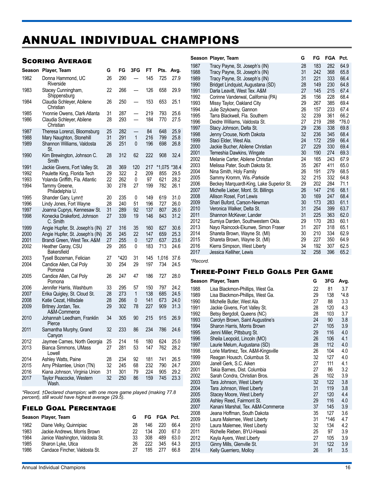# ANNUAL INDIVIDUAL CHAMPIONS

## Scoring Average

| Season       | Player, Team                                                           | G        | FG         | 3FG                                  | FT         | Pts.       | Avg.         |
|--------------|------------------------------------------------------------------------|----------|------------|--------------------------------------|------------|------------|--------------|
| 1982         | Donna Hammond, UC<br>Riverside                                         | 26       | 290        | $\overline{\phantom{0}}$             | 145        | 725        | 27.9         |
| 1983         | Stacey Cunningham,<br>Shippensburg                                     | 22       | 266        | $\overline{\phantom{0}}$             | 126        | 658        | 29.9         |
| 1984         | Claudia Schleyer, Abilene<br>Christian                                 | 26       | 250        |                                      | 153        | 653        | 25.1         |
| 1985<br>1986 | Yvonnie Owens, Clark Atlanta<br>Claudia Schleyer, Abilene<br>Christian | 31<br>28 | 287<br>293 | $\equiv$<br>$\overline{\phantom{0}}$ | 219<br>184 | 793<br>770 | 25.6<br>27.5 |
| 1987         | Theresa Lorenzi, Bloomsburg                                            | 25       | 282        |                                      | 84         | 648        | 25.9         |
| 1988<br>1989 | Mary Naughton, Stonehill<br>Shannon Williams, Valdosta<br>St.          | 31<br>26 | 291<br>251 | 1<br>0                               | 216<br>196 | 799<br>698 | 25.8<br>26.8 |
| 1990         | Kim Brewington, Johnson C.<br>Smith                                    | 28       | 312        | 62                                   | 222        | 908        | 32.4         |
| 1991         | Jackie Givens, Fort Valley St.                                         | 28       | 369        | 120                                  | 217        | *1,075     | $*38.4$      |
| 1992         | Paulette King, Florida Tech                                            | 29       | 322        | $\overline{2}$                       | 209        | 855        | 29.5         |
| 1993         | Yolanda Griffith, Fla. Atlantic                                        | 22       | 262        | 0                                    | 97         | 621        | 28.2         |
| 1994         | Tammy Greene,<br>Philadelphia U.                                       | 30       | 278        | 27                                   | 199        | 782        | 26.1         |
| 1995         | Shander Gary, Lynn†                                                    | 20       | 235        | 0                                    | 149        | 619        | 31.0         |
| 1996         | Lindy Jones, Fort Wayne                                                | 28       | 240        | 51                                   | 196        | 727        | 26.0         |
| 1997         | Joanna Cuprys, Kennesaw St.                                            | 31       | 289        | 92                                   | 137        | 807        | 26.0         |
| 1998         | Konecka Drakeford, Johnson<br>C. Smith                                 | 27       | 339        | 19                                   | 146        | 843        | 31.2         |
| 1999         | Angie Hupfer, St. Joseph's (IN)                                        | 27       | 316        | 35                                   | 160        | 827        | 30.6         |
| 2000         | Angie Hupfer, St. Joseph's (IN)                                        | 26       | 245        | 22                                   | 147        | 659        | 25.3         |
| 2001         | Brandi Green, West Tex. A&M                                            | 27       | 255        | 0                                    | 127        | 637        | 23.6         |
| 2002         | Heather Garay, CSU<br><b>Bakersfield</b>                               | 29       | 265        | 0                                    | 183        | 713        | 24.6         |
| 2003         | Tysell Bozeman, Felician                                               | 27       | *420       | 31                                   | 145        | 1,016      | 37.6         |
| 2004         | Candice Allen, Cal Poly<br>Pomona                                      | 30       | 254        | 29                                   | 197        | 734        | 24.5         |
| 2005         | Candice Allen, Cal Poly<br>Pomona                                      | 26       | 247        | 47                                   | 186        | 727        | 28.0         |
| 2006         | Jennifer Harris, Washburn                                              | 33       | 295        | 57                                   | 150        | 797        | 24.2         |
| 2007         | Erika Quigley, St. Cloud St.                                           | 28       | 273        | 1                                    | 138        | 685        | 24.5         |
| 2008         | Katie Cezat, Hillsdale                                                 | 28       | 266        | 0                                    | 141        | 673        | 24.0         |
| 2009         | Britney Jordan, Tex.<br>A&M-Commerce                                   | 29       | 302        | 78                                   | 227        | 909        | 31.3         |
| 2010         | Johannah Leedham, Franklin<br>Pierce                                   | 34       | 305        | 90                                   | 215        | 915        | 26.9         |
| 2011         | Samantha Murphy, Grand<br>Canyon                                       | 32       | 233        | 86                                   | 234        | 786        | 24.6         |
| 2012         | Jaymee Carnes, North Georgia                                           | 25       | 214        | 16                                   | 180        | 624        | 25.0         |
| 2013         | Bianca Simmons, UMass<br>Lowell                                        | 27       | 281        | 53                                   | 147        | 762        | 28.2         |
| 2014         | Ashley Watts, Paine                                                    | 28       | 234        | 92                                   | 181        | 741        | 26.5         |
| 2015         | Amy Philamlee, Union (TN)                                              | 32       | 245        | 68                                   | 232        | 790        | 24.7         |
| 2016         | Kiana Johnson, Virginia Union                                          | 31       | 301        | 79                                   | 224        | 905        | 29.2         |
| 2017         | Taylor Peacocke, Western<br>Wash.                                      | 32       | 250        | 86                                   | 159        | 745        | 23.3         |
|              |                                                                        |          |            |                                      |            |            |              |

*\*Record. †Declared champion; with one more game played (making 77.8 percent), still would have highest average (29.5).*

#### Field Goal Percentage

|      | Season Player, Team             |    |     | FG FGA Pct. |      |  |
|------|---------------------------------|----|-----|-------------|------|--|
| 1982 | Diane Velky, Quinnipiac         | 28 | 146 | 220         | 66.4 |  |
| 1983 | Jackie Andrews, Morris Brown    | 22 | 134 | 200         | 67.0 |  |
| 1984 | Janice Washington, Valdosta St. | 33 | 308 | 489         | 63.0 |  |
| 1985 | Sharon Lyke, Utica              | 26 | 222 | 345         | 64.3 |  |
| 1986 | Candace Fincher, Valdosta St.   | 27 | 185 | 277         | 66.8 |  |

|              | Season Player, Team                                             | G        | FG         | FGA        | Pct.          |
|--------------|-----------------------------------------------------------------|----------|------------|------------|---------------|
| 1987         | Tracy Payne, St. Joseph's (IN)                                  | 28       | 183        | 282        | 64.9          |
| 1988         | Tracy Payne, St. Joseph's (IN)                                  | 31       | 242        | 368        | 65.8          |
| 1989         | Tracy Payne, St. Joseph's (IN)                                  | 31       | 221        | 333        | 66.4          |
| 1990         | Bridget Lindquist, Augustana (SD)                               | 28       | 149        | 230        | 64.8          |
| 1991         | Darla Leavitt, West Tex. A&M                                    | 27       | 145        | 215        | 67.4          |
| 1992         | Corinne Vanderwal, California (PA)                              | 26       | 156        | 228        | 68.4          |
| 1993         | Missy Taylor, Oakland City                                      | 29       | 267        | 385        | 69.4          |
| 1994         | Julie Szykowny, Gannon                                          | 26<br>32 | 157<br>239 | 233        | 67.4          |
| 1995<br>1996 | Tarra Blackwell, Fla. Southern<br>Deidre Williams, Valdosta St. | 27       | 219        | 361<br>288 | 66.2<br>*76.0 |
| 1997         | Stacy Johnson, Delta St.                                        | 29       | 236        | 338        | 69.8          |
| 1998         | Jenny Crouse, North Dakota                                      | 32       | 236        | 345        | 68.4          |
| 1999         | Staci Elder, West Ala.                                          | 24       | 172        | 259        | 66.4          |
| 2000         | Jackie Bucher, Abilene Christian                                | 27       | 229        | 330        | 69.4          |
| 2001         | Temeshia Dawkins, Wingate                                       | 30       | 190        | 274        | 69.3          |
| 2002         | Melanie Carter, Abilene Christian                               | 24       | 165        | 243        | 67.9          |
| 2003         | Melissa Pater, South Dakota St.                                 | 35       | 267        | 411        | 65.0          |
| 2004         | Nina Smith, Holy Family                                         | 26       | 191        | 279        | 68.5          |
| 2005         | Sammy Kromm, Wis.-Parkside                                      | 32       | 215        | 332        | 64.8          |
| 2006         | Beckey Marquardt-King, Lake Superior St.                        | 29       | 202        | 284        | 71.1          |
| 2007         | Michelle Lieber, Mont. St. Billings                             | 26       | 147        | 216        | 68.1          |
| 2008         | Allison Rosel, Fort Lewis                                       | 30       | 169        | 247        | 68.4          |
| 2009         | Shari Buford, Carson-Newman                                     | 30       | 173        | 283        | 61.1          |
| 2010         | Veronica Walker, Delta St.                                      | 31       | 254        | 399        | 63.7          |
| 2011         | Shannon McKever, Lander                                         | 31       | 225        | 363        | 62.0          |
| 2012         | Sumiya Darden, Southwestern Okla.                               | 29       | 170        | 283        | 60.1          |
| 2013         | Nayo Raincock-Ekunwe, Simon Fraser                              | 31       | 207        | 318        | 65.1          |
| 2014         | Shareta Brown, Wayne St. (MI)                                   | 30       | 210        | 334        | 62.9          |
| 2015<br>2016 | Shareta Brown, Wayne St. (MI)<br>Kierra Simpson, West Liberty   | 29<br>34 | 227<br>192 | 350<br>307 | 64.9<br>62.5  |
| 2017         | Jessica Kelliher, Lewis                                         | 32       | 258        | 396        | 65.2          |
|              |                                                                 |          |            |            |               |

*\*Record.*

#### Three-Point Field Goals Per Game

|              | Season Player, Team                                          | G        | 3FG        | Avg.       |
|--------------|--------------------------------------------------------------|----------|------------|------------|
| 1988         | Lisa Blackmon-Phillips, West Ga.                             | 22       | 81         | 3.7        |
| 1989         | Lisa Blackmon-Phillips, West Ga.                             | 29       | 138        | $*4.8$     |
| 1990         | Michelle Butler, West Ala.                                   | 27       | 88         | 3.3        |
| 1991         | Jackie Givens, Fort Valley St.                               | 28       | 120        | 4.3        |
| 1992         | Betsy Bergdoll, Queens (NC)                                  | 28       | 103        | 3.7        |
| 1993         | Carolyn Brown, Saint Augustine's                             | 24       | 90         | 3.8        |
| 1994         | Sharon Harris, Morris Brown                                  | 27       | 105        | 3.9        |
| 1995         | Jenni Miller, Pittsburg St.                                  | 29       | 116        | 4.0        |
| 1996<br>1997 | Sheila Leopold, Lincoln (MO)<br>Laurie Melum, Augustana (SD) | 26<br>28 | 106<br>112 | 4.1<br>4.0 |
| 1998         | Lorie Martinez, Tex. A&M-Kingsville                          | 26       | 104        | 4.0        |
| 1999         | Reagan Housch, Columbus St.                                  | 32       | 127        | 4.0        |
| 2000         | Janell Gerk, S.C. Aiken                                      | 27       | 111        | 4.1        |
| 2001         | Takia Barnes, Dist. Columbia                                 | 27       | 86         | 3.2        |
| 2002         | Sarah Condra, Christian Bros.                                | 26       | 102        | 3.9        |
| 2003         | Tara Johnson, West Liberty                                   | 32       | 122        | 3.8        |
| 2004         | Tara Johnson, West Liberty                                   | 31       | 119        | 3.8        |
| 2005         | Stacey Moore, West Liberty                                   | 27       | 120        | 4.4        |
| 2006         | Ashley Reed, Fairmont St.                                    | 29       | 116        | 4.0        |
| 2007         | Kanani Marshal, Tex. A&M-Commerce                            | 37       | 145        | 3.9        |
| 2008         | Jeana Hoffman, South Dakota                                  | 35       | 127        | 3.6        |
| 2009         | Laura Malernee, West Liberty                                 | 31       | *146       | 4.7        |
| 2010         | Laura Malernee, West Liberty                                 | 32       | 134        | 4.2        |
| 2011<br>2012 | Richelle Rieben, BYU-Hawaii                                  | 25<br>27 | 97<br>105  | 3.9<br>3.9 |
| 2013         | Kayla Ayers, West Liberty<br>Ginny Mills, Glenville St.      | 31       | 122        | 3.9        |
| 2014         | Kelly Guerriero, Molloy                                      | 26       | 91         | 3.5        |
|              |                                                              |          |            |            |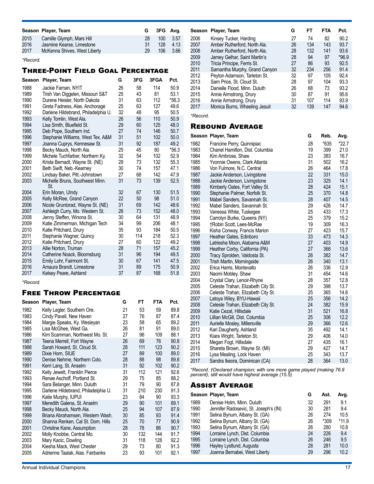|      | Season Player, Team          |     | G 3FG Ava. |      |
|------|------------------------------|-----|------------|------|
| 2015 | Camille Glymph, Mars Hill    | 28  | 100        | 3.57 |
| 2016 | Jasmine Kearse, Limestone    | -31 | 128        | 4.13 |
| 2017 | McKenna Shives, West Liberty | 29  | 106        | 3.66 |

*\*Record.*

## Three-Point Field Goal Percentage

| Season | Player, Team                           | G  | 3FG | 3FGA | Pct.    |
|--------|----------------------------------------|----|-----|------|---------|
| 1988   | Jackie Farnan, NYIT                    | 26 | 58  | 114  | 50.9    |
| 1989   | Trish Van Diggelen, Missouri S&T       | 25 | 43  | 81   | 53.1    |
| 1990   | Durene Heisler, North Dakota           | 31 | 63  | 112  | $*56.3$ |
| 1991   | Greta Fadness, Alas. Anchorage         | 25 | 63  | 127  | 49.6    |
| 1992   | Darlene Hildebrand, Philadelphia U.    | 32 | 48  | 95   | 50.5    |
| 1993   | Kelly Tomlin, West Ala.                | 26 | 56  | 110  | 50.9    |
| 1994   | Lisa Smith, Bluefield St.              | 29 | 60  | 125  | 48.0    |
| 1995   | Deb Pope, Southern Ind.                | 27 | 74  | 146  | 50.7    |
| 1996   | Stephanie Williams, West Tex. A&M      | 31 | 51  | 102  | 50.0    |
| 1997   | Joanna Cuprys, Kennesaw St.            | 31 | 92  | 187  | 49.2    |
| 1998   | Becky Mauck, North Ala.                | 25 | 45  | 80   | $*56.3$ |
| 1999   | Michele Tuchfarber, Northern Ky.       | 32 | 54  | 102  | 52.9    |
| 2000   | Krista Bernadt, Wayne St. (NE)         | 28 | 73  | 132  | 55.3    |
| 2001   | Beth Swift, Neb.-Kearney               | 30 | 74  | 157  | 47.1    |
| 2002   | Lindsay Baker, Pitt.-Johnstown         | 27 | 68  | 142  | 47.9    |
| 2003   | Michelle Bruns, Southwest Minn.<br>St. | 31 | 73  | 139  | 52.5    |
| 2004   | Erin Moran, Ulndy                      | 32 | 67  | 130  | 51.5    |
| 2005   | Kelly McRee, Grand Canyon              | 22 | 50  | 98   | 51.0    |
| 2006   | Nicole Gruntorad, Wayne St. (NE)       | 31 | 69  | 142  | 48.6    |
| 2007   | Ashleigh Curry, Mo. Western St.        | 26 | 73  | 152  | 48.0    |
| 2008   | Jenny Steffen, Winona St.              | 30 | 64  | 131  | 48.9    |
| 2009   | Katie Zimmerman, Michigan Tech         | 34 | 99  | 206  | 48.1    |
| 2010   | Katie Pritchard, Drury                 | 35 | 93  | 184  | 50.5    |
| 2011   | Stephanie Wagner, Quincy               | 30 | 114 | 218  | 52.3    |
| 2012   | Katie Pritchard, Drury                 | 27 | 60  | 122  | 49.2    |
| 2013   | Allie Norton, Truman                   | 28 | 71  | 157  | 45.2    |
| 2014   | Catherine Noack, Bloomsburg            | 31 | 96  | 194  | 49.5    |
| 2015   | Emily Lohr, Fairmont St.               | 30 | 67  | 141  | 47.5    |
| 2016   | Amaura Brandt, Limestone               | 31 | 89  | 175  | 50.9    |
| 2017   | Kelsey Peare, Ashland                  | 37 | 87  | 168  | 51.8    |

*\*Record.*

### Free Throw Percentage

| Season | Player, Team                        | G  | FТ  | <b>FTA</b> | Pct. |
|--------|-------------------------------------|----|-----|------------|------|
| 1982   | Kelly Legler, Southern Ore.         | 21 | 53  | 59         | 89.8 |
| 1983   | Cindy Pavell, New Haven             | 27 | 76  | 87         | 87.4 |
| 1984   | Margie Speaks, Ky. Wesleyan         | 23 | 58  | 65         | 89.2 |
| 1985   | Lisa McGhee, West Ga.               | 26 | 81  | 91         | 89.0 |
| 1986   | Kim Scamman, Northwest Mo. St.      | 27 | 96  | 109        | 88.1 |
| 1987   | Teena Merrell, Fort Wayne           | 26 | 69  | 76         | 90.8 |
| 1988   | Sarah Howard, St. Cloud St.         | 28 | 111 | 123        | 90.2 |
| 1989   | Dixie Horn, SIUE                    | 27 | 89  | 100        | 89.0 |
| 1990   | Denise Nehme, Northern Colo.        | 28 | 88  | 98         | 89.8 |
| 1991   | Kerri Lang, St. Anselm              | 31 | 92  | 102        | 90.2 |
| 1992   | Kelly Jewett, Franklin Pierce       | 31 | 112 | 121        | 92.6 |
| 1993   | Renae Aschoff, Portland St.         | 29 | 75  | 85         | 88.2 |
| 1994   | Sara Belanger, Minn. Duluth         | 31 | 79  | 90         | 87.8 |
| 1995   | Darlene Hildebrand, Philadelphia U. | 31 | 210 | 230        | 91.3 |
| 1996   | Katie Murphy, IUPUI                 | 23 | 84  | 90         | 93.3 |
| 1997   | Meredith Galena, St. Anselm         | 29 | 90  | 101        | 89.1 |
| 1998   | Becky Mauck, North Ala.             | 25 | 94  | 107        | 87.9 |
| 1999   | Briana Abrahamsen, Western Wash.    | 30 | 85  | 93         | 91.4 |
| 2000   | Shanna Renken, Cal St. Dom. Hills   | 25 | 70  | 77         | 90.9 |
| 2001   | Christine Kane, Assumption          | 28 | 78  | 86         | 90.7 |
| 2002   | Molly Knobbe, Central Mo.           | 30 | 132 | 144        | 91.7 |
| 2003   | Mary Kacic, Dowling                 | 31 | 118 | 128        | 92.2 |
| 2004   | Kiesha Mack, West Chester           | 29 | 73  | 80         | 91.3 |
| 2005   | Adrienne Taalak, Alas. Fairbanks    | 23 | 93  | 101        | 92.1 |

| Season | Player, Team                  | G  | FT  | <b>FTA</b> | Pct.    |
|--------|-------------------------------|----|-----|------------|---------|
| 2006   | Kinsey Tucker, Harding        | 27 | 74  | 82         | 90.2    |
| 2007   | Amber Rutherford, North Ala.  | 26 | 134 | 143        | 93.7    |
| 2008   | Amber Rutherford, North Ala.  | 28 | 132 | 141        | 93.6    |
| 2009   | Jamey Gelhar, Saint Martin's  | 28 | 94  | 97         | $*96.9$ |
| 2010   | Tricia Principe, Ferris St.   | 27 | 86  | 93         | 92.5    |
| 2011   | Samantha Murphy, Grand Canyon | 32 | 234 | 256        | 91.4    |
| 2012   | Peyton Adamson, Tarleton St.  | 32 | 97  | 105        | 92.4    |
| 2013   | Sam Price, St. Cloud St.      | 28 | 97  | 104        | 93.3    |
| 2014   | Danielle Flood, Minn. Duluth  | 26 | 68  | 73         | 93.2    |
| 2015   | Annie Armstrong, Drury        | 30 | 87  | 91         | 95.6    |
| 2016   | Annie Armstrong, Drury        | 31 | 107 | 114        | 93.9    |
| 2017   | Monica Burns, Wheeling Jesuit | 32 | 139 | 147        | 94.6    |
|        |                               |    |     |            |         |

*\*Record.*

## Rebound Average

|              | Season Player, Team                                            | G        | Reb.       | Avg.         |
|--------------|----------------------------------------------------------------|----------|------------|--------------|
| 1982         | Francine Perry, Quinnipiac                                     | 28       | *635       | $*22.7$      |
| 1983         | Chanel Hamilton, Dist. Columbia                                | 19       | 399        | 21.0         |
| 1984         | Kim Ambrose, Shaw                                              | 23       | 383        | 16.7         |
| 1985         | Yvonnie Owens, Clark Atlanta                                   | 31       | 502        | 16.2         |
| 1986         | Von Fulmore, N.C. Central                                      | 26       | 464        | 17.8         |
| 1987         | Jackie Anderson, Livingstone                                   | 22       | 331        | 15.0         |
| 1988         | Jackie Anderson, Livingstone                                   | 23       | 325        | 14.1         |
| 1989         | Kimberly Oates, Fort Valley St.                                | 28       | 424        | 15.1         |
| 1990         | Stephanie Palmer, Norfolk St.                                  | 25       | 370        | 14.8         |
| 1991         | Mabel Sanders, Savannah St.                                    | 28       | 407        | 14.5         |
| 1992         | Mabel Sanders, Savannah St.                                    | 29       | 426        | 14.7         |
| 1993         | Vanessa White, Tuskegee                                        | 25       | 433        | 17.3         |
| 1994         | Carrolyn Burke, Queens (NY)                                    | 25       | 379        | 15.2         |
| 1995         | †Robin Scott, Lees-McRae                                       | 19       | 309        | 16.3         |
| 1996         | Kisha Conway, Francis Marion                                   | 27       | 423        | 15.7         |
| 1997         | Heather Gates, Edinboro                                        | 33       | 473        | 14.3         |
| 1998         | Latriesha Moon, Alabama A&M                                    | 27       | 403        | 14.9         |
| 1999         | Heather Corby, California (PA)                                 | 27       | 366        | 13.6         |
| 2000         | Tracy Sprolden, Valdosta St.                                   | 26       | 382        | 14.7         |
| 2001         | Trish Martin, Morningside                                      | 26       | 340        | 13.1         |
| 2002         | Erica Harris, Montevallo                                       | 26       | 336        | 12.9         |
| 2003         | Naomi Mobley, Shaw                                             | 31       | 454<br>357 | 14.6         |
| 2004         | Crystal Clary, Lenoir-Rhyne                                    | 28       |            | 12.8         |
| 2005<br>2006 | Celeste Trahan, Elizabeth City St.                             | 29<br>25 | 398<br>365 | 13.7<br>14.6 |
| 2007         | Celeste Trahan, Elizabeth City St.<br>Latoya Wiley, BYU-Hawaii | 25       | 356        | 14.2         |
| 2008         | Celeste Trahan, Elizabeth City St.                             | 24       | 382        | 15.9         |
| 2009         | Katie Cezat, Hillsdale                                         | 31       | 521        | 16.8         |
| 2010         | Lillian McGill, Dist. Columbia                                 | 25       | 306        | 12.2         |
| 2011         | Aurielle Mosley, Millersville                                  | 29       | 366        | 12.6         |
| 2012         | Kari Daugherty, Ashland                                        | 35       | 492        | 14.1         |
| 2013         | Kiara Wright, Tarleton St.                                     | 29       | 406        | 14.0         |
| 2014         | Megan Fogt, Hillsdale                                          | 27       | 435        | 16.1         |
| 2015         | Shareta Brown, Wayne St. (MI)                                  | 29       | 427        | 14.7         |
| 2016         | Lysa Mealing, Lock Haven                                       | 25       | 343        | 13.7         |
| 2017         | Sandra Ikeora, Dominican (CA)                                  | 28       | 364        | 13.0         |

*\*Record. †Declared champion; with one more game played (making 76.9 percent), still would have highest average (15.5).*

#### Assist Average

|      | Season Player, Team                   | G  | Ast. | Avg.    |
|------|---------------------------------------|----|------|---------|
| 1989 | Denise Holm, Minn. Duluth             | 32 | 291  | 9.1     |
| 1990 | Jennifer Radosevic, St. Joseph's (IN) | 30 | 281  | 9.4     |
| 1991 | Selina Bynum, Albany St. (GA)         | 26 | 274  | 10.5    |
| 1992 | Selina Bynum, Albany St. (GA)         | 26 | *309 | $*11.9$ |
| 1993 | Selina Bynum, Albany St. (GA)         | 26 | 280  | 10.8    |
| 1994 | Lorraine Lynch, Dist. Columbia        | 24 | 226  | 9.4     |
| 1995 | Lorraine Lynch, Dist. Columbia        | 26 | 246  | 9.5     |
| 1996 | Hayley Lystlund, Augusta              | 28 | 281  | 10.0    |
| 1997 | Joanna Bernabei, West Liberty         | 29 | 296  | 10.2    |
|      |                                       |    |      |         |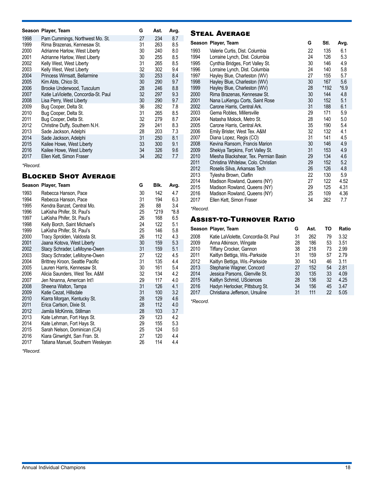|      | Season Player, Team                  | G  | Ast. | Avg. |
|------|--------------------------------------|----|------|------|
| 1998 | Pam Cummings, Northwest Mo. St.      | 27 | 234  | 8.7  |
| 1999 | Rima Brazenas, Kennesaw St.          | 31 | 263  | 8.5  |
| 2000 | Adrianne Harlow, West Liberty        | 30 | 240  | 8.0  |
| 2001 | Adrianne Harlow, West Liberty        | 30 | 255  | 8.5  |
| 2002 | Kelly West, West Liberty             | 31 | 265  | 8.5  |
| 2003 | Kelly West, West Liberty             | 32 | 302  | 9.4  |
| 2004 | Princess Wimsatt, Bellarmine         | 30 | 253  | 8.4  |
| 2005 | Kim Abts, Chico St.                  | 30 | 290  | 9.7  |
| 2006 | Brooke Underwood, Tusculum           | 28 | 246  | 8.8  |
| 2007 | Katie LaViolette, Concordia-St. Paul | 32 | 297  | 9.3  |
| 2008 | Lisa Perry, West Liberty             | 30 | 290  | 9.7  |
| 2009 | Bug Cooper, Delta St.                | 36 | 282  | 7.8  |
| 2010 | Bug Cooper, Delta St.                | 31 | 265  | 8.5  |
| 2011 | Bug Cooper, Delta St.                | 32 | 279  | 8.7  |
| 2012 | Christine Duffy, Southern N.H.       | 29 | 241  | 8.3  |
| 2013 | Sade Jackson, Adelphi                | 28 | 203  | 7.3  |
| 2014 | Sade Jackson, Adelphi                | 31 | 250  | 8.1  |
| 2015 | Kailee Howe, West Liberty            | 33 | 300  | 9.1  |
| 2016 | Kailee Howe, West Liberty            | 34 | 326  | 9.6  |
| 2017 | Ellen Kett, Simon Fraser             | 34 | 262  | 7.7  |

#### *\*Record.*

## Blocked Shot Average

|              | Season Player, Team                                      | G        | BIK.       | Avg.       |  |
|--------------|----------------------------------------------------------|----------|------------|------------|--|
| 1993         | Rebecca Hanson, Pace                                     | 30       | 142        | 4.7        |  |
| 1994         | Rebecca Hanson, Pace                                     | 31       | 194        | 6.3        |  |
| 1995         | Kendra Banzet, Central Mo.                               | 26       | 88         | 3.4        |  |
| 1996         | LaKisha Phifer, St. Paul's                               | 25       | *219       | $*8.8$     |  |
| 1997         | LaKisha Phifer, St. Paul's                               | 26       | 168        | 6.5        |  |
| 1998         | Kelly Borch, Saint Michael's                             | 24       | 122        | 5.1        |  |
| 1999         | LaKisha Phifer, St. Paul's                               | 25       | 146        | 5.8        |  |
| 2000         | Tracy Sprolden, Valdosta St.                             | 26       | 112        | 4.3        |  |
| 2001         | Jaana Kotova, West Liberty                               | 30       | 159        | 5.3        |  |
| 2002         | Stacy Schrader, LeMoyne-Owen                             | 31       | 159        | 5.1        |  |
| 2003         | Stacy Schrader, LeMoyne-Owen                             | 27       | 122        | 4.5        |  |
| 2004         | Brittney Kroon, Seattle Pacific                          | 31       | 135        | 4.4        |  |
| 2005         | Lauren Harris, Kennesaw St.                              | 30       | 161        | 5.4        |  |
| 2006         | Alicia Saunders, West Tex. A&M                           | 32       | 134        | 4.2        |  |
| 2007         | Jen Nnanna, American Int'l                               | 29       | 117        | 4.0        |  |
| 2008         | Sheena Walton, Tampa                                     | 31       | 126        | 4.1        |  |
| 2009         | Katie Cezat, Hillsdale                                   | 31       | 100        | 3.2        |  |
| 2010         | Kiarra Morgan, Kentucky St.                              | 28       | 129        | 4.6        |  |
| 2011         | Erica Carlson, Dixie St.                                 | 28       | 112        | 4.0        |  |
| 2012<br>2013 | Jamila McKinnis, Stillman                                | 28<br>29 | 103<br>123 | 3.7<br>4.2 |  |
| 2014         | Kate Lehman, Fort Hays St.<br>Kate Lehman, Fort Hays St. | 29       | 155        | 5.3        |  |
| 2015         | Sarah Nelson, Dominican (CA)                             | 25       | 124        | 5.0        |  |
| 2016         | Kiara Ginwright, San Fran. St.                           | 27       | 120        | 4.4        |  |
| 2017         | Tatiana Manuel, Southern Wesleyan                        | 26       | 114        | 4.4        |  |
|              |                                                          |          |            |            |  |

*\*Record.*

## Steal Average

|      | Season Player, Team                   | G  | Stl.             | Avg.   |
|------|---------------------------------------|----|------------------|--------|
| 1993 | Valerie Curtis, Dist. Columbia        | 22 | 135              | 6.1    |
| 1994 | Lorraine Lynch, Dist. Columbia        | 24 | 126              | 5.3    |
| 1995 | Cynthia Bridges, Fort Valley St.      | 30 | 146              | 4.9    |
| 1996 | Lorraine Lynch, Dist. Columbia        | 24 | 140              | 5.8    |
| 1997 | Hayley Blue, Charleston (WV)          | 27 | 155              | 5.7    |
| 1998 | Hayley Blue, Charleston (WV)          | 30 | 167              | 5.6    |
| 1999 | Hayley Blue, Charleston (WV)          | 28 | *192             | $*6.9$ |
| 2000 | Rima Brazenas, Kennesaw St.           | 30 | 144              | 4.8    |
| 2001 | Nana LuKengu Corts, Saint Rose        | 30 | 152              | 5.1    |
| 2002 | Carone Harris, Central Ark.           | 31 | 188              | 6.1    |
| 2003 | Gema Robles, Millersville             | 29 | 171              | 5.9    |
| 2004 | Natasha Molock, Metro St.             | 28 | 140              | 5.0    |
| 2005 | Carone Harris, Central Ark.           | 35 | 190              | 5.4    |
| 2006 | Emily Brister, West Tex. A&M          | 32 | 132              | 4.1    |
| 2007 | Diana Lopez, Regis (CO)               | 31 | 141              | 4.5    |
| 2008 | Kevina Ransom, Francis Marion         | 30 | 146              | 4.9    |
| 2009 | Shekiya Tarpkins, Fort Valley St.     | 31 | 153              | 4.9    |
| 2010 | Miesha Blackshear, Tex. Permian Basin | 29 | 134              | 4.6    |
| 2011 | Christina Whitelaw, Colo. Christian   | 29 | 152 <sub>2</sub> | 5.2    |
| 2012 | Roselis Silva, Arkansas Tech          | 26 | 126              | 4.8    |
| 2013 | Tylesha Brown, Claflin                | 22 | 130              | 5.9    |
| 2014 | Madison Rowland, Queens (NY)          | 27 | 122              | 4.52   |
| 2015 | Madison Rowland, Queens (NY)          | 29 | 125              | 4.31   |
| 2016 | Madison Rowland, Queens (NY)          | 25 | 109              | 4.36   |
| 2017 | Ellen Kett, Simon Fraser              | 34 | 262              | 7.7    |

*\*Record.*

## Assist-to-Turnover Ratio

|      | Season Player, Team                  | G  | Ast. | ТΟ | Ratio |
|------|--------------------------------------|----|------|----|-------|
| 2008 | Katie LaViolette, Concordia-St. Paul | 31 | 262  | 79 | 3.32  |
| 2009 | Anna Atkinson, Wingate               | 28 | 186  | 53 | 3.51  |
| 2010 | Tiffany Crocker, Gannon              | 38 | 218  | 73 | 2.99  |
| 2011 | Kaitlyn Bettiga, Wis.-Parkside       | 31 | 159  | 57 | 2.79  |
| 2012 | Kaitlyn Bettiga, Wis.-Parkside       | 30 | 143  | 46 | 3.11  |
| 2013 | Stephanie Wagner, Concord            | 27 | 152  | 54 | 2.81  |
| 2014 | Jessica Parsons, Glenville St.       | 30 | 135  | 33 | 4.09  |
| 2015 | Kaitlyn Schmid, USciences            | 28 | 136  | 32 | 4.25  |
| 2016 | Hadyn Herlocker, Pittsburg St.       | 34 | 156  | 45 | 3.47  |
| 2017 | Christiana Jefferson, Ursuline       | 31 | 111  | 22 | 5.05  |

*\*Record.*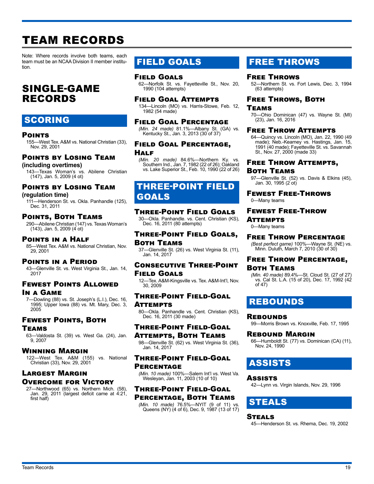# TEAM RECORDS

Note: Where records involve both teams, each team must be an NCAA Division II member institution.

## SINGLE-GAME RECORDS

## SCORING

#### Points

155—West Tex. A&M vs. National Christian (33), Nov. 29, 2001

## Points by Losing Team

**(including overtimes)** 143—Texas Woman's vs. Abilene Christian (147), Jan. 5, 2009 (4 ot)

## Points by Losing Team

**(regulation time)**

111—Henderson St. vs. Okla. Panhandle (125), Dec. 31, 2011

### Points, Both Teams

290—Abilene Christian (147) vs. Texas Woman's (143), Jan. 5, 2009 (4 ot)

#### Points in a Half

85—West Tex. A&M vs. National Christian, Nov. 29, 2001

#### Points in a Period

43—Glenville St. vs. West Virginia St., Jan. 14, 2017

## Fewest Points Allowed

In a Game

7—Dowling (88) vs. St. Joseph's (L.I.), Dec. 16, 1995; Upper Iowa (88) vs. Mt. Mary, Dec. 3, 2005

## Fewest Points, Both

#### Teams

63—Valdosta St. (39) vs. West Ga. (24), Jan. 9, 2007

#### Winning Margin

122—West Tex. A&M (155) vs. National Christian (33), Nov. 29, 2001

## Largest Margin Overcome for Victory

27—Northwood (65) vs. Northern Mich. (58), Jan. 29, 2011 (largest deficit came at 4:21, first half)

## FIELD GOALS

## Field Goals

62—Norfolk St. vs. Fayetteville St., Nov. 20, 1990 (104 attempts)

#### Field Goal Attempts

134—Lincoln (MO) vs. Harris-Stowe, Feb. 12, 1982 (54 made)

#### Field Goal Percentage

*(Min. 24 made)* 81.1%—Albany St. (GA) vs. Kentucky St., Jan. 3, 2013 (30 of 37)

#### Field Goal Percentage, **HALF**

*(Min. 20 made)* 84.6%—Northern Ky. vs. Southern Ind., Jan. 7, 1982 (22 of 26); Oakland vs. Lake Superior St., Feb. 10, 1990 (22 of 26)

## THREE-POINT FIELD GOALS

#### Three-Point Field Goals

30—Okla. Panhandle. vs. Cent. Christian (KS), Dec. 16, 2011 (80 attempts)

### Three-Point Field Goals, Both Teams

37—Glenville St. (26) vs. West Virginia St. (11), Jan. 14, 2017

### Consecutive Three-Point Field Goals

12—Tex. A&M-Kingsville vs. Tex. A&M-Int'l, Nov. 30, 2009

#### Three-Point Field-Goal Attempts

80—Okla. Panhandle vs. Cent. Christian (KS), Dec. 16, 2011 (30 made)

### Three-Point Field-Goal

Attempts, Both Teams 98—Glenville St. (62) vs. West Virginia St. (36), Jan. 14, 2017

#### Three-Point Field-Goal **PERCENTAGE**

*(Min. 10 made)* 100%—Salem Int'l vs. West Va. Wesleyan, Jan. 11, 2003 (10 of 10)

## Three-Point Field-Goal

Percentage, Both Teams *(Min. 10 made)* 76.5%—NYIT (9 of 11) vs. Queens (NY) (4 of 6), Dec. 9, 1987 (13 of 17)

## FREE THROWS

### Free Throws

52—Northern St. vs. Fort Lewis, Dec. 3, 1994 (63 attempts)

## Free Throws, Both

#### Teams

70—Ohio Dominican (47) vs. Wayne St. (MI) (23), Jan. 16, 2016

#### Free Throw Attempts

64—Quincy vs. Lincoln (MO), Jan. 22, 1990 (49 made); Neb.-Kearney vs. Hastings, Jan. 15, 1991 (40 made); Fayetteville St. vs. Savannah St., Nov. 27, 2000 (made 33)

#### Free Throw Attempts, Both Teams

#### 97—Glenville St. (52) vs. Davis & Elkins (45), Jan. 30, 1995 (2 ot)

Fewest Free-Throws

### 0—Many teams

#### Fewest Free-Throw **ATTEMPTS**

0—Many teams

## Free Throw Percentage

*(Best perfect game)* 100%—Wayne St. (NE) vs. Minn. Duluth, March 7, 2010 (30 of 30)

#### Free Throw Percentage, Both Teams

*(Min. 40 made)* 89.4%—St. Cloud St. (27 of 27) vs. Cal St. L.A. (15 of 20), Dec. 17, 1992 (42 of 47)

## REBOUNDS

#### **REBOUNDS**

99—Morris Brown vs. Knoxville, Feb. 17, 1995

#### Rebound Margin

66—Humboldt St. (77) vs. Dominican (CA) (11), Nov. 24, 1990

## ASSISTS

#### **Assists**

42—Lynn vs. Virgin Islands, Nov. 29, 1996

## STEALS

## **STEALS**

45—Henderson St. vs. Rhema, Dec. 19, 2002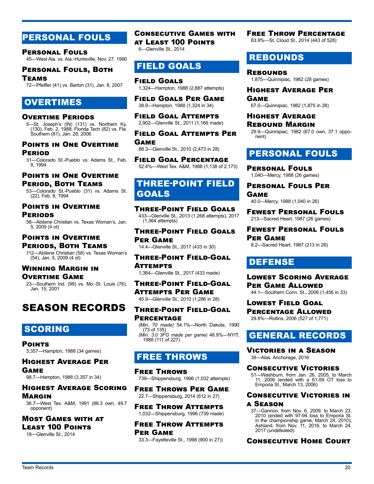## PERSONAL FOULS

Personal Fouls 45—West Ala. vs. Ala.-Huntsville, Nov. 27, 1990

Personal Fouls, Both Teams 72—Pfeiffer (41) vs. Barton (31), Jan. 8, 2007

## OVERTIMES

#### Overtime Periods

5—St. Joseph's (IN) (131) vs. Northern Ky. (130), Feb. 2, 1988; Florida Tech (82) vs. Fla. Southern (81), Jan. 28, 2006

#### Points in One Overtime Period

31—Colorado St.-Pueblo vs. Adams St., Feb. 8, 1994

### Points in One Overtime Period, Both Teams

53—Colorado St.-Pueblo (31) vs. Adams St. (22), Feb. 8, 1994

## Points in Overtime **PERIODS**

58—Abilene Christian vs. Texas Woman's, Jan. 5, 2009 (4 ot)

#### Points in Overtime Periods, Both Teams 112—Abilene Christian (58) vs. Texas Woman's (54), Jan. 5, 2009 (4 ot)

#### Winning Margin in Overtime Game

23—Southern Ind. (99) vs. Mo.-St. Louis (76), Jan. 15, 2001

## SEASON RECORDS

## SCORING

Points 3,357—Hampton, 1988 (34 games)

Highest Average Per Game 98.7—Hampton, 1988 (3,357 in 34)

### Highest Average Scoring **MARGIN**

36.7—West Tex. A&M, 1991 (86.3 own, 49.7 opponent)

Most Games with at Least 100 Points

18—Glenville St., 2014

Consecutive Games with at Least 100 Points 6—Glenville St., 2014

## FIELD GOALS

Field Goals 1,324—Hampton, 1988 (2,887 attempts)

Field Goals Per Game 38.9—Hampton, 1988 (1,324 in 34)

Field Goal Attempts 2,902—Glenville St., 2011 (1,166 made)

Field Goal Attempts Per

Game 88.3—Glenville St., 2010 (2,473 in 28)

Field Goal Percentage 52.4%—West Tex. A&M, 1988 (1,138 of 2,173)

## THREE-POINT FIELD GOALS

Three-Point Field Goals 433—Glenville St., 2013 (1,268 attempts), 2017  $(1.364$  attempts)

Three-Point Field Goals Per Game 14.4—Glenville St., 2017 (433 in 30)

Three-Point Field-Goal

Attempts 1,364—Glenville St., 2017 (433 made)

Three-Point Field-Goal Attempts Per Game 45.9—Glenville St., 2010 (1,286 in 28)

## Three-Point Field-Goal **PERCENTAGE**

*(Min. 70 made)* 54.1%—North Dakota, 1990 (73 of 135) *(Min. 3.0 3FG made per game)* 48.9%—NYIT, 1988 (111 of 227)

## FREE THROWS

Free Throws 739—Shippensburg, 1996 (1,032 attempts)

Free Throws Per Game 22.7—Shippensburg, 2014 (612 in 27)

Free Throw Attempts 1,032—Shippensburg, 1996 (739 made)

Free Throw Attempts Per Game

33.3—Fayetteville St., 1998 (900 in 27))

## Free Throw Percentage

83.9%—St. Cloud St., 2014 (443 of 528)

## REBOUNDS

**REBOUNDS** 1,875—Quinnipiac, 1982 (28 games)

Highest Average Per Game

67.0—Quinnipiac, 1982 (1,875 in 28)

#### Highest Average Rebound Margin

29.9—Quinnipiac, 1982 (67.0 own, 37.1 opponent)

## PERSONAL FOULS

Personal Fouls 1,040—Mercy, 1988 (26 games)

Personal Fouls Per Game

40.0—Mercy, 1988 (1,040 in 26) Fewest Personal Fouls

### 213—Sacred Heart, 1987 (26 games) Fewest Personal Fouls

Per Game 8.2—Sacred Heart, 1987 (213 in 26)

## DEFENSE

Lowest Scoring Average Per Game Allowed 44.1—Southern Conn. St., 2006 (1,456 in 33)

Lowest Field Goal Percentage Allowed 29.8%—Rollins, 2006 (527 of 1,771)

## GENERAL RECORDS

Victories in a Season 38—Alas. Anchorage, 2016

### Consecutive Victories

51—Washburn, from Jan. 26, 2005, to March 11, 2006 (ended with a 61-59 OT loss to Emporia St., March 13, 2006)

## Consecutive Victories in

a Season

37—Gannon, from Nov. 6, 2009, to March 23, 2010 (ended with 97-94 loss to Emporia St. in the championship game, March 24, 2010); Ashland, from Nov. 11, 2016, to March 24, 2017 (undefeated).

Consecutive Home Court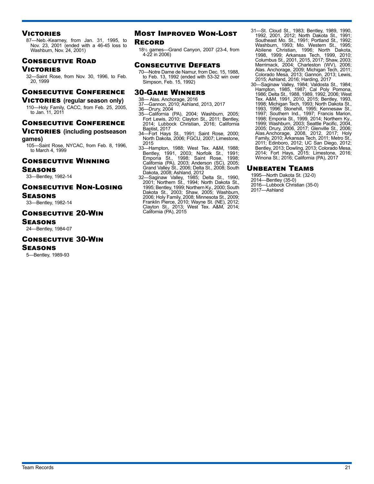#### **VICTORIES**

87—Neb.-Kearney, from Jan. 31, 1995, to Nov. 23, 2001 (ended with a 46-45 loss to Washburn, Nov. 24, 2001)

### Consecutive Road

#### Victories

32—Saint Rose, from Nov. 30, 1996, to Feb. 20, 1999

### Consecutive Conference

#### **VICTORIES** (regular season only)

110—Holy Family, CACC, from Feb. 25, 2005, to Jan. 11, 2011

#### Consecutive Conference

#### **VICTORIES** (including postseason **games)**

105—Saint Rose, NYCAC, from Feb. 8, 1996, to March 4, 1999

#### Consecutive Winning

Seasons

33—Bentley, 1982-14

#### Consecutive Non-Losing Seasons

33—Bentley, 1982-14

#### Consecutive 20-Win

Seasons

24—Bentley, 1984-07

#### Consecutive 30-Win

#### Seasons

5—Bentley, 1989-93

#### Most Improved Won-Lost **RECORD**

18½ games—Grand Canyon, 2007 (23-4, from 4-22 in 2006)

#### Consecutive Defeats

70—Notre Dame de Namur, from Dec. 15, 1988, to Feb. 13, 1992 (ended with 53-32 win over Simpson, Feb. 15, 1992)

#### 30-Game Winners

- 38— Alas. Anchorage, 2016
- 37—Gannon, 2010; Ashland, 2013, 2017 36—Drury, 2004
- 
- 35—California (PA), 2004; Washburn, 2005; Fort Lewis, 2010; Clayton St., 2011; Bentley, 2014; Lubbock Christian, 2016; California Baptist, 2017
- 34—Fort Hays St., 1991; Saint Rose, 2000; North Dakota, 2006; FGCU, 2007; Limestone, 2015
- 33—Hampton, 1988; West Tex. A&M, 1988; Bentley, 1991, 2003; Norfolk St., 1991; Emporia St., 1998; Saint Rose, 1998; California (PA), 2003; Anderson (SC), 2005; Grand Valley St., 2006; Delta St., 2008; South Dakota, 2008; Ashland, 2012
- 32—Saginaw Valley, 1985; Delta St., 1990, 2001; Northern St., 1994; North Dakota St., 1995; Bentley, 1999; Northern Ky., 2000; South Dakota St., 2003; Shaw, 2005; Washburn, 2006; Holy Family, 2008; Minnesota St., 2009; Franklin Pierce, 2010; Wayne St. (NE), 2012; Clayton St., 2013; West Tex. A&M, 2014; California (PA), 2015
- 31—St. Cloud St., 1983; Bentley, 1989, 1990, 1992, 2001, 2012; North Dakota St., 1991; Southeast Mo. St., 1991; Portland St., 1992; Washburn, 1993; Mo. Western St., 1995; Abilene Christian, 1996; North Dakota, 1998, 1999; Arkansas Tech, 1999, 2010; Columbus St., 2001, 2015, 2017; Shaw, 2003; Merrimack, 2004; Charleston (WV), 2006; Alas. Anchorage, 2009; Michigan Tech, 2011; Colorado Mesa, 2013; Gannon, 2013; Lewis, 2015; Ashland, 2016; Harding, 2017
- 30—Saginaw Valley, 1984; Valdosta St., 1984; Hampton, 1985, 1987; Cal Poly Pomona, 1986; Delta St., 1988, 1989, 1992, 2006; West Tex. A&M, 1991, 2010, 2015; Bentley, 1993, 1998; Michigan Tech, 1993; North Dakota St., 1993, 1996; Stonehill, 1995; Kennesaw St., 1997; Southern Ind., 1997; Francis Marion, 1998; Emporia St., 1999, 2014; Northern Ky., 1999; Washburn, 2003; Seattle Pacific, 2004, 2005; Drury, 2006, 2017; Glenville St., 2006; Alas.Anchorage, 2008, 2012, 2017; Holy Family, 2010; Arkansas Tech, 2011; Metro St., 2011; Edinboro, 2012; UC San Diego, 2012; Bentley, 2013; Dowling, 2013; Colorado Mesa, 2014; Fort Hays, 2015; Limestone, 2016; Winona St.; 2016; California (PA), 2017

#### Unbeaten Teams

1995—North Dakota St. (32-0)

- 2014—Bentley (35-0)
- 2016—Lubbock Christian (35-0) 2017—Ashland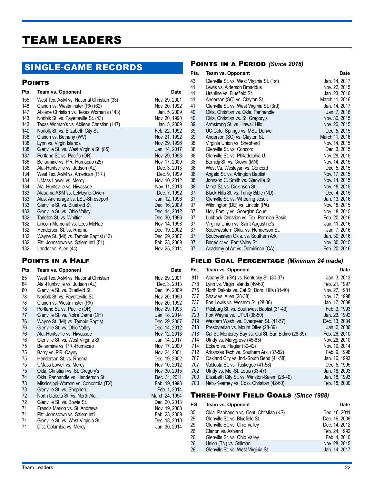## TEAM LEADERS

## SINGLE-GAME RECORDS

#### **POINTS**

| Lewis vs. Alders                      |
|---------------------------------------|
| Ursuline vs. Blue                     |
| Anderson (SC)                         |
| Glenville St. vs.                     |
| Okla. Christian v<br>Okla. Christian  |
|                                       |
| Armstrong St. vs                      |
| UC-Colo. Spring                       |
| Anderson (SC)                         |
| Virginia Union v<br>Glenville St. vs. |
| Glenville St. vs.                     |
| Bemidji St. vs. C                     |
| West Va. Wesle                        |
| Angelo St. vs. A                      |
| Johnson C. Smi                        |
| Minot St. vs. Dic                     |
| Black Hills St. vs                    |
| Glenville St. vs.                     |
| Wilmington (DE)                       |
| Holy Family vs.                       |
| Lubbock Christia                      |
| Virginia Union v                      |
| Southwestern C                        |
| Southeastern O                        |
| Benedict vs. For                      |
| Academy of Art                        |
|                                       |

## Points in a Half

| Pts.     | <b>Team vs. Opponent</b>                                                | Date                           |
|----------|-------------------------------------------------------------------------|--------------------------------|
| 85<br>84 | West Tex. A&M vs. National Christian<br>Ala.-Huntsville vs. Judson (AL) | Nov. 29, 2001<br>Dec. 3, 2013  |
| 80       | Glenville St. vs. Bluefield St.                                         | Dec. 16, 2009                  |
| 78       | Norfolk St. vs. Fayetteville St.                                        | Nov. 20, 1990                  |
| 78       | Clarion vs. Westminster (PA)                                            | Nov. 20, 1992                  |
| 78       | Portland St. vs. Pacific (OR)                                           | Nov. 29, 1993                  |
| 77       | Glenville St. vs. Notre Dame (OH)                                       | Jan. 18, 2014                  |
| 76<br>76 | Wayne St. (MI) vs. Temple Baptist                                       | Dec. 29, 2007<br>Dec. 14, 2012 |
| 76       | Glenville St. vs. Ohio Valley<br>Ala.-Huntsville vs. Hiwassee           | Nov. 12, 2013                  |
| 76       | Glenville St. vs. West Virginia St.                                     | Jan. 14, 2017                  |
| 75       | Bellarmine vs. P.R.-Humacao                                             | Nov. 17, 2000                  |
| 75       | Barry vs. P.R.-Cayey                                                    | Nov. 24, 2001                  |
| 75       | Henderson St. vs. Rhema                                                 | Dec. 19, 2002                  |
| 75       | UMass Lowell vs. Mercy                                                  | Nov. 10, 2012                  |
| 75       | Okla. Christian vs. St. Gregory's                                       | Nov. 30, 2015                  |
| 74       | Okla. Panhandle vs. Henderson St.                                       | Dec. 31, 2011                  |
| 73       | Mississippi-Women vs. Concordia (TX)                                    | Feb. 19, 1998                  |
| 73       | Glenville St. vs. Shepherd                                              | Feb. 1, 2014                   |
| 72       | North Dakota St. vs. North Ala.                                         | March 24, 1994                 |
| 72<br>71 | Glenville St. vs. Bowie St.                                             | Dec. 20, 2013                  |
| 71       | Francis Marion vs. St. Andrews<br>Pitt.-Johnstown vs. Salem Int'l       | Nov. 19, 2008<br>Feb. 23, 2009 |
| 71       | Glenville St. vs. West Virginia St.                                     | Dec. 18, 2010                  |
| 71       | Dist. Columbia vs. Mercy                                                | Jan. 30, 2014                  |
|          |                                                                         |                                |

## Points in a Period *(Since 2016)*

| Pts. | <b>Team vs. Opponent</b>                  | Date           |
|------|-------------------------------------------|----------------|
| 43   | Glenville St. vs. West Virginia St. (1st) | Jan. 14, 2017  |
| 41   | Lewis vs. Alderson Broaddus               | Nov. 22, 2015  |
| 41   | Ursuline vs. Bluefield St.                | Jan. 23, 2016  |
| 41   | Anderson (SC) vs. Clayton St.             | March 11, 2016 |
| 41   | Glenville St. vs. West Virginia St. (3rd) | Jan. 14, 2017  |
| 40   | Okla. Christian vs. Okla. Panhandle       | Jan. 7, 2016   |
| 40   | Okla. Christian vs. St. Gregory's         | Nov. 30, 2015  |
| 39   | Armstrong St. vs. Hawaii Hilo             | Nov. 26, 2015  |
| 39   | UC-Colo. Springs vs. MSU Denver           | Dec. 5, 2015   |
| 39   | Anderson (SC) vs. Clayton St.             | March 11, 2016 |
| 38   | Virginia Union vs. Shepherd               | Nov. 14, 2015  |
| 38   | Glenville St. vs. Concord                 | Dec. 3, 2015   |
| 38   | Glenville St. vs. Philadelphia U.         | Nov. 28, 2015  |
| 38   | Bemidji St. vs. Crown (MN)                | Nov. 14, 2015  |
| 38   | West Va. Wesleyan vs. Concord             | Dec. 5, 2015   |
| 38   | Angelo St. vs. Arlington Baptist          | Nov. 17, 2015  |
| 38   | Johnson C. Smith vs. Glenville St.        | Nov. 14, 2015  |
| 38   | Minot St. vs. Dickinson St.               | Nov. 18, 2015  |
| 37   | Black Hills St. vs. Trinity Bible (ND)    | Dec. 4, 2015   |
| 37   | Glenville St. vs. Wheeling Jesuit         | Jan. 13, 2016  |
| 37   | Wilmington (DE) vs. Lincoln (PA)          | Nov. 18, 2015  |
| 37   | Holy Family vs. Georgian Court            | Nov. 18, 2015  |
| 37   | Lubbock Christian vs. Tex. Permian Basin  | Feb. 20, 2016  |
| 37   | Virginia Union vs. Saint Augustine's      | Jan. 11, 2016  |
| 37   | Southwestern Okla, vs. Henderson St.      | Jan. 7, 2016   |
| 37   | Southeastern Okla, vs. Southern Ark.      | Jan. 30, 2016  |
| 37   | Benedict vs. Fort Valley St.              | Nov. 30, 2015  |
| 37   | Academy of Art vs. Dominican (CA)         | Feb. 20, 2016  |

## Field Goal Percentage *(Minimum 24 made)*

| Pct. | Team vs. Opponent                                   | Date          |
|------|-----------------------------------------------------|---------------|
| .811 | Albany St. (GA) vs. Kentucky St. (30-37)            | Jan. 3, 2013  |
| .778 | Lynn vs. Virgin Islands (49-63)                     | Feb. 21, 1997 |
| .775 | North Dakota vs. Cal St. Dom. Hills (31-40)         | Nov. 27, 1981 |
| .737 | Shaw vs. Allen (28-38)                              | Nov. 17, 1998 |
| .737 | Fort Lewis vs. Western St. (28-38)                  | Jan. 17, 2008 |
| .721 | Pittsburg St. vs. Southwest Baptist (31-43)         | Feb. 3, 1993  |
| .720 | Fort Wayne vs. IUPUI (36-50)                        | Jan. 23, 1992 |
| .719 | Western Wash. vs. Evergreen St. (41-57)             | Dec. 13, 2004 |
| .718 | Presbyterian vs. Mount Olive (28-39)                | Jan. 2, 2006  |
| .718 | Cal St. Monterey Bay vs. Cal St. San B'dino (28-39) | Feb. 26, 2010 |
| .714 | Ulndy vs. Marygrove (45-63)                         | Nov. 26, 2010 |
| .714 | Eckerd vs. Flagler (30-42)                          | Nov. 19, 2014 |
| .712 | Arkansas Tech vs. Southern Ark. (37-52)             | Feb. 9, 1998  |
| .707 | Oakland City vs. Ind.-South Bend (41-58)            | Jan. 16, 1993 |
| .707 | Valdosta St. vs. Tuskegee (41-58)                   | Dec. 5. 1995  |
| .702 | Ulndy vs. Mo.-St. Louis (33-47)                     | Jan. 18, 2003 |
| .700 | Elizabeth City St. vs. Winston-Salem (28-40)        | Jan. 18, 1993 |
| .700 | Neb.-Kearney vs. Colo. Christian (42-60)            | Feb. 18, 2000 |

## Three-Point Field Goals *(Since 1988)*

| FG | Team vs. Opponent                        | <b>Date</b>   |
|----|------------------------------------------|---------------|
| 30 | Okla. Panhandle vs. Cent. Christian (KS) | Dec. 16, 2011 |
| 29 | Glenville St. vs. Bluefield St.          | Dec. 16, 2009 |
| 29 | Glenville St. vs. Ohio Valley            | Dec. 14, 2012 |
| 26 | Clarion vs. Ashland                      | Feb. 24, 1992 |
| 26 | Glenville St. vs. Ohio Valley            | Feb. 4, 2010  |
| 26 | Union (TN) vs. Stillman                  | Nov. 28, 2015 |
| 26 | Glenville St. vs. West Virginia St.      | Jan. 14, 2017 |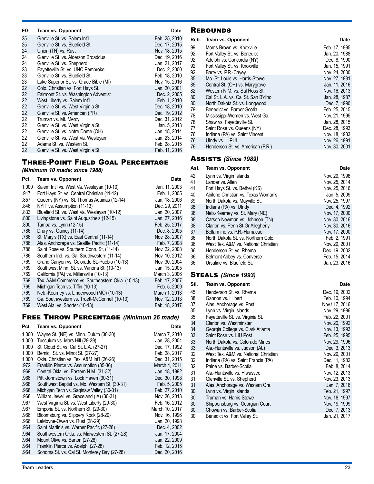| FG | Team vs. Opponent                      | Date          |
|----|----------------------------------------|---------------|
| 25 | Glenville St. vs. Salem Int'l          | Feb. 25, 2010 |
| 25 | Glenville St. vs. Bluefield St.        | Dec. 17, 2015 |
| 24 | Union (TN) vs. Rust                    | Nov. 18, 2015 |
| 24 | Glenville St. vs. Alderson Broaddus    | Dec. 19, 2016 |
| 24 | Glenville St. vs. Shepherd             | Jan. 21, 2017 |
| 23 | Fayetteville St. vs. UNC Pembroke      | Dec. 2, 2000  |
| 23 | Glenville St. vs. Bluefield St.        | Feb. 18, 2010 |
| 23 | Lake Superior St. vs. Grace Bible (MI) | Nov. 15, 2016 |
| 22 | Colo. Christian vs. Fort Hays St.      | Jan. 20, 2001 |
| 22 | Fairmont St. vs. Washington Adventist  | Dec. 2, 2005  |
| 22 | West Liberty vs. Salem Int'l           | Feb. 1, 2010  |
| 22 | Glenville St. vs. West Virginia St.    | Dec. 18, 2010 |
| 22 | Glenville St. vs. American (PR)        | Dec. 19, 2012 |
| 22 | Truman vs. Mt. Mercy                   | Dec. 31, 2012 |
| 22 | Glenville St. vs. West Virginia St.    | Jan. 5, 2013  |
| 22 | Glenville St. vs. Notre Dame (OH)      | Jan. 18, 2014 |
| 22 | Glenville St. vs. West Va. Wesleyan    | Jan. 23, 2014 |
| 22 | Adams St. vs. Western St.              | Feb. 28, 2015 |
| 22 | Glenville St. vs. West Virginia St.    | Feb. 11, 2016 |

## Three-Point Field Goal Percentage

*(Minimum 10 made; since 1988)*

| Pct.         | Team vs. Opponent                                | Date          |
|--------------|--------------------------------------------------|---------------|
| 1.000        | Salem Int'l vs. West Va. Wesleyan (10-10)        | Jan. 11, 2003 |
| .917         | Fort Hays St. vs. Central Christian (11-12)      | Feb. 1, 2005  |
| .857         | Queens (NY) vs. St. Thomas Aquinas (12-14)       | Jan. 18, 2006 |
| .846         | NYIT vs. Assumption (11-13)                      | Dec. 29, 2011 |
| .833         | Bluefield St. vs. West Va. Wesleyan (10-12)      | Jan. 20, 2007 |
| .800         | Livingstone vs. Saint Augustine's (12-15)        | Jan. 27, 2016 |
| .800         | Tampa vs. Lynn (12-15)                           | Feb. 25, 2017 |
| .786         | Drury vs. Quincy (11-14)                         | Dec. 8, 2005  |
| .786         | St. Mary's (TX) vs. East Central (11-14)         | Nov. 28, 2007 |
| .786         | Alas. Anchorage vs. Seattle Pacific (11-14)      | Feb. 7, 2008  |
| .786         | Saint Rose vs. Southern Conn. St. (11-14)        | Nov. 22, 2008 |
| .786         | Southern Ind. vs. Ga. Southwestern (11-14)       | Nov. 10, 2012 |
| .769         | Grand Canyon vs. Colorado St.-Pueblo (10-13)     | Nov. 30, 2004 |
| .769         | Southwest Minn. St. vs. Winona St. (10-13)       | Jan. 15, 2005 |
| .769         | California (PA) vs. Millersville (10-13)         | March 3, 2006 |
| .769         | Tex. A&M-Commerce vs. Southeastern Okla. (10-13) | Feb. 17, 2007 |
| .769         | Michigan Tech vs. Tiffin (10-13)                 | Feb. 5, 2009  |
| .769         | Neb.-Kearney vs. Lindenwood (MO) (10-13)         | March 1, 2013 |
| .769<br>.769 | Ga. Southwestern vs. Truett-McConnell (10-13)    | Nov. 12, 2013 |
|              | West Ala. vs. Shorter (10-13)                    | Feb. 18, 2017 |

## Free Throw Percentage *(Minimum 26 made)*

| Pct.  | Team vs. Opponent                             | Date           |
|-------|-----------------------------------------------|----------------|
| 1.000 | Wayne St. (NE) vs. Minn. Duluth (30-30)       | March 7, 2010  |
| 1.000 | Tusculum vs. Mars Hill (29-29)                | Jan. 28, 2004  |
| 1.000 | St. Cloud St. vs. Cal St. L.A. (27-27)        | Dec. 17, 1992  |
| 1.000 | Bemidii St. vs. Minot St. (27-27)             | Feb. 28, 2017  |
| 1.000 | Okla. Christian vs. Tex. A&M Int'l (26-26)    | Dec. 31, 2015  |
| .972  | Franklin Pierce vs. Assumption (35-36)        | March 4, 2011  |
| .969  | Central Okla. vs. Eastern N.M. (31-32)        | Jan. 18, 1992  |
| .968  | Pitt.-Johnstown vs. Lock Haven (30-31)        | Dec. 30, 1998  |
| .968  | Southwest Baptist vs. Mo. Western St. (30-31) | Feb. 5, 2005   |
| .968  | Michigan Tech vs. Saginaw Valley (30-31)      | Feb. 27, 2010  |
| .968  | William Jewell vs. Graceland (IA) (30-31)     | Nov. 26, 2013  |
| .967  | West Virginia St. vs. West Liberty (29-30)    | Feb. 16, 2012  |
| .967  | Emporia St. vs. Northern St. (29-30)          | March 10, 2017 |
| .966  | Bloomsburg vs. Slippery Rock (28-29)          | Nov. 16, 1996  |
| .966  | LeMoyne-Owen vs. Rust (28-29)                 | Jan. 20, 1998  |
| .964  | Saint Martin's vs. Warner Pacific (27-28)     | Dec. 4, 2002   |
| .964  | Southwestern Okla. vs. Midwestern St. (27-28) | Jan. 17, 2004  |
| .964  | Mount Olive vs. Barton (27-28)                | Jan. 22, 2009  |
| .964  | Franklin Pierce vs. Adelphi (27-28)           | Feb. 12, 2015  |
| .964  | Sonoma St. vs. Cal St. Monterey Bay (27-28)   | Dec. 20, 2016  |

## **REBOUNDS**

| Reb. | <b>Team vs. Opponent</b>            | Date          |
|------|-------------------------------------|---------------|
| 99   | Morris Brown vs. Knoxville          | Feb. 17, 1995 |
| 92   | Fort Valley St. vs. Benedict        | Jan. 20, 1988 |
| 92   | Adelphi vs. Concordia (NY)          | Dec. 8, 1990  |
| 92   | Fort Valley St. vs. Knoxville       | Jan. 15, 1991 |
| 92   | Barry vs. P.R.-Cayey                | Nov. 24, 2000 |
| 85   | Mo.-St. Louis vs. Harris-Stowe      | Nov. 27, 1981 |
| 85   | Central St. (OH) vs. Marygrove      | Jan. 11, 2016 |
| 82   | Western N.M. vs. Sul Ross St.       | Nov. 16, 2013 |
| 80   | Cal St. L.A. vs. Cal St. San B'dino | Jan. 28, 1987 |
| 80   | North Dakota St. vs. Longwood       | Dec. 7, 1990  |
| 79   | Benedict vs. Barber-Scotia          | Feb. 25, 2015 |
| 78   | Mississippi-Women vs. West Ga.      | Nov. 21, 1995 |
| 78   | Shaw vs. Fayetteville St.           | Jan. 28, 2015 |
| 77   | Saint Rose vs. Queens (NY)          | Dec. 28, 1993 |
| 76   | Indiana (PA) vs. Saint Vincent      | Nov. 18, 1983 |
| 76   | Ulndy vs. IUPUI                     | Nov. 26, 1991 |
| 76   | Henderson St. vs. American (P.R.)   | Nov. 30, 2001 |

## Assists *(Since 1989)*

| 42<br>Lynn vs. Virgin Islands                                                    | Nov. 29, 1996                 |
|----------------------------------------------------------------------------------|-------------------------------|
| 41<br>Lander vs. Allen                                                           | Nov. 25, 2014                 |
| 41<br>Fort Hays St. vs. Bethel (KS)<br>40<br>Abilene Christian vs. Texas Woman's | Nov. 25, 2016<br>Jan. 5, 2009 |
| 39<br>North Dakota vs. Mayville St.                                              | Nov. 25, 1997                 |
| 38<br>Indiana (PA) vs. Ulndy                                                     | Dec. 4, 1992                  |
| 38<br>Neb.-Kearney vs. St. Mary (NE)                                             | Nov. 17, 2000                 |
| 38<br>Carson-Newman vs. Johnson (TN)                                             | Nov. 30, 2016                 |
| 38<br>Clarion vs. Penn St-Gr Allegheny                                           | Nov. 30, 2016                 |
| 37<br>Bellarmine vs. P.R.-Humacao                                                | Nov. 17, 2000                 |
| 36<br>North Dakota St. vs. Northern Colo.                                        | Feb. 2, 1991                  |
| 36<br>West Tex. A&M vs. National Christian                                       | Nov. 29, 2001                 |
| 36<br>Henderson St. vs. Rhema                                                    | Dec. 19, 2002                 |
| 36<br>Belmont Abbey vs. Converse                                                 | Feb. 15, 2014                 |
| 36<br>Ursuline vs. Bluefield St.                                                 | Jan. 23, 2016                 |

## Steals *(Since 1993)*

| StI.     | Team vs. Opponent                             | <b>Date</b>                    |
|----------|-----------------------------------------------|--------------------------------|
| 45<br>38 | Henderson St. vs. Rhema<br>Gannon vs. Hilbert | Dec. 19, 2002<br>Feb. 10, 1994 |
| 37       | Alas. Anchorage vs. Post                      | Npv./ 17, 2016                 |
| 35       | Lynn vs. Virgin Islands                       | Nov. 29, 1996                  |
| 35       | Fayetteville St. vs. Virginia St.             | Feb. 22, 2001                  |
| 34       | Clarion vs. Westminster                       | Nov. 20, 1992                  |
| 34       | Georgia College vs. Clark Atlanta             | Nov. 13, 1993                  |
| 33       | Saint Rose vs. LIU Post                       | Feb. 25, 1995                  |
| 33       | North Dakota vs. Colorado Mines               | Nov. 29, 1996                  |
| 33       | Ala.-Huntsville vs. Judson (AL)               | Dec. 3, 2013                   |
| 32       | West Tex. A&M vs. National Christian          | Nov. 29, 2001                  |
| 32       | Indiana (PA) vs. Saint Francis (PA)           | Dec. 11, 1982                  |
| 32       | Paine vs. Barber-Scotia                       | Feb. 8, 2014                   |
| 31       | Ala.-Huntsville vs. Hiwassee                  | Nov. 12, 2013                  |
| 31       | Glenville St. vs. Shepherd                    | Nov. 23, 2013                  |
| 31       | Alas. Anchorage vs. Western Ore.              | Jan. 7, 2016                   |
| 30       | Lynn vs. Virgin Islands                       | Feb. 21, 1997                  |
| 30       | Truman vs. Harris-Stowe                       | Nov. 18, 1997                  |
| 30       | Shippensburg vs. Georgian Court               | Nov. 19, 1999                  |
| 30       | Chowan vs. Barber-Scotia                      | Dec. 7, 2013                   |
| 30       | Benedict vs. Fort Valley St.                  | Jan. 21, 2017                  |
|          |                                               |                                |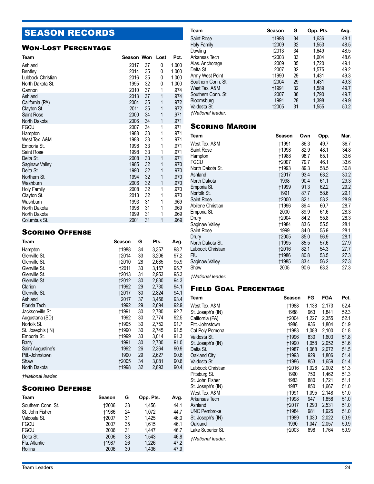## SEASON RECORDS

## Won-Lost Percentage

| Team               | Season Won |    | Lost | Pct.  |
|--------------------|------------|----|------|-------|
| Ashland            | 2017       | 37 | 0    | 1.000 |
| <b>Bentley</b>     | 2014       | 35 | 0    | 1.000 |
| Lubbock Christian  | 2016       | 35 | 0    | 1.000 |
| North Dakota St.   | 1995       | 32 | 0    | 1.000 |
| Gannon             | 2010       | 37 | 1    | .974  |
| Ashland            | 2013       | 37 | 1    | .974  |
| California (PA)    | 2004       | 35 | 1    | .972  |
| Clayton St.        | 2011       | 35 | 1    | .972  |
| <b>Saint Rose</b>  | 2000       | 34 | 1    | .971  |
| North Dakota       | 2006       | 34 | 1    | .971  |
| FGCU               | 2007       | 34 | 1    | .971  |
| Hampton            | 1988       | 33 | 1    | .971  |
| West Tex. A&M      | 1988       | 33 | 1    | .971  |
| Emporia St.        | 1998       | 33 | 1    | .971  |
| Saint Rose         | 1998       | 33 | 1    | .971  |
| Delta St.          | 2008       | 33 | 1    | .971  |
| Saginaw Valley     | 1985       | 32 | 1    | .970  |
| Delta St.          | 1990       | 32 | 1    | .970  |
| Northern St.       | 1994       | 32 | 1    | .970  |
| Washburn           | 2006       | 32 | 1    | .970  |
| <b>Holy Family</b> | 2008       | 32 | 1    | .970  |
| Clayton St.        | 2013       | 32 | 1    | .970  |
| Washburn           | 1993       | 31 | 1    | .969  |
| North Dakota       | 1998       | 31 | 1    | .969  |
| North Dakota       | 1999       | 31 | 1    | .969  |
| Columbus St.       | 2001       | 31 | 1    | .969  |

## Scoring Offense

| Team              | Season       | G  | Pts.  | Avg. |
|-------------------|--------------|----|-------|------|
| Hampton           | †1988        | 34 | 3,357 | 98.7 |
| Glenville St.     | †2014        | 33 | 3,206 | 97.2 |
| Glenville St.     | †2010        | 28 | 2,685 | 95.9 |
| Glenville St.     | <b>†2011</b> | 33 | 3,157 | 95.7 |
| Glenville St.     | †2013        | 31 | 2,953 | 95.3 |
| Glenville St.     | <b>†2012</b> | 30 | 2.830 | 94.3 |
| Clarion           | <b>+1992</b> | 29 | 2,730 | 94.1 |
| Glenville St.     | <b>†2017</b> | 30 | 2,824 | 94.1 |
| Ashland           | 2017         | 37 | 3,456 | 93.4 |
| Florida Tech      | 1992         | 29 | 2.694 | 92.9 |
| Jacksonville St.  | †1991        | 30 | 2,780 | 92.7 |
| Augustana (SD)    | 1992         | 30 | 2,774 | 92.5 |
| Norfolk St.       | †1995        | 30 | 2,752 | 91.7 |
| St. Joseph's (IN) | <b>†1990</b> | 30 | 2,745 | 91.5 |
| Emporia St.       | †1999        | 33 | 3,014 | 91.3 |
| Barry             | 1991         | 30 | 2,730 | 91.0 |
| Saint Augustine's | 1992         | 26 | 2.364 | 90.9 |
| Pitt.-Johnstown   | 1990         | 29 | 2,627 | 90.6 |
| Shaw              | +2005        | 34 | 3,081 | 90.6 |
| North Dakota      | †1998        | 32 | 2,893 | 90.4 |
|                   |              |    |       |      |

*†National leader.*

## Scoring Defense

| Team               | Season       | G  | Opp. Pts. | Avg. |
|--------------------|--------------|----|-----------|------|
| Southern Conn. St. | <b>†2006</b> | 33 | 1.456     | 44.1 |
| St. John Fisher    | <b>t1986</b> | 24 | 1.072     | 44.7 |
| Valdosta St.       | +2007        | 31 | 1.425     | 46.0 |
| <b>FGCU</b>        | 2007         | 35 | 1.615     | 46.1 |
| <b>FGCU</b>        | 2006         | 31 | 1.447     | 46.7 |
| Delta St.          | 2006         | 33 | 1.543     | 46.8 |
| Fla. Atlantic      | <b>+1987</b> | 26 | 1.226     | 47.2 |
| Rollins            | 2006         | 30 | 1.436     | 47.9 |

| Team                     | Season       | G  | Opp. Pts. | Avg. |
|--------------------------|--------------|----|-----------|------|
| Saint Rose               | <b>t1998</b> | 34 | 1.636     | 48.1 |
| Holy Family              | <b>+2009</b> | 32 | 1,553     | 48.5 |
| Dowling                  | +2013        | 34 | 1.649     | 48.5 |
| Arkansas Tech            | 12003        | 33 | 1.604     | 48.6 |
| Alas. Anchorage          | 2009         | 35 | 1,720     | 49.1 |
| Delta St.                | 2007         | 32 | 1.575     | 49.2 |
| Army West Point          | <b>t1990</b> | 29 | 1,431     | 49.3 |
| Southern Conn. St.       | <b>+2004</b> | 29 | 1.431     | 49.3 |
| West Tex, A&M            | †1991        | 32 | 1,589     | 49.7 |
| Southern Conn. St.       | 2007         | 36 | 1.790     | 49.7 |
| Bloomsburg               | 1991         | 28 | 1.398     | 49.9 |
| Valdosta St.             | +2005        | 31 | 1,555     | 50.2 |
| <b>+National leader.</b> |              |    |           |      |

Scoring Margin

| Team              | Season       | Own  | Opp. | Mar. |
|-------------------|--------------|------|------|------|
| West Tex. A&M     | †1991        | 86.3 | 49.7 | 36.7 |
| Saint Rose        | <b>†1998</b> | 82.9 | 48.1 | 34.8 |
| Hampton           | †1988        | 98.7 | 65.1 | 33.6 |
| <b>FGCU</b>       | †2007        | 79.7 | 46.1 | 33.6 |
| North Dakota St.  | <b>†1993</b> | 89.3 | 58.5 | 30.8 |
| Ashland           | †2017        | 93.4 | 63.2 | 30.2 |
| North Dakota      | 1998         | 90.4 | 61.1 | 29.3 |
| Emporia St.       | †1999        | 91.3 | 62.2 | 29.2 |
| Norfolk St.       | 1991         | 87.7 | 58.6 | 29.1 |
| Saint Rose        | 12000        | 82.1 | 53.2 | 28.9 |
| Abilene Christian | †1996        | 89.4 | 60.7 | 28.7 |
| Emporia St.       | 2000         | 89.9 | 61.6 | 28.3 |
| Drury             | †2004        | 84.2 | 55.8 | 28.3 |
| Saginaw Valley    | †1984        | 83.6 | 55.5 | 28.1 |
| Saint Rose        | 1999         | 84.0 | 55.9 | 28.1 |
| Drury             | 12005        | 85.0 | 56.9 | 28.1 |
| North Dakota St.  | †1995        | 85.5 | 57.6 | 27.9 |
| Lubbock Christian | †2016        | 82.1 | 54.3 | 27.7 |
| FIU               | †1986        | 80.8 | 53.5 | 27.3 |
| Saginaw Valley    | †1985        | 83.4 | 56.2 | 27.3 |
| Shaw              | 2005         | 90.6 | 63.3 | 27.3 |

*†National leader.* 

## Field Goal Percentage

| Team                                 | Season       | FG         | FGA            | Pct.         |
|--------------------------------------|--------------|------------|----------------|--------------|
| West Tex. A&M                        | †1988        | 1,138      | 2,173          | 52.4         |
| St. Joseph's (IN)                    | 1988         | 963        | 1,841          | 52.3         |
| California (PA)                      | 12004        | 1,227      | 2,355          | 52.1         |
| Pitt.-Johnstown                      | 1988         | 936        | 1,804          | 51.9         |
| Cal Poly Pomona                      | <b>†1983</b> | 1,088      | 2,100          | 51.8         |
| Valdosta St.                         | <b>†1996</b> | 830        | 1,603          | 51.8         |
| St. Joseph's (IN)                    | <b>t1990</b> | 1,058      | 2,052          | 51.6         |
| Delta St.                            | <b>†1987</b> | 1,068      | 2,072          | 51.5         |
| Oakland City                         | <b>†1993</b> | 929        | 1,806          | 51.4         |
| Valdosta St.                         | <b>†1986</b> | 853        | 1,659          | 51.4         |
| Lubbock Christian                    | †2016        | 1,028      | 2,002          | 51.3         |
| Pittsburg St.                        | 1990         | 750        | 1,462          | 51.3<br>51.1 |
| St. John Fisher<br>St. Joseph's (IN) | 1983<br>1987 | 880<br>850 | 1,721<br>1,667 | 51.0         |
| West Tex. A&M                        | †1991        | 1,095      | 2,148          | 51.0         |
| Arkansas Tech                        | <b>†1998</b> | 947        | 1,858          | 51.0         |
| Ashland                              | <b>†2017</b> | 1,290      | 2,531          | 51.0         |
| <b>UNC Pembroke</b>                  | <b>†1984</b> | 981        | 1,925          | 51.0         |
| St. Joseph's (IN)                    | <b>†1989</b> | 1,030      | 2,022          | 50.9         |
| Oakland                              | 1990         | 1,047      | 2,057          | 50.9         |
| Lake Superior St.                    | 12003        | 898        | 1,764          | 50.9         |

*†National leader.*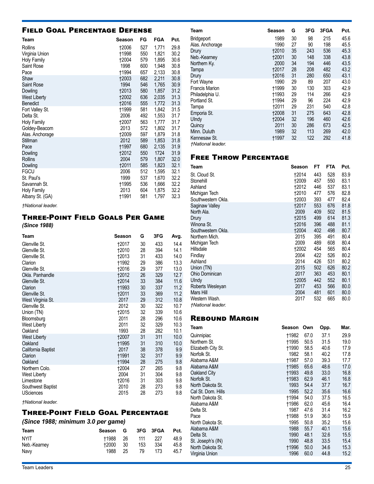## Field Goal Percentage Defense

| Team                                | Season                | FG         | FGA            | Pct.         |
|-------------------------------------|-----------------------|------------|----------------|--------------|
| Rollins<br>Virginia Union           | <b>†2006</b><br>†1998 | 527<br>550 | 1,771<br>1,821 | 29.8<br>30.2 |
| <b>Holy Family</b><br>Saint Rose    | 12004<br>1998         | 579<br>600 | 1,895<br>1,948 | 30.6<br>30.8 |
| Pace                                | †1994                 | 657        | 2,133          | 30.8         |
| Shaw                                | <b>+2003</b>          | 682        | 2,211          | 30.8         |
| Saint Rose                          | 1994                  | 546        | 1,765          | 30.9         |
| Dowling<br>West Liberty             | 12013<br>12002        | 580<br>636 | 1,857<br>2,035 | 31.2<br>31.3 |
| <b>Benedict</b>                     | <b>†2016</b>          | 555        | 1,772          | 31.3         |
| Fort Valley St.                     | †1999                 | 581        | 1,842          | 31.5         |
| Delta St.                           | 2006                  | 492        | 1,553          | 31.7         |
| <b>Holy Family</b><br>Goldey-Beacom | †2007<br>2013         | 563<br>572 | 1,777<br>1,802 | 31.7<br>31.7 |
| Alas. Anchorage                     | †2009                 | 597        | 1,879          | 31.8         |
| Stillman                            | 2012                  | 589        | 1,853          | 31.8         |
| Pace                                | †1997                 | 680        | 2,135          | 31.9         |
| Dowling<br>Rollins                  | <b>†2012</b><br>2004  | 550<br>579 | 1724<br>1,807  | 31.9<br>32.0 |
| Dowling                             | 12011                 | 585        | 1,823          | 32.1         |
| <b>FGCU</b>                         | 2006                  | 512        | 1,595          | 32.1         |
| St. Paul's<br>Savannah St.          | 1999<br>†1995         | 537<br>536 | 1,670<br>1,666 | 32.2<br>32.2 |
| Holy Family                         | 2013                  | 604        | 1,875          | 32.2         |
| Albany St. (GA)                     | †1991                 | 581        | 1,797          | 32.3         |
| .                                   |                       |            |                |              |

*†National leader.* 

## Three-Point Field Goals Per Game

*(Since 1988)*

| Team                     | <b>Season</b> | G  | 3FG | Avg. |
|--------------------------|---------------|----|-----|------|
| Glenville St.            | †2017         | 30 | 433 | 14.4 |
| Glenville St.            | 12010         | 28 | 394 | 14.1 |
| Glenville St.            | 12013         | 31 | 433 | 14.0 |
| Clarion                  | <b>†1992</b>  | 29 | 386 | 13.3 |
| Glenville St.            | 12016         | 29 | 377 | 13.0 |
| Okla, Panhandle          | <b>†2012</b>  | 26 | 329 | 12.7 |
| Glenville St.            | <b>†2014</b>  | 33 | 384 | 11.6 |
| Clarion                  | <b>†1993</b>  | 30 | 337 | 11.2 |
| Glenville St.            | <b>†2011</b>  | 33 | 369 | 11.2 |
| West Virginia St.        | 2017          | 29 | 312 | 10.8 |
| Glenville St.            | 2012          | 30 | 322 | 10.7 |
| Union (TN)               | †2015         | 32 | 339 | 10.6 |
| Bloomsburg               | 2011          | 28 | 296 | 10.6 |
| West Liberty             | 2011          | 32 | 329 | 10.3 |
| Oakland                  | 1993          | 28 | 282 | 10.1 |
| <b>West Liberty</b>      | <b>†2007</b>  | 31 | 311 | 10.0 |
| Oakland                  | †1995         | 31 | 310 | 10.0 |
| California Baptist       | 2017          | 38 | 378 | 9.9  |
| Clarion                  | <b>†1991</b>  | 32 | 317 | 9.9  |
| Oakland                  | <b>†1994</b>  | 28 | 275 | 9.8  |
| Northern Colo.           | <b>†2004</b>  | 27 | 265 | 9.8  |
| West Liberty             | 2004          | 31 | 304 | 9.8  |
| Limestone                | <b>†2016</b>  | 31 | 303 | 9.8  |
| Southwest Baptist        | 2010          | 28 | 273 | 9.8  |
| <b>USciences</b>         | 2015          | 28 | 273 | 9.8  |
| <b>tNational leader.</b> |               |    |     |      |

## Three-Point Field Goal Percentage

*(Since 1988; minimum 3.0 per game)*

| Team         | Season G         |      |     | 3FG 3FGA | Pct. |
|--------------|------------------|------|-----|----------|------|
| <b>NYIT</b>  | 11988 26 111 227 |      |     |          | 48.9 |
| Neb.-Kearney | †2000            | - 30 | 153 | 334      | 45.8 |
| Navy         | 1988             | -25  | 79  | 173      | 45.7 |

| Team                            | Season       | G  | 3FG | 3FGA | Pct. |
|---------------------------------|--------------|----|-----|------|------|
| Bridgeport                      | 1989         | 30 | 98  | 215  | 45.6 |
| Alas. Anchorage                 | 1990         | 27 | 90  | 198  | 45.5 |
| Drury                           | <b>†2010</b> | 35 | 243 | 536  | 45.3 |
| Neb.-Kearney                    | <b>†2001</b> | 30 | 148 | 338  | 43.8 |
| Northern Ky.                    | 2000         | 34 | 194 | 446  | 43.5 |
| Tampa                           | <b>†2017</b> | 28 | 208 | 482  | 43.2 |
| Drury                           | <b>†2016</b> | 31 | 280 | 650  | 43.1 |
| Fort Wayne                      | 1990         | 29 | 89  | 207  | 43.0 |
| <b>Francis Marion</b>           | †1999        | 30 | 130 | 303  | 42.9 |
| Philadelphia U.                 | †1993        | 29 | 114 | 266  | 42.9 |
| Portland St.                    | †1994        | 29 | 96  | 224  | 42.9 |
| Tampa                           | <b>t2011</b> | 29 | 231 | 540  | 42.8 |
| Emporia St.                     | <b>†2008</b> | 31 | 275 | 643  | 42.8 |
| <b>Ulndy</b>                    | <b>†2004</b> | 32 | 196 | 460  | 42.6 |
| Quincy                          | 2011         | 30 | 286 | 673  | 42.5 |
| Minn. Duluth                    | 1989         | 32 | 113 | 269  | 42.0 |
| Kennesaw St.                    | †1997        | 32 | 122 | 292  | 41.8 |
| <i><b>†National leader.</b></i> |              |    |     |      |      |

## Free Throw Percentage

| Team                                      | Season       | FT  | <b>FTA</b> | Pct. |
|-------------------------------------------|--------------|-----|------------|------|
| St. Cloud St.                             | †2014        | 443 | 528        | 83.9 |
| Stonehill                                 | †2009        | 457 | 550        | 83.1 |
| Ashland                                   | †2012        | 446 | 537        | 83.1 |
| Michigan Tech                             | +2010        | 477 | 576        | 82.8 |
| Southwestern Okla.                        | †2003        | 393 | 477        | 82.4 |
| Saginaw Valley                            | <b>†2017</b> | 553 | 676        | 81.8 |
| North Ala.                                | 2009         | 409 | 502        | 81.5 |
| Drury                                     | †2015        | 499 | 614        | 81.3 |
| Winona St.                                | <b>†2016</b> | 396 | 488        | 81.1 |
| Southwestern Okla.                        | +2004        | 402 | 498        | 80.7 |
| Northern Mich.                            | 2015         | 395 | 491        | 80.4 |
| Michigan Tech                             | 2009         | 489 | 608        | 80.4 |
| Hillsdale                                 | 12002        | 454 | 565        | 80.4 |
| Findlay                                   | 2004         | 422 | 526        | 80.2 |
| Ashland                                   | 2014         | 426 | 531        | 80.2 |
| Union (TN)                                | 2015         | 502 | 626        | 80.2 |
| Ohio Dominican                            | 2017         | 363 | 453        | 80.1 |
| Ulndy                                     | †2005        | 442 | 552        | 80.1 |
| Roberts Wesleyan                          | 2017         | 453 | 566        | 80.0 |
| Mars Hill                                 | 2004         | 481 | 601        | 80.0 |
| Western Wash.<br><b>†National leader.</b> | 2017         | 532 | 665        | 80.0 |

## Rebound Margin

| Team               | Season       | Own  | Opp. | Mar. |
|--------------------|--------------|------|------|------|
| Quinnipiac         | †1982        | 67.0 | 37.1 | 29.9 |
| Northern St.       | †1995        | 50.5 | 31.5 | 19.0 |
| Elizabeth City St. | †1990        | 58.5 | 40.6 | 17.9 |
| Norfolk St.        | 1982         | 58.1 | 40.2 | 17.8 |
| Alabama A&M        | †1987        | 57.0 | 39.3 | 17.7 |
| Alabama A&M        | <b>†1985</b> | 65.6 | 48.6 | 17.0 |
| Oakland City       | <b>†1993</b> | 49.8 | 33.0 | 16.8 |
| Norfolk St.        | †1983        | 62.9 | 46.1 | 16.8 |
| North Dakota St.   | 1993         | 54.4 | 37.7 | 16.7 |
| Cal St. Dom. Hills | 1995         | 52.2 | 35.6 | 16.6 |
| North Dakota St.   | †1994        | 54.0 | 37.5 | 16.5 |
| Alabama A&M        | †1986        | 62.0 | 45.6 | 16.4 |
| Delta St.          | 1987         | 47.6 | 31.4 | 16.2 |
| Pace               | †1988        | 51.9 | 36.0 | 15.9 |
| North Dakota St.   | 1995         | 50.8 | 35.2 | 15.6 |
| Alabama A&M        | 1988         | 55.7 | 40.1 | 15.6 |
| Delta St.          | 1990         | 48.1 | 32.6 | 15.5 |
| St. Joseph's (IN)  | 1990         | 48.8 | 33.5 | 15.4 |
| North Dakota St.   | †1996        | 50.0 | 34.6 | 15.3 |
| Virginia Union     | 1996         | 60.0 | 44.8 | 15.2 |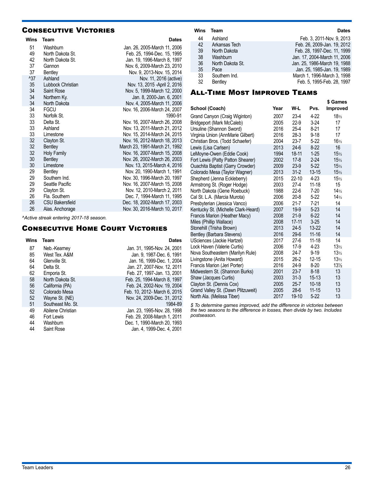## **CONSECUTIVE VICTORIES**

| <b>Wins</b>   | Team                   | <b>Dates</b>                  |
|---------------|------------------------|-------------------------------|
| 51            | Washburn               | Jan. 26, 2005-March 11, 2006  |
| 49            | North Dakota St.       | Feb. 25, 1994-Dec. 15, 1995   |
| 42            | North Dakota St.       | Jan. 19, 1996-March 8, 1997   |
| 37            | Gannon                 | Nov. 6, 2009-March 23, 2010   |
| 37            | <b>Bentlev</b>         | Nov. 9, 2013-Nov. 15, 2014    |
| $^{\prime}37$ | Ashland                | Nov. 11, 2016 (active)        |
| 35            | Lubbock Christian      | Nov. 13, 2015 - April 2, 2016 |
| 34            | Saint Rose             | Nov. 5, 1999-March 12, 2000   |
| 34            | Northern Ky.           | Jan. 8, 2000-Jan. 6, 2001     |
| 34            | North Dakota           | Nov. 4, 2005-March 11, 2006   |
| 34            | <b>FGCU</b>            | Nov. 16, 2006-March 24, 2007  |
| 33            | Norfolk St.            | 1990-91                       |
| 33            | Delta St.              | Nov. 16, 2007-March 26, 2008  |
| 33            | Ashland                | Nov. 13, 2011-March 21, 2012  |
| 33            | Limestone              | Nov. 15, 2014-March 24, 2015  |
| 32            | Clayton St.            | Nov. 16, 2012-March 18, 2013  |
| 32            | Bentley                | March 23, 1991-March 21, 1992 |
| 32            | Holy Family            | Nov. 16, 2007-March 15, 2008  |
| 30            | Bentley                | Nov. 26, 2002-March 26, 2003  |
| 30            | Limestone              | Nov. 13, 2015-March 4, 2016   |
| 29            | Bentley                | Nov. 20, 1990-March 1, 1991   |
| 29            | Southern Ind.          | Nov. 30, 1996-March 20, 1997  |
| 29            | Seattle Pacific        | Nov. 16, 2007-March 15, 2008  |
| 29            | Clayton St.            | Nov. 12, 2010-March 2, 2011   |
| 26            | Fla. Southern          | Dec. 7, 1994-March 11, 1995   |
| 26            | <b>CSU Bakersfield</b> | Dec. 18, 2002-March 17, 2003  |
| 26            | Alas. Anchorage        | Nov. 30, 2016-March 10, 2017  |

*^Active streak entering 2017-18 season.* 

## **CONSECUTIVE HOME COURT VICTORIES**

#### **Wins Team Dates**

| 87 | Neb.-Kearney      | Jan. 31, 1995-Nov. 24, 2001  |
|----|-------------------|------------------------------|
| 85 | West Tex. A&M     | Jan. 9, 1987-Dec. 6, 1991    |
| 64 | Glenville St.     | Jan. 16, 1999-Dec. 1, 2004   |
| 64 | Delta St.         | Jan. 27, 2007-Nov. 12, 2011  |
| 62 | Emporia St.       | Feb. 27, 1997-Jan. 13, 2001  |
| 58 | North Dakota St.  | Feb. 25, 1994-March 8, 1997  |
| 56 | California (PA)   | Feb. 24, 2002-Nov. 19, 2004  |
| 52 | Colorado Mesa     | Feb. 10, 2012- March 6, 2015 |
| 52 | Wayne St. (NE)    | Nov. 24, 2009-Dec. 31, 2012  |
| 51 | Southeast Mo. St. | 1984-89                      |
| 49 | Abilene Christian | Jan. 23, 1995-Nov. 28, 1998  |
| 46 | Fort Lewis        | Feb. 29, 2008-March 1, 2011  |
| 44 | Washburn          | Dec. 1. 1990-March 20, 1993  |
| 44 | Saint Rose        | Jan. 4. 1999-Dec. 4. 2001    |

| Wins     | Team                            | <b>Dates</b>                                              |
|----------|---------------------------------|-----------------------------------------------------------|
| 44       | Ashland                         | Feb. 3. 2011-Nov. 9. 2013                                 |
| 42       | Arkansas Tech                   | Feb. 26, 2009-Jan. 19, 2012                               |
| 39       | North Dakota                    | Feb. 28, 1997-Dec. 11, 1999                               |
| 38       | Washburn                        | Jan. 17, 2004-March 11, 2006                              |
| 36       | North Dakota St.                | Jan. 25, 1986-March 19, 1988                              |
| 35       | Pace                            | Jan. 25, 1985-Jan. 19, 1989                               |
| 33<br>32 | Southern Ind.<br><b>Bentlev</b> | March 1, 1996-March 3, 1998<br>Feb. 5, 1995-Feb. 28, 1997 |

## All-Time Most Improved Teams

|                                     |      |           |           | \$ Games          |
|-------------------------------------|------|-----------|-----------|-------------------|
| School (Coach)                      | Year | W-L       | Pvs.      | <b>Improved</b>   |
| Grand Canyon (Craig Wiginton)       | 2007 | $23-4$    | $4-22$    | $18\frac{1}{2}$   |
| Bridgeport (Mark McCaleb)           | 2005 | $22-9$    | $3-24$    | 17                |
| Ursuline (Shannon Sword)            | 2016 | $25 - 4$  | $8-21$    | 17                |
| Virginia Union (AnnMarie Gilbert)   | 2016 | $28-3$    | $9 - 18$  | 17                |
| Christian Bros. (Todd Schaefer)     | 2004 | $23 - 7$  | $5 - 22$  | $16\frac{1}{2}$   |
| Lewis (Lisa Carlsen)                | 2013 | $24-6$    | $8-22$    | 16                |
| LeMoyne-Owen (Eddie Cook)           | 1994 | 18-11     | $1 - 25$  | 15 <sub>1/2</sub> |
| Fort Lewis (Patty Patton Shearer)   | 2002 | $17-8$    | $2 - 24$  | 15 <sub>1/2</sub> |
| Ouachita Baptist (Garry Crowder)    | 2009 | $23-9$    | $5 - 22$  | 15 <sub>1/2</sub> |
| Colorado Mesa (Taylor Wagner)       | 2013 | $31 - 2$  | $13 - 15$ | 15 <sub>1/2</sub> |
| Shepherd (Jenna Eckleberry)         | 2015 | $22 - 10$ | $4 - 23$  | 15 <sub>1/2</sub> |
| Armstrong St. (Roger Hodge)         | 2003 | $27 - 4$  | $11 - 18$ | 15                |
| North Dakota (Gene Roebuck)         | 1988 | $22-6$    | $7 - 20$  | $14\frac{1}{2}$   |
| Cal St. L.A. (Marcia Murota)        | 2006 | $20 - 8$  | $5-22$    | $14\frac{1}{2}$   |
| Presbyterian (Jessica Vanco)        | 2006 | $21 - 7$  | $7-21$    | 14                |
| Kentucky St. (Michelle Clark-Heard) | 2007 | 19-9      | $5 - 23$  | 14                |
| Francis Marion (Heather Macy)       | 2008 | $21-9$    | $6 - 22$  | 14                |
| Miles (Phillip Wallace)             | 2008 | 17-11     | $3 - 25$  | 14                |
| Stonehill (Trisha Brown)            | 2013 | $24 - 5$  | 13-22     | 14                |
| Bentley (Barbara Stevens)           | 2016 | $29-6$    | $11 - 16$ | 14                |
| USciences (Jackie Hartzel)          | 2017 | $27-6$    | $11 - 18$ | 14                |
| Lock Haven (Valerie Curtis)         | 2006 | $17-9$    | $4 - 23$  | 13 <sub>2</sub>   |
| Nova Southeastern (Marilyn Rule)    | 2008 | $24 - 7$  | $9 - 19$  | 13 <sub>1</sub>   |
| Livingstone (Anita Howard)          | 2015 | $26-2$    | $12 - 15$ | 13 <sub>1</sub>   |
| Francis Marion (Jeri Porter)        | 2016 | 24-9      | $8-20$    | $13\frac{1}{2}$   |
| Midwestern St. (Shannon Burks)      | 2001 | $23 - 7$  | $8 - 18$  | 13                |
| Shaw (Jacques Curtis)               | 2003 | $31 - 3$  | $15 - 13$ | 13                |
| Clayton St. (Dennis Cox)            | 2005 | $25 - 7$  | $10 - 18$ | 13                |
| Grand Valley St. (Dawn Plitzuweit)  | 2005 | $28-6$    | $11 - 15$ | 13                |
| North Ala. (Melissa Tiber)          | 2017 | 19-10     | $5 - 22$  | 13                |

*\$ To determine games improved, add the difference in victories between the two seasons to the difference in losses, then divide by two. Includes postseason.*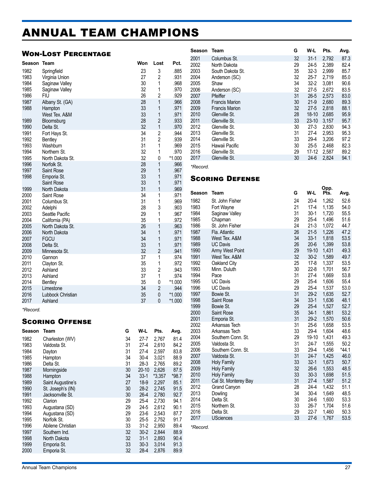## ANNUAL TEAM CHAMPIONS

## Won-Lost Percentage

| Season   | Team              |    | Won      | Lost           | Pct.    |
|----------|-------------------|----|----------|----------------|---------|
| 1982     | Springfield       |    | 23       | 3              | .885    |
| 1983     | Virginia Union    |    | 27       | $\overline{2}$ | .931    |
| 1984     | Saginaw Valley    |    | 30       | 1              | .968    |
| 1985     | Saginaw Valley    |    | 32       | 1              | .970    |
| 1986     | FIU               |    | 26       | $\overline{c}$ | .929    |
| 1987     | Albany St. (GA)   |    | 28       | 1              | .966    |
| 1988     | Hampton           |    | 33       | 1              | .971    |
|          | West Tex. A&M     |    | 33       | 1              | .971    |
| 1989     |                   |    | 28       | $\overline{2}$ | .933    |
|          | Bloomsburg        |    | 32       | $\mathbf{1}$   |         |
| 1990     | Delta St.         |    |          |                | .970    |
| 1991     | Fort Hays St.     |    | 34       | $\overline{c}$ | .944    |
| 1992     | <b>Bentley</b>    |    | 31       | $\overline{2}$ | .939    |
| 1993     | Washburn          |    | 31       | 1              | .969    |
| 1994     | Northern St.      |    | 32       | 1              | .970    |
| 1995     | North Dakota St.  |    | 32       | 0              | *1.000  |
| 1996     | Norfolk St.       |    | 28       | $\mathbf{1}$   | .966    |
| 1997     | Saint Rose        |    | 29       | 1              | .967    |
| 1998     | Emporia St.       |    | 33       | 1              | .971    |
|          | Saint Rose        |    | 33       | 1              | .971    |
| 1999     | North Dakota      |    | 31       | 1              | .969    |
| 2000     | Saint Rose        |    | 34       | 1              | .971    |
| 2001     | Columbus St.      |    | 31       | 1              | .969    |
| 2002     | Adelphi           |    | 28       | 3              | .903    |
| 2003     | Seattle Pacific   |    | 29       | 1              | .967    |
| 2004     | California (PA)   |    | 35       | 1              | .972    |
| 2005     | North Dakota St.  |    | 26       | 1              | .963    |
| 2006     | North Dakota      |    | 34       | 1              | .971    |
| 2007     | <b>FGCU</b>       |    | 34       | 1              | .971    |
| 2008     | Delta St.         |    | 33       | 1              | .971    |
| 2009     | Minnesota St.     |    | 32       | $\overline{2}$ | .941    |
| 2010     | Gannon            |    | 37       | 1              | .974    |
| 2011     | Clayton St.       |    | 35       | 1              | .972    |
| 2012     | Ashland           |    | 33       | $\overline{c}$ | .943    |
| 2013     | Ashland           |    | 37       | 1              | .974    |
| 2014     | <b>Bentley</b>    |    | 35       | 0              | *1.000  |
| 2015     | Limestone         |    | 34       | $\overline{2}$ | .944    |
| 2016     | Lubbock Christian |    | 35       | 0              | *1.000  |
| 2017     | Ashland           |    | 37       | 0              | *1.000  |
| *Record. |                   |    |          |                |         |
|          | Scoring Offense   |    |          |                |         |
| Season   | <b>Team</b>       | G  | W-L      | Pts.           | Avg.    |
|          |                   |    |          |                |         |
| 1982     | Charleston (WV)   | 34 | $27 - 7$ | 2,767          | 81.4    |
| 1983     | Valdosta St.      | 31 | 27-4     | 2,610          | 84.2    |
| 1984     | Dayton            | 31 | 27-4     | 2,597          | 83.8    |
| 1985     | Hampton           | 34 | $30 - 4$ | 3,021          | 88.9    |
| 1986     | Delta St.         | 31 | $28-3$   | 2,765          | 89.2    |
| 1987     | Morningside       | 30 | $20-10$  | 2,626          | 87.5    |
| 1988     | Hampton           | 34 | $33-1$   | $*3,357$       | $*98.7$ |
| 1989     | Saint Augustine's | 27 | 18-9     | 2,297          | 85.1    |
| 1990     | St. Joseph's (IN) | 30 | $28-2$   | 2,745          | 91.5    |
| 1991     | Jacksonville St.  | 30 | 26-4     | 2,780          | 92.7    |
| 1992     | Clarion           | 29 | 25-4     | 2,730          | 94.1    |
| 1993     | Augustana (SD)    | 29 | $24 - 5$ | 2,612          | 90.1    |
| 1994     | Augustana (SD)    | 29 | $23-6$   | 2,543          | 87.7    |
| 1995     | Norfolk St.       | 30 | $25 - 5$ | 2,752          | 91.7    |

 Abilene Christian 33 31-2 2,950 89.4 Southern Ind. 32 30-2 2,844 88.9 North Dakota 32 31-1 2,893 90.4 1999 Emporia St. 33 30-3 3,014 91.3<br>1990 Emporia St. 32 28-4 2,876 89.9

| Season | Team                  | G  | W-L       | Pts.  | Avg. |
|--------|-----------------------|----|-----------|-------|------|
| 2001   | Columbus St.          | 32 | $31 - 1$  | 2,792 | 87.3 |
| 2002   | North Dakota          | 29 | $24 - 5$  | 2,389 | 82.4 |
| 2003   | South Dakota St.      | 35 | $32 - 3$  | 2,999 | 85.7 |
| 2004   | Anderson (SC)         | 32 | $25 - 7$  | 2,719 | 85.0 |
| 2005   | Shaw                  | 34 | $32 - 2$  | 3,081 | 90.6 |
| 2006   | Anderson (SC)         | 32 | $27 - 5$  | 2,672 | 83.5 |
| 2007   | Pfeiffer              | 31 | $26 - 5$  | 2,573 | 83.0 |
| 2008   | <b>Francis Marion</b> | 30 | $21-9$    | 2,680 | 89.3 |
| 2009   | <b>Francis Marion</b> | 32 | $27 - 5$  | 2,818 | 88.1 |
| 2010   | Glenville St.         | 28 | $18 - 10$ | 2,685 | 95.9 |
| 2011   | Glenville St.         | 33 | $23-10$   | 3,157 | 95.7 |
| 2012   | Glenville St.         | 30 | $27-3$    | 2,830 | 94.3 |
| 2013   | Glenville St.         | 31 | $27 - 4$  | 2,953 | 95.3 |
| 2014   | Glenville St.         | 33 | $29-4$    | 3,206 | 97.2 |
| 2015   | Hawaii Pacific        | 30 | $25 - 5$  | 2,468 | 82.3 |
| 2016   | Glenville St.         | 29 | $17-12$   | 2,587 | 89.2 |
| 2017   | Glenville St.         | 30 | $24-6$    | 2,824 | 94.1 |
|        |                       |    |           |       |      |

*\*Record.*

## Scoring Defense

| Season       | Team                                       | G        | W-L                | Opp.<br>Pts.   | Avg.         |
|--------------|--------------------------------------------|----------|--------------------|----------------|--------------|
| 1982         | St. John Fisher                            | 24       | $20 - 4$           | 1,262          | 52.6         |
| 1983         | Fort Wayne                                 | 21       | 17-4               | 1,135          | 54.0         |
| 1984         | Saginaw Valley                             | 31       | $30-1$             | 1,720          | 55.5         |
| 1985         | Chapman                                    | 29       | $25-4$             | 1,496          | 51.6         |
| 1986         | St. John Fisher                            | 24       | 21-3               | 1,072          | 44.7         |
| 1987         | Fla. Atlantic                              | 26       | $21 - 5$           | 1,226          | 47.2         |
| 1988         | West Tex. A&M                              | 34       | $33-1$             | 1,818          | 53.5         |
| 1989         | <b>UC Davis</b>                            | 26       | $20 - 6$           | 1,399          | 53.8         |
| 1990         | Army West Point                            | 29<br>32 | 19-10              | 1,431          | 49.3         |
| 1991<br>1992 | West Tex. A&M                              | 25       | $30 - 2$<br>$17-8$ | 1,589<br>1,337 | 49.7<br>53.5 |
| 1993         | Oakland City<br>Minn. Duluth               | 30       | $22 - 8$           | 1,701          | 56.7         |
| 1994         | Pace                                       | 31       | $27-4$             | 1,669          | 53.8         |
| 1995         | <b>UC Davis</b>                            | 29       | $25-4$             | 1,606          | 55.4         |
| 1996         | <b>UC Davis</b>                            | 29       | $25-4$             | 1,537          | 53.0         |
| 1997         | Bowie St.                                  | 31       | 29-2               | 1,635          | 52.7         |
| 1998         | Saint Rose                                 | 34       | $33-1$             | 1,636          | 48.1         |
| 1999         | Bowie St.                                  | 29       | $25-4$             | 1,527          | 52.7         |
| 2000         | Saint Rose                                 | 35       | $34-1$             | 1,861          | 53.2         |
| 2001         | Emporia St.                                | 31       | $29 - 2$           | 1,570          | 50.6         |
| 2002         | Arkansas Tech                              | 31       | $25-6$             | 1,658          | 53.5         |
| 2003         | Arkansas Tech                              | 33       | 29-4               | 1,604          | 48.6         |
| 2004         | Southern Conn. St.                         | 29       | 19-10              | 1,431          | 49.3         |
| 2005         | Valdosta St.                               | 31       | $24 - 7$           | 1,555          | 50.2         |
| 2006         | Southern Conn. St.                         | 33       | 29-4               | 1,456          | $*44.1$      |
| 2007         | Valdosta St.                               | 31<br>33 | $24 - 7$           | 1,425          | 46.0         |
| 2008<br>2009 | <b>Holy Family</b>                         | 32       | $32 - 1$<br>$26-6$ | 1,673          | 50.7         |
| 2010         | <b>Holy Family</b>                         | 33       | $30-3$             | 1,553          | 48.5<br>51.5 |
| 2011         | <b>Holy Family</b><br>Cal St. Monterey Bay | 31       | 27-4               | 1,698<br>1,587 | 51.2         |
| 2012         | <b>Grand Canyon</b>                        | 28       | $24-4$             | 1,432          | 51.1         |
| 2013         | Dowling                                    | 34       | $30 - 4$           | 1,649          | 48.5         |
| 2014         | Delta St.                                  | 30       | 24-6               | 1,600          | 53.3         |
| 2015         | Northern St.                               | 33       | $26 - 7$           | 1,704          | 51.6         |
| 2016         | Delta St.                                  | 29       | $22 - 7$           | 1,460          | 50.3         |
| 2017         | <b>USciences</b>                           | 33       | $27-6$             | 1,767          | 53.5         |
|              |                                            |          |                    |                |              |

*\*Record.*

28-4 2,876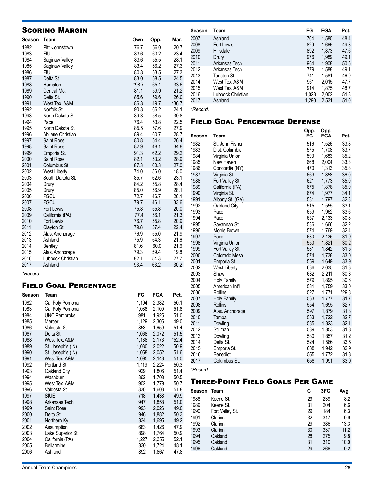| <b>SCORING MARGIN</b> |                      |              |              |              |  |  |
|-----------------------|----------------------|--------------|--------------|--------------|--|--|
| Season                | <b>Team</b>          | Own          | Opp.         | Mar.         |  |  |
| 1982                  | Pitt.-Johnstown      | 76.7         | 56.0         | 20.7         |  |  |
| 1983                  | <b>FIU</b>           | 83.6         | 60.2         | 23.4         |  |  |
| 1984                  | Saginaw Valley       | 83.6         | 55.5         | 28.1         |  |  |
| 1985                  | Saginaw Valley       | 83.4         | 56.2         | 27.3         |  |  |
| 1986                  | <b>FIU</b>           | 80.8         | 53.5         | 27.3         |  |  |
| 1987                  | Delta St.            | 83.0         | 58.5         | 24.5         |  |  |
| 1988                  | Hampton              | $*98.7$      | 65.1         | 33.6         |  |  |
| 1989                  | Central Mo.          | 81.1         | 59.9         | 21.2         |  |  |
| 1990                  | Delta St.            | 85.6         | 59.6         | 26.0         |  |  |
| 1991                  | West Tex, A&M        | 86.3         | 49.7         | $*36.7$      |  |  |
| 1992                  | Norfolk St.          | 90.3         | 66.2         | 24.1         |  |  |
| 1993                  | North Dakota St.     | 89.3         | 58.5         | 30.8         |  |  |
| 1994                  | Pace                 | 76.4         | 53.8         | 22.5         |  |  |
| 1995                  | North Dakota St.     | 85.5         | 57.6         | 27.9         |  |  |
| 1996                  | Abilene Christian    | 89.4         | 60.7         | 28.7         |  |  |
| 1997                  | <b>Saint Rose</b>    | 80.8         | 54.4         | 26.4         |  |  |
| 1998                  | Saint Rose           | 82.9         | 48.1         | 34.8         |  |  |
| 1999                  | Emporia St.          | 91.3         | 62.2         | 29.2         |  |  |
| 2000                  | Saint Rose           | 82.1         | 53.2         | 28.9         |  |  |
| 2001                  | Columbus St.         | 87.3         | 60.3         | 27.0         |  |  |
| 2002                  | <b>West Liberty</b>  | 74.0         | 56.0         | 18.0         |  |  |
| 2003                  | South Dakota St.     | 85.7<br>84.2 | 62.6<br>55.8 | 23.1<br>28.4 |  |  |
| 2004<br>2005          | Drury                | 85.0         | 56.9         | 28.1         |  |  |
| 2006                  | Drury<br><b>FGCU</b> | 72.7         | 46.7         | 26.1         |  |  |
| 2007                  | <b>FGCU</b>          | 79.7         | 46.1         | 33.6         |  |  |
| 2008                  | Fort Lewis           | 75.8         | 55.8         | 20.0         |  |  |
| 2009                  | California (PA)      | 77.4         | 56.1         | 21.3         |  |  |
| 2010                  | <b>Fort Lewis</b>    | 76.7         | 55.8         | 20.9         |  |  |
| 2011                  | Clayton St.          | 79.8         | 57.4         | 22.4         |  |  |
| 2012                  | Alas. Anchorage      | 76.9         | 55.0         | 21.9         |  |  |
| 2013                  | Ashland              | 75.9         | 54.3         | 21.6         |  |  |
| 2014                  | Bentley              | 81.6         | 60.0         | 21.6         |  |  |
| 2015                  | Alas. Anchorage      | 79.3         | 59.4         | 19.8         |  |  |
| 2016                  | Lubbock Christian    | 82.1         | 54.3         | 27.7         |  |  |
| 2017                  | Ashland              | 93.4         | 63.2         | 30.2         |  |  |
|                       |                      |              |              |              |  |  |

## Field Goal Percentage

| Season | Team                | FG    | <b>FGA</b> | Pct.    |
|--------|---------------------|-------|------------|---------|
| 1982   | Cal Poly Pomona     | 1,194 | 2,382      | 50.1    |
| 1983   | Cal Poly Pomona     | 1,088 | 2,100      | 51.8    |
| 1984   | <b>UNC Pembroke</b> | 981   | 1,925      | 51.0    |
| 1985   | Mercer              | 1,129 | 2,305      | 49.0    |
| 1986   | Valdosta St.        | 853   | 1,659      | 51.4    |
| 1987   | Delta St.           | 1,068 | 2,072      | 51.5    |
| 1988   | West Tex. A&M       | 1,138 | 2,173      | $*52.4$ |
| 1989   | St. Joseph's (IN)   | 1,030 | 2,022      | 50.9    |
| 1990   | St. Joseph's (IN)   | 1,058 | 2,052      | 51.6    |
| 1991   | West Tex. A&M       | 1,095 | 2,148      | 51.0    |
| 1992   | Portland St.        | 1,119 | 2,224      | 50.3    |
| 1993   | Oakland City        | 929   | 1,806      | 51.4    |
| 1994   | Washburn            | 862   | 1,708      | 50.5    |
| 1995   | West Tex, A&M       | 902   | 1.779      | 50.7    |
| 1996   | Valdosta St.        | 830   | 1,603      | 51.8    |
| 1997   | <b>SIUE</b>         | 718   | 1,438      | 49.9    |
| 1998   | Arkansas Tech       | 947   | 1,858      | 51.0    |
| 1999   | Saint Rose          | 993   | 2,026      | 49.0    |
| 2000   | Delta St.           | 946   | 1,882      | 50.3    |
| 2001   | Northern Ky.        | 834   | 1,695      | 49.2    |
| 2002   | Assumption          | 683   | 1,426      | 47.9    |
| 2003   | Lake Superior St.   | 898   | 1,764      | 50.9    |
| 2004   | California (PA)     | 1,227 | 2,355      | 52.1    |
| 2005   | <b>Bellarmine</b>   | 830   | 1,724      | 48.1    |
| 2006   | Ashland             | 892   | 1,867      | 47.8    |

| Season | Team              | FG    | FGA   | Pct. |
|--------|-------------------|-------|-------|------|
| 2007   | Ashland           | 764   | 1,580 | 48.4 |
| 2008   | Fort Lewis        | 829   | 1,665 | 49.8 |
| 2009   | Hillsdale         | 892   | 1,873 | 47.6 |
| 2010   | Drury             | 976   | 1.989 | 49.1 |
| 2011   | Arkansas Tech     | 964   | 1,908 | 50.5 |
| 2012   | Arkansas Tech     | 779   | 1.588 | 49.1 |
| 2013   | Tarleton St.      | 741   | 1.581 | 46.9 |
| 2014   | West Tex. A&M     | 961   | 2.015 | 47.7 |
| 2015   | West Tex. A&M     | 914   | 1.875 | 48.7 |
| 2016   | Lubbock Christian | 1,028 | 2,002 | 51.3 |
| 2017   | Ashland           | 1,290 | 2,531 | 51.0 |
|        |                   |       |       |      |

*<sup>\*</sup>Record.*

## Field Goal Percentage Defense

| Season       | Team                     | Opp.<br>FG | Opp.<br>FGA    | Pct.         |
|--------------|--------------------------|------------|----------------|--------------|
| 1982         | St. John Fisher          | 516        | 1,526          | 33.8         |
| 1983         | Dist. Columbia           | 575        | 1,708          | 33.7         |
| 1984         | Virginia Union           | 593        | 1,683          | 35.2         |
| 1985         | New Haven                | 668        | 2,004          | 33.3         |
| 1986         | Concordia (NY)           | 470        | 1,313          | 35.8         |
| 1987         | Virginia St.             | 669        | 1,858          | 36.0         |
| 1988         | Fort Valley St.          | 621        | 1,773          | 35.0         |
| 1989         | California (PA)          | 675        | 1,878          | 35.9         |
| 1990         | Virginia St.             | 674        | 1,977          | 34.1         |
| 1991         | Albany St. (GA)          | 581        | 1,797          | 32.3         |
| 1992         | Oakland City             | 515        | 1,555          | 33.1         |
| 1993         | Pace                     | 659        | 1,962          | 33.6         |
| 1994<br>1995 | Pace<br>Savannah St.     | 657<br>536 | 2,133<br>1,666 | 30.8<br>32.2 |
| 1996         | Morris Brown             | 574        | 1,769          | 32.4         |
| 1997         | Pace                     | 680        | 2,135          | 31.9         |
| 1998         | Virginia Union           | 550        | 1,821          | 30.2         |
| 1999         | Fort Valley St.          | 581        | 1,842          | 31.5         |
| 2000         | Colorado Mesa            | 574        | 1,738          | 33.0         |
| 2001         | Emporia St.              | 559        | 1,649          | 33.9         |
| 2002         | West Liberty             | 636        | 2,035          | 31.3         |
| 2003         | Shaw                     | 682        | 2,211          | 30.8         |
| 2004         | Holy Family              | 579        | 1,895          | 30.6         |
| 2005         | American Int'l           | 581        | 1,759          | 33.0         |
| 2006         | Rollins                  | 527        | 1,771          | $*29.8$      |
| 2007         | Holy Family              | 563        | 1,777          | 31.7         |
| 2008         | Rollins                  | 554        | 1,695          | 32.7         |
| 2009         | Alas. Anchorage          | 597        | 1,879          | 31.8         |
| 2010         | Tampa                    | 563        | 1,722          | 32.7         |
| 2011         | Dowling                  | 585        | 1,823          | 32.1         |
| 2012         | Stillman                 | 589        | 1,853          | 31.8         |
| 2013         | Dowling                  | 580        | 1,857          | 31.2         |
| 2014         | Delta St.                | 524        | 1,566          | 33.5         |
| 2015         | Emporia St.              | 638        | 1,942          | 32.9         |
| 2016         | Benedict<br>Columbus St. | 555<br>658 | 1,772          | 31.3<br>33.0 |
| 2017         |                          |            | 1,991          |              |

*\*Record.*

## Three-Point Field Goals Per Game

| Season | Team            | G  | 3FG | Avg. |
|--------|-----------------|----|-----|------|
| 1988   | Keene St.       | 29 | 239 | 8.2  |
| 1989   | Keene St.       | 31 | 204 | 6.6  |
| 1990   | Fort Valley St. | 29 | 184 | 6.3  |
| 1991   | Clarion         | 32 | 317 | 9.9  |
| 1992   | Clarion         | 29 | 386 | 13.3 |
| 1993   | Clarion         | 30 | 337 | 11.2 |
| 1994   | Oakland         | 28 | 275 | 9.8  |
| 1995   | Oakland         | 31 | 310 | 10.0 |
| 1996   | Oakland         | 29 | 266 | 9.2  |
|        |                 |    |     |      |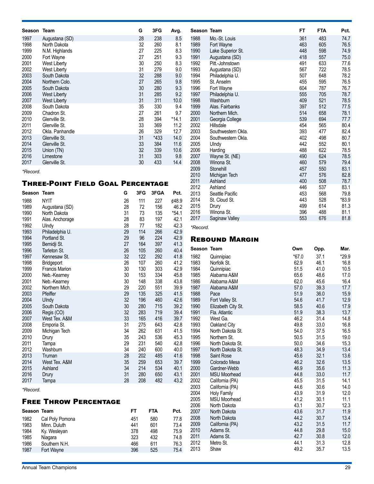| 1997<br>28<br>238<br>1988<br>8.5<br>Augustana (SD)<br>1998<br>32<br>1989<br>North Dakota<br>260<br>8.1<br>1999<br>27<br>8.3<br>1990<br>N.M. Highlands<br>225<br>27<br>9.3<br>1991<br>2000<br>Fort Wayne<br>251<br>30<br>1992<br>2001<br>250<br>8.3<br>West Liberty<br>1993<br>2002<br>31<br><b>West Liberty</b><br>279<br>9.0<br>9.0<br>2003<br>South Dakota<br>32<br>288<br>1994<br>2004<br>27<br>1995<br>265<br>9.8<br>Northern Colo.<br>30<br>1996<br>2005<br>South Dakota<br>280<br>9.3<br>2006<br>31<br>285<br>1997<br><b>West Liberty</b><br>9.2<br>31<br>10.0<br>1998<br>2007<br>311<br>West Liberty<br>South Dakota<br>9.4<br>1999<br>2008<br>35<br>330<br>2009<br>2000<br>27<br>261<br>9.7<br>Chadron St.<br>28<br>$*14.1$<br>2001<br>2010<br>Glenville St.<br>394<br>2002<br>2011<br>Glenville St.<br>33<br>369<br>11.2<br>2003<br>26<br>329<br>2012<br>12.7<br>Okla. Panhandle<br>31<br>*433<br>14.0<br>2004<br>2013<br>Glenville St.<br>2014<br>Glenville St.<br>33<br>384<br>2005<br>11.6<br>2006<br>2015<br>Union (TN)<br>32<br>339<br>10.6<br>31<br>2007<br>2016<br>303<br>9.8<br>Limestone<br>2008<br>Glenville St.<br>433<br>14.4<br>2017<br>30 | Season | Team | G | 3FG | Avg. | <b>Seas</b> |
|------------------------------------------------------------------------------------------------------------------------------------------------------------------------------------------------------------------------------------------------------------------------------------------------------------------------------------------------------------------------------------------------------------------------------------------------------------------------------------------------------------------------------------------------------------------------------------------------------------------------------------------------------------------------------------------------------------------------------------------------------------------------------------------------------------------------------------------------------------------------------------------------------------------------------------------------------------------------------------------------------------------------------------------------------------------------------------------------------------------------------------------------------------------|--------|------|---|-----|------|-------------|
|                                                                                                                                                                                                                                                                                                                                                                                                                                                                                                                                                                                                                                                                                                                                                                                                                                                                                                                                                                                                                                                                                                                                                                  |        |      |   |     |      |             |
|                                                                                                                                                                                                                                                                                                                                                                                                                                                                                                                                                                                                                                                                                                                                                                                                                                                                                                                                                                                                                                                                                                                                                                  |        |      |   |     |      |             |
|                                                                                                                                                                                                                                                                                                                                                                                                                                                                                                                                                                                                                                                                                                                                                                                                                                                                                                                                                                                                                                                                                                                                                                  |        |      |   |     |      |             |
|                                                                                                                                                                                                                                                                                                                                                                                                                                                                                                                                                                                                                                                                                                                                                                                                                                                                                                                                                                                                                                                                                                                                                                  |        |      |   |     |      |             |
|                                                                                                                                                                                                                                                                                                                                                                                                                                                                                                                                                                                                                                                                                                                                                                                                                                                                                                                                                                                                                                                                                                                                                                  |        |      |   |     |      |             |
|                                                                                                                                                                                                                                                                                                                                                                                                                                                                                                                                                                                                                                                                                                                                                                                                                                                                                                                                                                                                                                                                                                                                                                  |        |      |   |     |      |             |
|                                                                                                                                                                                                                                                                                                                                                                                                                                                                                                                                                                                                                                                                                                                                                                                                                                                                                                                                                                                                                                                                                                                                                                  |        |      |   |     |      |             |
|                                                                                                                                                                                                                                                                                                                                                                                                                                                                                                                                                                                                                                                                                                                                                                                                                                                                                                                                                                                                                                                                                                                                                                  |        |      |   |     |      |             |
|                                                                                                                                                                                                                                                                                                                                                                                                                                                                                                                                                                                                                                                                                                                                                                                                                                                                                                                                                                                                                                                                                                                                                                  |        |      |   |     |      |             |
|                                                                                                                                                                                                                                                                                                                                                                                                                                                                                                                                                                                                                                                                                                                                                                                                                                                                                                                                                                                                                                                                                                                                                                  |        |      |   |     |      |             |
|                                                                                                                                                                                                                                                                                                                                                                                                                                                                                                                                                                                                                                                                                                                                                                                                                                                                                                                                                                                                                                                                                                                                                                  |        |      |   |     |      |             |
|                                                                                                                                                                                                                                                                                                                                                                                                                                                                                                                                                                                                                                                                                                                                                                                                                                                                                                                                                                                                                                                                                                                                                                  |        |      |   |     |      |             |
|                                                                                                                                                                                                                                                                                                                                                                                                                                                                                                                                                                                                                                                                                                                                                                                                                                                                                                                                                                                                                                                                                                                                                                  |        |      |   |     |      |             |
|                                                                                                                                                                                                                                                                                                                                                                                                                                                                                                                                                                                                                                                                                                                                                                                                                                                                                                                                                                                                                                                                                                                                                                  |        |      |   |     |      |             |
|                                                                                                                                                                                                                                                                                                                                                                                                                                                                                                                                                                                                                                                                                                                                                                                                                                                                                                                                                                                                                                                                                                                                                                  |        |      |   |     |      |             |
|                                                                                                                                                                                                                                                                                                                                                                                                                                                                                                                                                                                                                                                                                                                                                                                                                                                                                                                                                                                                                                                                                                                                                                  |        |      |   |     |      |             |
|                                                                                                                                                                                                                                                                                                                                                                                                                                                                                                                                                                                                                                                                                                                                                                                                                                                                                                                                                                                                                                                                                                                                                                  |        |      |   |     |      |             |
|                                                                                                                                                                                                                                                                                                                                                                                                                                                                                                                                                                                                                                                                                                                                                                                                                                                                                                                                                                                                                                                                                                                                                                  |        |      |   |     |      |             |
|                                                                                                                                                                                                                                                                                                                                                                                                                                                                                                                                                                                                                                                                                                                                                                                                                                                                                                                                                                                                                                                                                                                                                                  |        |      |   |     |      |             |
|                                                                                                                                                                                                                                                                                                                                                                                                                                                                                                                                                                                                                                                                                                                                                                                                                                                                                                                                                                                                                                                                                                                                                                  |        |      |   |     |      |             |
| nnnn                                                                                                                                                                                                                                                                                                                                                                                                                                                                                                                                                                                                                                                                                                                                                                                                                                                                                                                                                                                                                                                                                                                                                             |        |      |   |     |      |             |

*\*Record.*

## Three-Point Field Goal Percentage

| Season       | <b>Team</b>                  | G        | 3FG        | 3FGA       | Pct.         |
|--------------|------------------------------|----------|------------|------------|--------------|
| 1988         | <b>NYIT</b>                  | 26       | 111        | 227        | ¢48.9        |
| 1989         | Augustana (SD)               | 28       | 72         | 156        | 46.2         |
| 1990         | North Dakota                 | 31       | 73         | 135        | $*54.1$      |
| 1991         | Alas. Anchorage              | 28       | 83         | 197        | 42.1         |
| 1992         | Ulndy                        | 28       | 77         | 182        | 42.3         |
| 1993         | Philadelphia U.              | 29       | 114        | 266        | 42.9         |
| 1994         | Portland St.                 | 29       | 96         | 224        | 42.9         |
| 1995         | Bemidji St.                  | 27       | 164        | 397        | 41.3         |
| 1996         | Tarleton St.                 | 26       | 105        | 260        | 40.4         |
| 1997         | Kennesaw St.                 | 32       | 122        | 292        | 41.8         |
| 1998         | Bridgeport                   | 26       | 107        | 260        | 41.2         |
| 1999         | <b>Francis Marion</b>        | 30       | 130        | 303        | 42.9         |
| 2000         | Neb.-Kearney                 | 30       | 153        | 334        | 45.8         |
| 2001         | Neb.-Kearney                 | 30       | 148        | 338        | 43.8         |
| 2002         | Northern Mich.               | 29       | 220        | 551        | 39.9         |
| 2003<br>2004 | Pfeiffer                     | 29<br>32 | 135<br>196 | 325<br>460 | 41.5<br>42.6 |
| 2005         | Ulndy<br>South Dakota        | 30       | 280        | 715        | 39.2         |
| 2006         | Regis (CO)                   | 32       | 283        | 719        | 39.4         |
| 2007         | West Tex. A&M                | 33       | 165        | 416        | 39.7         |
| 2008         | Emporia St.                  | 31       | 275        | 643        | 42.8         |
| 2009         | Michigan Tech                | 34       | 262        | 631        | 41.5         |
| 2010         | Drury                        | 35       | 243        | 536        | 45.3         |
| 2011         | Tampa                        | 29       | 231        | 540        | 42.8         |
| 2012         | Washburn                     | 34       | 240        | 600        | 40.0         |
| 2013         | Truman                       | 28       | 202        | 485        | 41.6         |
| 2014         | West Tex. A&M                | 35       | 259        | 653        | 39.7         |
| 2015         | Ashland                      | 34       | 214        | 534        | 40.1         |
| 2016         | Drury                        | 31       | 280        | 650        | 43.1         |
| 2017         | Tampa                        | 28       | 208        | 482        | 43.2         |
| *Record.     |                              |          |            |            |              |
|              | <b>FREE THROW PERCENTAGE</b> |          |            |            |              |
| Season Team  |                              |          | <b>FT</b>  | <b>FTA</b> | Pct.         |
| 1982         | Cal Poly Pomona              |          | 451        | 580        | 77.8         |
| 1983         | Minn. Duluth                 |          | 441        | 601        | 73.4         |

1984 Ky. Wesleyan **1984 Ky. Wesleyan** 378 498 75.9 Niagara 323 432 74.8 Southern N.H. 466 611 76.3 1987 Fort Wayne 396 525 75.4

| Season Team  |                          | FT         | <b>FTA</b> | Pct.         |
|--------------|--------------------------|------------|------------|--------------|
| 1988         | Mo.-St. Louis            | 361        | 483        | 74.7         |
| 1989         | Fort Wayne               | 463        | 605        | 76.5         |
| 1990         | Lake Superior St.        | 448        | 598        | 74.9         |
| 1991         | Augustana (SD)           | 418        | 557        | 75.0         |
| 1992         | Pitt.-Johnstown          | 491        | 633        | 77.6         |
| 1993         | Augustana (SD)           | 567        | 722        | 78.5         |
| 1994         | Philadelphia U.          | 507        | 648        | 78.2         |
| 1995         | St. Anselm               | 455        | 595        | 76.5         |
| 1996         | Fort Wayne               | 604        | 787        | 76.7         |
| 1997         | Philadelphia U.          | 555        | 705        | 78.7         |
| 1998         | Washburn                 | 409        | 521        | 78.5         |
| 1999         | Alas, Fairbanks          | 397        | 512        | 77.5         |
| 2000         | Northern Mich.           | 514        | 658        | 78.1         |
| 2001         | Georgia College          | 539        | 694        | 77.7         |
| 2002         | Hillsdale                | 454        | 565        | 80.4         |
| 2003         | Southwestern Okla.       | 393        | 477        | 82.4         |
| 2004         | Southwestern Okla.       | 402        | 498        | 80.7         |
| 2005         | Ulndy                    | 442        | 552        | 80.1         |
| 2006         | Harding                  | 488        | 622        | 78.5         |
| 2007         | Wayne St. (NE)           | 490        | 624        | 78.5         |
| 2008         | Winona St.               | 460        | 579        | 79.4<br>83.1 |
| 2009<br>2010 | Stonehill                | 457<br>477 | 550<br>576 | 82.8         |
| 2011         | Michigan Tech<br>Ashland | 400        | 508        | 78.7         |
| 2012         | Ashland                  | 446        | 537        | 83.1         |
| 2013         | Seattle Pacific          | 453        | 568        | 79.8         |
| 2014         | St. Cloud St.            | 443        | 528        | $*83.9$      |
| 2015         | Drury                    | 499        | 614        | 81.3         |
| 2016         | Winona St.               | 396        | 488        | 81.1         |
| 2017         | Saginaw Valley           | 553        | 676        | 81.8         |
|              |                          |            |            |              |

*\*Record.*

## Rebound Margin

| Season       | Team                                      | Own          | Opp.         | Mar.         |
|--------------|-------------------------------------------|--------------|--------------|--------------|
| 1982         | Quinnipiac                                | $*67.0$      | 37.1         | $*29.9$      |
| 1983         | Norfolk St.                               | 62.9         | 46.1         | 16.8         |
| 1984         | Quinnipiac                                | 51.5         | 41.0         | 10.5         |
| 1985         | Alabama A&M                               | 65.6         | 48.6         | 17.0         |
| 1986         | Alabama A&M                               | 62.0         | 45.6         | 16.4         |
| 1987         | Alabama A&M                               | 57.0         | 39.3         | 17.7         |
| 1988         | Pace                                      | 51.9         | 36.0         | 15.9         |
| 1989         | Fort Valley St.                           | 54.6         | 41.7         | 12.9         |
| 1990         | Elizabeth City St.                        | 58.5         | 40.6         | 17.9         |
| 1991         | Fla. Atlantic                             | 51.9         | 38.3         | 13.7         |
| 1992         | West Ga.                                  | 46.2         | 31.4         | 14.8         |
| 1993         | Oakland City                              | 49.8         | 33.0         | 16.8         |
| 1994         | North Dakota St.                          | 54.0         | 37.5         | 16.5         |
| 1995         | Northern St.                              | 50.5         | 31.5         | 19.0         |
| 1996         | North Dakota St.                          | 50.0         | 34.6         | 15.3         |
| 1997         | North Dakota St.                          | 48.3         | 34.9         | 13.4         |
| 1998         | <b>Saint Rose</b>                         | 45.6         | 32.1         | 13.6         |
| 1999         | Colorado Mesa                             | 46.2         | 32.6         | 13.5         |
| 2000         | Gardner-Webb                              | 46.9         | 35.6         | 11.3         |
| 2001         | <b>MSU Moorhead</b>                       | 44.8         | 33.0         | 11.7         |
| 2002         | California (PA)                           | 45.5<br>44.6 | 31.5         | 14.1         |
| 2003<br>2004 | California (PA)                           | 43.9         | 30.6<br>31.9 | 14.0<br>12.0 |
| 2005         | <b>Holy Family</b><br><b>MSU Moorhead</b> | 41.2         | 30.1         | 11.1         |
| 2006         | North Dakota                              | 43.1         | 30.7         | 12.3         |
| 2007         | North Dakota                              | 43.6         | 31.7         | 11.9         |
| 2008         | North Dakota                              | 44.2         | 30.7         | 13.4         |
| 2009         | California (PA)                           | 43.2         | 31.5         | 11.7         |
| 2010         | Adams St.                                 | 44.8         | 29.8         | 15.0         |
| 2011         | Adams St.                                 | 42.7         | 30.8         | 12.0         |
| 2012         | Metro St.                                 | 44.1         | 31.3         | 12.8         |
| 2013         | Shaw                                      | 49.2         | 35.7         | 13.5         |
|              |                                           |              |              |              |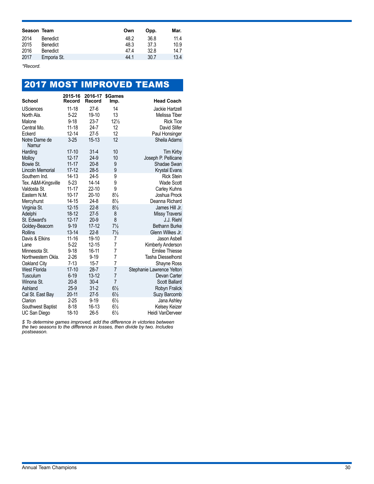| Season Team |                 | Own  | Opp. | Mar. |
|-------------|-----------------|------|------|------|
| 2014        | <b>Benedict</b> | 48.2 | 36.8 | 11.4 |
| 2015        | <b>Benedict</b> | 48.3 | 37.3 | 10.9 |
| 2016        | <b>Benedict</b> | 47.4 | 32.8 | 14.7 |
| 2017        | Emporia St.     | 44.1 | 30.7 | 13.4 |

*\*Record.*

|                         |                   |                   |                        | <b>2017 MOST IMPROVED TEAMS</b> |
|-------------------------|-------------------|-------------------|------------------------|---------------------------------|
| <b>School</b>           | 2015-16<br>Record | 2016-17<br>Record | <b>\$Games</b><br>Imp. | <b>Head Coach</b>               |
| <b>USciences</b>        | $11 - 18$         | $27-6$            | 14                     | Jackie Hartzell                 |
| North Ala.              | $5 - 22$          | 19-10             | 13                     | Melissa Tiber                   |
| Malone                  | $9 - 18$          | $23 - 7$          | $12\frac{1}{2}$        | <b>Rick Tice</b>                |
| Central Mo.             | $11 - 18$         | $24 - 7$          | 12                     | David Slifer                    |
| Eckerd                  | $12 - 14$         | $27 - 5$          | 12                     | Paul Honsinger                  |
| Notre Dame de<br>Namur  | $3 - 25$          | $15 - 13$         | 12                     | Sheila Adams                    |
| Harding                 | $17 - 10$         | $31 - 4$          | 10                     | <b>Tim Kirby</b>                |
| <b>Molloy</b>           | $12 - 17$         | $24-9$            | 10                     | Joseph P. Pellicane             |
| Bowie St.               | $11 - 17$         | $20 - 8$          | 9                      | Shadae Swan                     |
| <b>Lincoln Memorial</b> | $17 - 12$         | $28 - 5$          | 9                      | <b>Krystal Evans</b>            |
| Southern Ind.           | 14-13             | $24 - 5$          | 9                      | <b>Rick Stein</b>               |
| Tex. A&M-Kingsville     | $5 - 23$          | $14 - 14$         | 9                      | <b>Wade Scott</b>               |
| Valdosta St.            | $11 - 17$         | $22 - 10$         | 9                      | Carley Kuhns                    |
| Eastern N.M.            | 10-17             | $20-10$           | $8\frac{1}{2}$         | Joshua Prock                    |
| Mercyhurst              | $14 - 15$         | $24-8$            | $8\frac{1}{2}$         | Deanna Richard                  |
| Virginia St.            | $12 - 15$         | $22 - 8$          | $8\frac{1}{2}$         | James Hill Jr.                  |
| Adelphi                 | 18-12             | $27 - 5$          | 8                      | Missy Traversi                  |
| St. Edward's            | $12 - 17$         | $20 - 9$          | 8                      | J.J. Riehl                      |
| Goldey-Beacom           | $9 - 19$          | $17 - 12$         | $7\frac{1}{2}$         | <b>Bethann Burke</b>            |
| <b>Rollins</b>          | $13 - 14$         | $22 - 8$          | $7\frac{1}{2}$         | Glenn Wilkes Jr.                |
| Davis & Elkins          | $11 - 16$         | 19-10             | 7                      | Jason Asbell                    |
| Lane                    | $5-22$            | $12 - 15$         | 7                      | Kimberly Anderson               |
| Minnesota St.           | $9 - 18$          | 16-11             | 7                      | <b>Emilee Thiesse</b>           |
| Northwestern Okla.      | $2 - 26$          | $9 - 19$          | 7                      | <b>Tasha Diesselhorst</b>       |
| Oakland City            | $7 - 13$          | $15 - 7$          | $\overline{7}$         | Shayne Ross                     |
| <b>West Florida</b>     | $17-10$           | $28 - 7$          | 7                      | Stephanie Lawrence Yelton       |
| Tusculum                | $6 - 19$          | $13 - 12$         | 7                      | Devan Carter                    |
| Winona St.              | $20 - 8$          | $30 - 4$          | $\overline{7}$         | Scott Ballard                   |
| Ashland                 | $25-9$            | $31 - 2$          | $6\frac{1}{2}$         | Robyn Fralick                   |
| Cal St. East Bay        | $20 - 11$         | $27 - 5$          | $6\frac{1}{2}$         | Suzy Barcomb                    |
| Clarion                 | $2 - 25$          | $9 - 19$          | $6\frac{1}{2}$         | Jana Ashley                     |
| Southwest Baptist       | $8-18$            | 16-13             | $6\frac{1}{2}$         | Kelsey Keizer                   |
| UC San Diego            | 18-10             | $26 - 5$          | $6\frac{1}{2}$         | Heidi VanDerveer                |

*\$ To determine games improved, add the difference in victories between the two seasons to the difference in losses, then divide by two. Includes postseason.*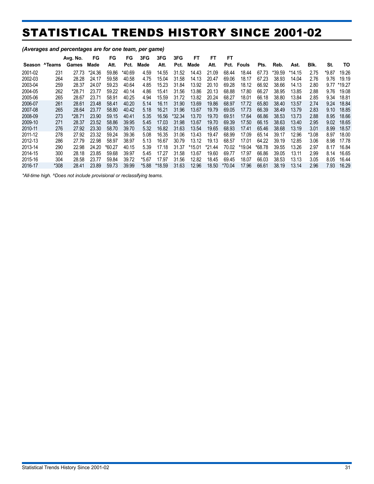# STATISTICAL TRENDS HISTORY SINCE 2001-02

|         |        | Avg. No. | FG     | FG     | FG     | 3FG     | 3FG    | 3FG     | FT    | FT       | FT     |        |        |        |          |         |       |        |
|---------|--------|----------|--------|--------|--------|---------|--------|---------|-------|----------|--------|--------|--------|--------|----------|---------|-------|--------|
| Season  | ^Teams | Games    | Made   | Att.   | Pct.   | Made    | Att.   | Pct.    | Made  | Att.     | Pct.   | Fouls  | Pts.   | Reb.   | Ast.     | Blk.    | St.   | то     |
| 2001-02 | 231    | 27.73    | *24.36 | 59.86  | *40.69 | 4.59    | 14.55  | 31.52   | 14.43 | 21.09    | 68.44  | 18.44  | 67.73  | *39.59 | $*14.15$ | 2.75    | *9.87 | 19.26  |
| 2002-03 | 264    | 28.28    | 24.17  | 59.58  | 40.58  | 4.75    | 15.04  | 31.58   | 14.13 | 20.47    | 69.06  | 18.17  | 67.23  | 38.93  | 14.04    | 2.76    | 9.76  | 19.19  |
| 2003-04 | 259    | 28.37    | 24.07  | 59.23  | 40.64  | 4.85    | 15.23  | 31.84   | 13.92 | 20.10    | 69.28  | 18.12  | 66.92  | 38.66  | 14.13    | 2.80    | 9.77  | *19.27 |
| 2004-05 | 262    | *28.71   | 23.77  | 59.22  | 40.14  | 4.86    | 15.41  | 31.56   | 13.86 | 20.13    | 68.88  | 17.80  | 66.27  | 38.95  | 13.85    | 2.88    | 9.76  | 19.08  |
| 2005-06 | 265    | 28.67    | 23.71  | 58.91  | 40.25  | 4.94    | 15.59  | 31.72   | 13.82 | 20.24    | 68.27  | 18.01  | 66.18  | 38.80  | 13.84    | 2.85    | 9.34  | 18.81  |
| 2006-07 | 261    | 28.61    | 23.48  | 58.41  | 40.20  | 5.14    | 16.11  | 31.90   | 13.69 | 19.86    | 68.97  | 17.72  | 65.80  | 38.40  | 13.57    | 2.74    | 9.24  | 18.84  |
| 2007-08 | 265    | 28.64    | 23.77  | 58.80  | 40.42  | 5.18    | 16.21  | 31.96   | 13.67 | 19.79    | 69.05  | 17.73  | 66.39  | 38.49  | 13.79    | 2.83    | 9.10  | 18.85  |
| 2008-09 | 273    | *28.71   | 23.90  | 59.15  | 40.41  | 5.35    | 16.56  | \$32.34 | 13.70 | 19.70    | 69.51  | 17.64  | 66.86  | 38.53  | 13.73    | 2.88    | 8.95  | 18.66  |
| 2009-10 | 271    | 28.37    | 23.52  | 58.86  | 39.95  | 5.45    | 17.03  | 31.98   | 13.67 | 19.70    | 69.39  | 17.50  | 66.15  | 38.63  | 13.40    | 2.95    | 9.02  | 18.65  |
| 2010-11 | 276    | 27.92    | 23.30  | 58.70  | 39.70  | 5.32    | 16.82  | 31.63   | 13.54 | 19.65    | 68.93  | 17.41  | 65.46  | 38.68  | 13.19    | 3.01    | 8.99  | 18.57  |
| 2011-12 | 278    | 27.92    | 23.32  | 59.24  | 39.36  | 5.08    | 16.35  | 31.06   | 13.43 | 19.47    | 68.99  | 17.09  | 65.14  | 39.17  | 12.96    | $*3.08$ | 8.97  | 18.00  |
| 2012-13 | 286    | 27.79    | 22.98  | 58.97  | 38.97  | 5.13    | 16.67  | 30.79   | 13.12 | 19.13    | 68.57  | 17.01  | 64.22  | 39.19  | 12.85    | 3.06    | 8.98  | 17.78  |
| 2013-14 | 290    | 22.98    | 24.20  | *60.27 | 40.15  | 5.39    | 17.18  | 31.37   | 15.01 | $*21.44$ | 70.02  | *19.04 | *68.78 | 39.55  | 13.26    | 2.97    | 8.17  | 16.84  |
| 2014-15 | 300    | 28.18    | 23.85  | 59.68  | 39.97  | 5.45    | 17.27  | 31.58   | 13.67 | 19.60    | 69.77  | 17.97  | 66.86  | 39.05  | 13.11    | 2.99    | 8.14  | 16.65  |
| 2015-16 | 304    | 28.58    | 23.77  | 59.84  | 39.72  | *5.67   | 17.97  | 31.56   | 12.82 | 18.45    | 69.45  | 18.07  | 66.03  | 38.53  | 13.13    | 3.05    | 8.05  | 16.44  |
| 2016-17 | $*308$ | 28.41    | 23.89  | 59.73  | 39.99  | $*5.88$ | *18.59 | 31.63   | 12.96 | 18.50    | *70.04 | 17.96  | 66.61  | 38.19  | 13.14    | 2.96    | 7.93  | 16.29  |

#### *(Averages and percentages are for one team, per game)*

*\*All-time high. ^Does not include provisional or reclassifying teams.*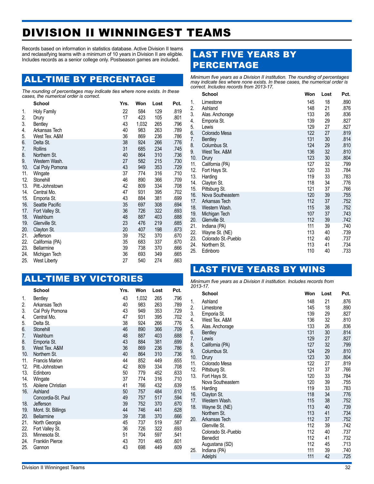# DIVISION II WINNINGEST TEAMS

Records based on information in statistics database. Active Division II teams and reclassifying teams with a minimum of 10 years in Division II are eligible. Includes records as a senior college only. Postseason games are included.

## ALL-TIME BY PERCENTAGE

*The rounding of percentages may indicate ties where none exists. In these cases, the numerical order is correct.*

|     | School            | Yrs. | Won   | Lost | Pct. |
|-----|-------------------|------|-------|------|------|
| 1.  | Holy Family       | 22   | 584   | 129  | .819 |
| 2.  | Drury             | 17   | 423   | 105  | .801 |
| 3.  | <b>Bentley</b>    | 43   | 1,032 | 265  | .796 |
| 4.  | Arkansas Tech     | 40   | 983   | 263  | .789 |
| 5.  | West Tex. A&M     | 36   | 869   | 236  | .786 |
| 6.  | Delta St.         | 38   | 924   | 266  | .776 |
| 7.  | <b>Rollins</b>    | 31   | 685   | 234  | .745 |
| 8.  | Northern St.      | 40   | 864   | 310  | .736 |
| 9.  | Western Wash.     | 27   | 582   | 215  | .730 |
| 10. | Cal Poly Pomona   | 43   | 949   | 353  | .729 |
| 11. | Wingate           | 37   | 774   | 316  | .710 |
| 12. | Stonehill         | 46   | 890   | 366  | .709 |
| 13. | Pitt.-Johnstown   | 42   | 809   | 334  | .708 |
| 14. | Central Mo.       | 47   | 931   | 395  | .702 |
| 15. | Emporia St.       | 43   | 884   | 381  | .699 |
| 16. | Seattle Pacific   | 35   | 697   | 308  | .694 |
| 17. | Fort Valley St.   | 36   | 726   | 322  | .693 |
| 18. | Washburn          | 48   | 887   | 403  | .688 |
| 19. | Glenville St.     | 23   | 476   | 219  | .685 |
| 20. | Clayton St.       | 20   | 407   | 198  | .673 |
| 21. | Jefferson         | 39   | 752   | 370  | .670 |
| 22. | California (PA)   | 35   | 683   | 337  | .670 |
| 23. | <b>Bellarmine</b> | 39   | 738   | 370  | .666 |
| 24. | Michigan Tech     | 36   | 693   | 349  | .665 |
| 25. | West Liberty      | 27   | 540   | 274  | .663 |

## ALL-TIME BY VICTORIES

|     | <b>School</b>          | Yrs. | Won   | Lost | Pct. |
|-----|------------------------|------|-------|------|------|
| 1.  | <b>Bentley</b>         | 43   | 1,032 | 265  | .796 |
| 2.  | Arkansas Tech          | 40   | 983   | 263  | .789 |
| 3.  | Cal Poly Pomona        | 43   | 949   | 353  | .729 |
| 4.  | Central Mo.            | 47   | 931   | 395  | .702 |
| 5.  | Delta St.              | 38   | 924   | 266  | .776 |
| 6.  | Stonehill              | 46   | 890   | 366  | .709 |
| 7.  | Washburn               | 48   | 887   | 403  | .688 |
| 8.  | Emporia St.            | 43   | 884   | 381  | .699 |
| 9.  | West Tex. A&M          | 36   | 869   | 236  | .786 |
| 10. | Northern St.           | 40   | 864   | 310  | .736 |
| 11. | <b>Francis Marion</b>  | 44   | 852   | 449  | .655 |
| 12. | Pitt.-Johnstown        | 42   | 809   | 334  | .708 |
| 13. | Edinboro               | 50   | 779   | 452  | .633 |
| 14. | Wingate                | 37   | 774   | 316  | .710 |
| 15. | Abilene Christian      | 41   | 766   | 432  | .639 |
| 16. | Ashland                | 50   | 757   | 484  | .610 |
|     | Concordia-St. Paul     | 49   | 757   | 517  | .594 |
| 18. | Jefferson              | 39   | 752   | 370  | .670 |
| 19. | Mont. St. Billings     | 44   | 746   | 441  | .628 |
| 20. | <b>Bellarmine</b>      | 39   | 738   | 370  | .666 |
| 21. | North Georgia          | 45   | 737   | 519  | .587 |
| 22. | Fort Valley St.        | 36   | 726   | 322  | .693 |
| 23. | Minnesota St.          | 51   | 704   | 597  | .541 |
| 24. | <b>Franklin Pierce</b> | 43   | 701   | 465  | .601 |
| 25. | Gannon                 | 43   | 698   | 449  | .609 |

## LAST FIVE YEARS BY PERCENTAGE

*Minimum five years as a Division II institution. The rounding of percentages may indicate ties where none exists. In these cases, the numerical order is correct. Includes records from 2013-17.*

|     | <b>School</b>       | Won | Lost | Pct. |
|-----|---------------------|-----|------|------|
| 1.  | Limestone           | 145 | 18   | .890 |
| 2.  | Ashland             | 148 | 21   | .876 |
| 3.  | Alas. Anchorage     | 133 | 26   | .836 |
| 4.  | Emporia St.         | 139 | 29   | .827 |
| 5.  | Lewis               | 129 | 27   | .827 |
| 6.  | Colorado Mesa       | 122 | 27   | .819 |
| 7.  | <b>Bentley</b>      | 131 | 30   | .814 |
| 8.  | Columbus St.        | 124 | 29   | .810 |
| 9.  | West Tex. A&M       | 136 | 32   | .810 |
| 10. | Drury               | 123 | 30   | .804 |
| 11. | California (PA)     | 127 | 32   | .799 |
| 12. | Fort Hays St.       | 120 | 33   | .784 |
| 13. | Harding             | 119 | 33   | .783 |
| 14. | Clayton St.         | 118 | 34   | .776 |
| 15. | Pittsburg St.       | 121 | 37   | .766 |
| 16. | Nova Southeastern   | 120 | 39   | .755 |
| 17. | Arkansas Tech       | 112 | 37   | .752 |
| 18. | Western Wash.       | 115 | 38   | .752 |
| 19. | Michigan Tech       | 107 | 37   | .743 |
| 20. | Glenville St.       | 112 | 39   | .742 |
| 21. | Indiana (PA)        | 111 | 39   | .740 |
| 22. | Wayne St. (NE)      | 113 | 40   | .739 |
| 23. | Colorado St.-Pueblo | 112 | 40   | .737 |
| 24. | Northern St.        | 113 | 41   | .734 |
| 25. | Edinboro            | 110 | 40   | .733 |
|     |                     |     |      |      |

## LAST FIVE YEARS BY WINS

*Minimum five years as a Division II institution. Includes records from* 

| 2013-17. |                                      |            |          |              |
|----------|--------------------------------------|------------|----------|--------------|
|          | <b>School</b>                        | Won        | Lost     | Pct.         |
| 1.       | Ashland                              | 148        | 21       | .876         |
| 2.       | Limestone                            | 145        | 18       | .890         |
| 3.       | Emporia St.                          | 139        | 29       | .827         |
| 4.       | West Tex. A&M                        | 136        | 32       | .810         |
| 5.<br>6. | Alas. Anchorage<br><b>Bentley</b>    | 133<br>131 | 26<br>30 | .836<br>.814 |
| 7.       | Lewis                                | 129        | 27       | .827         |
| 8.       | California (PA)                      | 127        | 32       | .799         |
| 9.       | Columbus St.                         | 124        | 29       | .810         |
| 10.      | Drury                                | 123        | 30       | .804         |
| 11.      | Colorado Mesa                        | 122        | 27       | .819         |
| 12.      | Pittsburg St.                        | 121        | 37       | .766         |
| 13.      | Fort Hays St.<br>Nova Southeastern   | 120<br>120 | 33<br>39 | .784<br>.755 |
| 15.      | Harding                              | 119        | 33       | .783         |
| 16.      | Clayton St.                          | 118        | 34       | .776         |
| 17.      | Western Wash.                        | 115        | 38       | .752         |
| 18.      | Wayne St. (NE)                       | 113        | 40       | .739         |
|          | Northern St.                         | 113        | 41       | .734         |
| 20.      | Arkansas Tech                        | 112        | 37       | .752         |
|          | Glenville St.<br>Colorado St.-Pueblo | 112<br>112 | 39<br>40 | .742<br>.737 |
|          | <b>Benedict</b>                      | 112        | 41       | .732         |
|          | Augustana (SD)                       | 112        | 45       | .713         |
| 25.      | Indiana (PA)                         | 111        | 39       | .740         |
|          | Adelphi                              | 111        | 42       | .725         |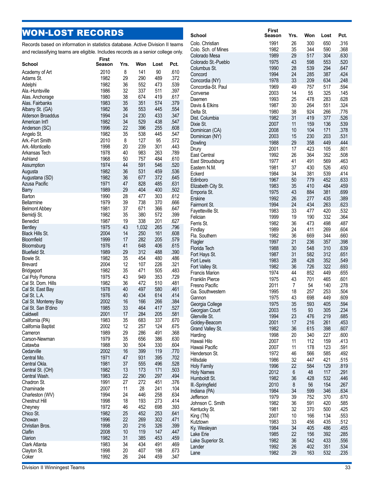## WON -LOST RECORDS

Records based on information in statistics database. Active Division II teams and reclassifying teams are eligible. Includes records as a senior college only.

| School                                | <b>First</b><br>Season | Yrs.     | Won        | Lost       | Pct.         | uuu<br>Colo    |
|---------------------------------------|------------------------|----------|------------|------------|--------------|----------------|
| Academy of Art                        | 2010                   | 8        | 141        | 90         | .610         | Colu           |
| Adams St.                             | 1982                   | 29       | 290        | 489        | .372         | Con            |
| Adelphi                               | 1982                   | 36       | 552        | 473        | .539         | Con            |
| Ala.-Huntsville                       | 1986                   | 32       | 337        | 511        | .397         | Con            |
| Alas. Anchorage                       | 1980                   | 38       | 674        | 419        | .617         | Con            |
| Alas. Fairbanks                       | 1983                   | 35       | 351        | 574        | .379         | Daer           |
| Albany St. (GA)                       | 1982                   | 36       | 553        | 445        | .554         | Davi           |
| Alderson Broaddus                     | 1994                   | 24       | 230        | 433        | .347         | Delta<br>Dist. |
| American Int'l                        | 1982                   | 34       | 529        | 438        | .547         | Dixie          |
| Anderson (SC)                         | 1996                   | 22       | 396        | 255        | .608         | Dom            |
| Angelo St.                            | 1982                   | 35       | 538        | 445        | .547         | Dom            |
| Ark.-Fort Smith                       | 2010                   | 8        | 127        | 95         | .572         | Dow            |
| Ark.-Monticello                       | 1998                   | 20       | 239        | 301        | .443         | Drur           |
| Arkansas Tech                         | 1978                   | 40       | 983        | 263        | .789         | East           |
| Ashland                               | 1968                   | 50       | 757        | 484        | .610         | East           |
| Assumption                            | 1974                   | 44       | 591        | 546        | .520         | East           |
| Augusta                               | 1982                   | 36       | 531        | 459        | .536         | Ecke           |
| Augustana (SD)                        | 1982                   | 36       | 677        | 372        | .645         | Edin           |
| <b>Azusa Pacific</b>                  | 1971                   | 47<br>29 | 828        | 485        | .631         | Eliza          |
| Barry<br>Barton                       | 1989                   | 28       | 404<br>477 | 400<br>303 | .502<br>.612 | Emp            |
| Bellarmine                            | 1990<br>1979           | 39       | 738        | 370        | .666         | Ersk           |
| <b>Belmont Abbey</b>                  | 1981                   | 37       | 671        | 366        | .647         | Fairr          |
| Bemidji St.                           | 1982                   | 35       | 380        | 572        | .399         | Faye           |
| Benedict                              | 1987                   | 19       | 338        | 201        | .627         | Felic          |
| <b>Bentley</b>                        | 1975                   | 43       | 1,032      | 265        | .796         | Ferri          |
| <b>Black Hills St.</b>                | 2004                   | 14       | 250        | 161        | .608         | Find           |
| Bloomfield                            | 1999                   | 17       | 282        | 205        | .579         | Fla.           |
| Bloomsburg                            | 1976                   | 41       | 648        | 406        | .615         | Flag<br>Flori  |
| <b>Bluefield St.</b>                  | 1989                   | 29       | 312        | 488        | .390         | Fort           |
| Bowie St.                             | 1982                   | 35       | 454        | 480        | .486         | Fort           |
| <b>Brevard</b>                        | 2004                   | 12       | 107        | 226        | .321         | Fort           |
| Bridgeport                            | 1982                   | 35       | 471        | 505        | .483         | Fran           |
| Cal Poly Pomona                       | 1975                   | 43       | 949        | 353        | .729         | Fran           |
| Cal St. Dom. Hills                    | 1982                   | 36       | 472        | 510        | .481         | Fres           |
| Cal St. East Bay                      | 1978                   | 40       | 497        | 580        | .461         | Ga.            |
| Cal St. L.A.                          | 1976                   | 40       | 434        | 614        | .414         | Ganı           |
| Cal St. Monterey Bay                  | 2002                   | 16       | 166        | 266        | .384         | Geo            |
| Cal St. San B'dino                    | 1985                   | 33       | 464        | 417        | .527         | Geo            |
| Caldwell                              | 2001<br>1983           | 17<br>35 | 284<br>683 | 205<br>337 | .581<br>.670 | Glen           |
| California (PA)<br>California Baptist | 2002                   | 12       | 257        | 124        | .675         | Gold           |
| Cameron                               | 1989                   | 29       | 286        | 491        | .368         | Grar           |
| Carson-Newman                         | 1979                   | 35       | 656        | 386        | .630         | Hard           |
| Catawba                               | 1988                   | 30       | 504        | 330        | .604         | Haw            |
| Cedarville                            | 2002                   | 16       | 399        | 119        | .770         | Haw            |
| Central Mo.                           | 1971                   | 47       | 931        | 395        | .702         | Hen            |
| Central Okla.                         | 1981                   | 37       | 555        | 496        | .528         | <b>Hills</b>   |
| Central St. (OH)                      | 1982                   | 13       | 173        | 171        | .503         | Holy<br>Holy   |
| Central Wash.                         | 1983                   | 22       | 290        | 297        | .494         | Hum            |
| Chadron St.                           | 1991                   | 27       | 272        | 451        | .376         | $III.-S$       |
| Chaminade                             | 2007                   | 11       | 28         | 241        | .104         | India          |
| Charleston (WV)                       | 1994                   | 24       | 446        | 258        | .634         | Jeffe          |
| Chestnut Hill                         | 1998                   | 18       | 193        | 273        | .414         | Johr           |
| Cheyney                               | 1972                   | 46       | 452        | 698        | .393         | Kent           |
| Chico St.                             | 1982                   | 25       | 452        | 253        | .641         | King           |
| Chowan                                | 1996                   | 22       | 269        | 302        | .471         | Kutz           |
| Christian Bros.                       | 1998                   | 20       | 216        | 326        | .399         | Ky. V          |
| Claflin                               | 2008                   | 10       | 119        | 147        | .447         | Lake           |
| Clarion                               | 1982                   | 31       | 385        | 453        | .459         | Lake           |
| Clark Atlanta                         | 1983                   | 34       | 434        | 491        | .469         | Land           |
| Clayton St.<br>Coker                  | 1998<br>1992           | 20<br>26 | 407<br>244 | 198<br>459 | .673<br>.347 | Lane           |
|                                       |                        |          |            |            |              |                |

|                                      | First        |          |            |            |              |
|--------------------------------------|--------------|----------|------------|------------|--------------|
| School                               | Season       | Yrs.     | Won        | Lost       | Pct.         |
| Colo. Christian                      | 1991         | 26       | 300        | 650        | .316         |
| Colo. Sch. of Mines                  | 1982         | 35       | 344        | 590        | .368         |
| Colorado Mesa                        | 1989         | 29       | 517        | 304        | .630         |
| Colorado St.-Pueblo                  | 1975         | 43       | 598        | 553        | .520         |
| Columbus St.                         | 1990         | 28       | 539        | 294        | .647         |
| Concord                              | 1994<br>1978 | 24<br>33 | 285<br>209 | 387<br>634 | .424<br>.248 |
| Concordia (NY)<br>Concordia-St. Paul | 1969         | 49       | 757        | 517        | .594         |
| Converse                             | 2003         | 14       | 55         | 325        | .145         |
| Daemen                               | 1993         | 25       | 478        | 283        | .628         |
| Davis & Elkins                       | 1987         | 30       | 264        | 551        | .324         |
| Delta St.                            | 1980         | 38       | 924        | 266        | .776         |
| Dist. Columbia                       | 1982         | 31       | 419        | 377        | .526         |
| Dixie St.                            | 2007         | 11       | 159        | 136        | .539         |
| Dominican (CA)                       | 2008         | 10       | 104        | 171        | .378         |
| Dominican (NY)                       | 2003         | 15       | 230        | 203        | .531         |
| Dowling                              | 1988         | 29       | 358        | 449        | .444         |
| Drury                                | 2001         | 17       | 423        | 105        | .801         |
| East Central                         | 1992         | 26       | 364        | 352        | .508         |
| East Stroudsburg                     | 1977         | 41       | 491        | 569        | .463         |
| Eastern N.M.                         | 1981         | 37       | 430        | 526        | .450         |
| Eckerd                               | 1984         | 34       | 381        | 539        | .414         |
| Edinboro                             | 1967         | 50       | 779        | 452        | .633         |
| Elizabeth City St.                   | 1983         | 35       | 410        | 484        | .459         |
| Emporia St.                          | 1975         | 43       | 884        | 381        | .699         |
| <b>Erskine</b><br>Fairmont St.       | 1992<br>1994 | 26<br>24 | 277<br>434 | 435<br>263 | .389<br>.623 |
| Fayetteville St.                     | 1983         | 33       | 477        | 420        | .532         |
| Felician                             | 1999         | 19       | 190        | 332        | .364         |
| Ferris St.                           | 1982         | 36       | 473        | 498        | .487         |
| Findlay                              | 1989         | 24       | 411        | 269        | .604         |
| Fla. Southern                        | 1982         | 36       | 669        | 344        | .660         |
| Flagler                              | 1997         | 21       | 236        | 357        | .398         |
| Florida Tech                         | 1988         | 30       | 548        | 310        | .639         |
| Fort Hays St.                        | 1987         | 31       | 582        | 312        | .651         |
| Fort Lewis                           | 1983         | 28       | 428        | 352        | .549         |
| Fort Valley St.                      | 1982         | 36       | 726        | 322        | .693         |
| <b>Francis Marion</b>                | 1974         | 44       | 852        | 449        | .655         |
| <b>Franklin Pierce</b>               | 1975         | 43       | 701        | 465        | .601         |
| Fresno Pacific                       | 2011         | 7        | 54         | 140        | .278         |
| Ga. Southwestern                     | 1995         | 18       | 257        | 253        | .504         |
| Gannon                               | 1975         | 43       | 698        | 449        | .609         |
| Georgia College                      | 1975         | 35       | 593        | 405        | .594<br>.234 |
| Georgian Court<br>Glenville St.      | 2003<br>1994 | 15<br>23 | 93<br>476  | 305<br>219 | .685         |
| Goldey-Beacom                        | 2001         | 17       | 216        | 261        | .453         |
| Grand Valley St.                     | 1982         | 36       | 615        | 398        | .607         |
| Harding                              | 1998         | 20       | 340        | 227        | .600         |
| Hawaii Hilo                          | 2007         | 11       | 112        | 159        | .413         |
| Hawaii Pacific                       | 2007         | 11       | 178        | 123        | .591         |
| Henderson St.                        | 1972         | 46       | 566        | 585        | .492         |
| Hillsdale                            | 1986         | 32       | 447        | 421        | .515         |
| <b>Holy Family</b>                   | 1996         | 22       | 584        | 129        | .819         |
| <b>Holy Names</b>                    | 2012         | 6        | 48         | 117        | .291         |
| Humboldt St.                         | 1982         | 36       | 428        | 532        | .446         |
| III.-Springfield                     | 2010         | 8        | 56         | 154        | .267         |
| Indiana (PA)                         | 1984         | 34       | 599        | 346        | .634         |
| Jefferson                            | 1979         | 39       | 752        | 370        | .670         |
| Johnson C. Smith                     | 1982         | 36       | 591        | 420        | .585         |
| Kentucky St.                         | 1981         | 32       | 370        | 500        | .425         |
| King (TN)<br>Kutztown                | 2007<br>1983 | 10<br>33 | 166<br>456 | 134<br>435 | .553<br>.512 |
| Ky. Wesleyan                         | 1984         | 34       | 405        | 486        | .455         |
| Lake Erie                            | 1985         | 22       | 156        | 392        | .285         |
| Lake Superior St.                    | 1982         | 36       | 542        | 433        | .556         |
| Lander                               | 1992         | 26       | 402        | 351        | .534         |
| Lane                                 | 1982         | 29       | 163        | 532        | .235         |
|                                      |              |          |            |            |              |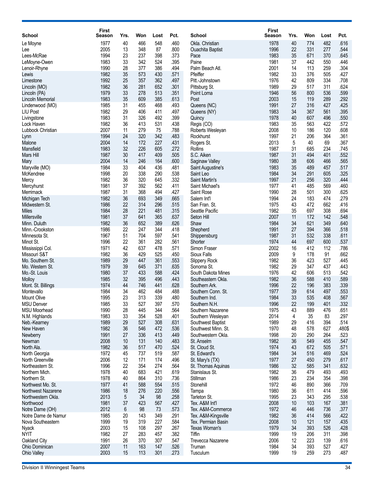|                                   | <b>First</b>  |          |            |            |              |                                            | <b>First</b> |          |            |            |              |
|-----------------------------------|---------------|----------|------------|------------|--------------|--------------------------------------------|--------------|----------|------------|------------|--------------|
| <b>School</b>                     | <b>Season</b> | Yrs.     | Won        | Lost       | Pct.         | <b>School</b>                              | Season       | Yrs.     | Won        | Lost       | Pct.         |
| Le Moyne                          | 1977          | 40       | 466        | 548        | .460         | Okla, Christian                            | 1978         | 40       | 774        | 482        | .616         |
| Lee                               | 2005          | 13       | 348        | 87         | .800         | <b>Ouachita Baptist</b>                    | 1996         | 22       | 331        | 277        | .544         |
| Lees-McRae                        | 1994          | 23       | 237        | 398        | .373         | Pace                                       | 1983         | 35       | 671        | 370        | .645         |
| LeMoyne-Owen                      | 1983<br>1990  | 33       | 342<br>377 | 524<br>386 | .395         | Paine                                      | 1981<br>2001 | 37<br>14 | 442        | 550        | .446<br>.304 |
| Lenoir-Rhyne                      | 1982          | 28<br>35 | 573        | 430        | .494<br>.571 | Palm Beach Atl.<br>Pfeiffer                | 1982         | 33       | 113<br>376 | 259<br>505 | .427         |
| Lewis<br>Limestone                | 1992          | 25       | 357        | 362        | .497         | Pitt.-Johnstown                            | 1976         | 42       | 809        | 334        | .708         |
| Lincoln (MO)                      | 1982          | 36       | 281        | 652        | .301         | Pittsburg St.                              | 1989         | 29       | 517        | 311        | .624         |
| Lincoln (PA)                      | 1979          | 33       | 278        | 513        | .351         | Point Loma                                 | 1946         | 56       | 800        | 536        | .599         |
| Lincoln Memorial                  | 1983          | 35       | 609        | 385        | .613         | Post                                       | 2003         | 15       | 119        | 289        | .292         |
| Lindenwood (MO)                   | 1985          | 31       | 455        | 468        | .493         | Queens (NC)                                | 1991         | 27       | 316        | 427        | .425         |
| <b>LIU Post</b>                   | 1982          | 29       | 406        | 411        | .497         | Queens (NY)                                | 1983         | 34       | 367        | 561        | .395         |
| Livingstone                       | 1983          | 31       | 326        | 492        | .399         | Quincy                                     | 1978         | 40       | 607        | 496        | .550         |
| Lock Haven                        | 1982          | 36       | 413        | 531        | .438         | Regis (CO)                                 | 1983         | 35       | 563        | 422        | .572         |
| Lubbock Christian                 | 2007          | 11       | 279        | 75         | .788         | Roberts Wesleyan                           | 2008         | 10       | 186        | 120        | .608         |
| Lynn                              | 1994          | 24       | 320        | 342        | .483         | Rockhurst                                  | 1997         | 21       | 206        | 364        | .361         |
| <b>Malone</b>                     | 2004<br>1983  | 14<br>32 | 172<br>226 | 227<br>605 | .431<br>.272 | Rogers St.<br>Rollins                      | 2013<br>1987 | 5<br>31  | 40<br>685  | 69         | .367<br>.745 |
| Mansfield<br>Mars Hill            | 1987          | 30       | 417        | 409        | .505         | S.C. Aiken                                 | 1987         | 31       | 494        | 234<br>401 | .552         |
| Mary                              | 2004          | 14       | 246        | 164        | .600         | Saginaw Valley                             | 1980         | 38       | 606        | 466        | .565         |
| Maryville (MO)                    | 1984          | 33       | 404        | 436        | .481         | Saint Augustine's                          | 1983         | 35       | 489        | 457        | .517         |
| McKendree                         | 1998          | 20       | 338        | 290        | .538         | Saint Leo                                  | 1984         | 34       | 291        | 605        | .325         |
| Mercy                             | 1982          | 36       | 320        | 645        | .332         | Saint Martin's                             | 1997         | 21       | 256        | 320        | .444         |
| Mercyhurst                        | 1981          | 37       | 392        | 562        | .411         | Saint Michael's                            | 1977         | 41       | 485        | 569        | .460         |
| Merrimack                         | 1987          | 31       | 368        | 494        | .427         | Saint Rose                                 | 1990         | 28       | 501        | 300        | .625         |
| Michigan Tech                     | 1982          | 36       | 693        | 349        | .665         | Salem Int'l                                | 1994         | 24       | 183        | 474        | .279         |
| Midwestern St.                    | 1986          | 22       | 314        | 296        | .515         | San Fran, St.                              | 1975         | 43       | 472        | 662        | .416         |
| Miles                             | 1984          | 28       | 221        | 481        | .315         | Seattle Pacific                            | 1982         | 35       | 697        | 308        | .694         |
| <b>Millersville</b>               | 1981<br>1982  | 37<br>36 | 641        | 365        | .637<br>.626 | Seton Hill                                 | 2007<br>1984 | 11<br>34 | 172<br>621 | 142<br>349 | .548<br>.640 |
| Minn. Duluth<br>Minn.-Crookston   | 1986          | 22       | 652<br>247 | 389<br>344 | .418         | Shaw<br>Shepherd                           | 1991         | 27       | 394        | 366        | .518         |
| Minnesota St.                     | 1967          | 51       | 704        | 597        | .541         | Shippensburg                               | 1987         | 31       | 532        | 338        | .611         |
| Minot St.                         | 1996          | 22       | 361        | 282        | .561         | Shorter                                    | 1974         | 44       | 697        | 600        | .537         |
| Mississippi Col.                  | 1971          | 42       | 637        | 478        | .571         | Simon Fraser                               | 2002         | 16       | 412        | 112        | .786         |
| Missouri S&T                      | 1982          | 36       | 429        | 525        | .450         | Sioux Falls                                | 2009         | 9        | 178        | 91         | .662         |
| Mo. Southern St.                  | 1989          | 29       | 447        | 361        | .553         | Slippery Rock                              | 1982         | 36       | 423        | 527        | .445         |
| Mo. Western St.                   | 1979          | 39       | 645        | 371        | .635         | Sonoma St.                                 | 1982         | 29       | 347        | 437        | .443         |
| Mo.-St. Louis                     | 1980          | 37       | 433        | 588        | .424         | South Dakota Mines                         | 1976         | 42       | 606        | 513        | .542         |
| <b>Molloy</b>                     | 1985          | 32       | 395        | 496        | .443         | Southeastern Okla.                         | 1982         | 36       | 588        | 410        | .589         |
| Mont. St. Billings<br>Montevallo  | 1974<br>1984  | 44<br>34 | 746<br>462 | 441<br>484 | .628<br>.488 | Southern Ark.<br>Southern Conn. St.        | 1996<br>1977 | 22<br>39 | 196<br>614 | 383<br>497 | .339<br>.553 |
| <b>Mount Olive</b>                | 1995          | 23       | 313        | 339        | .480         | Southern Ind                               | 1984         | 33       | 535        | 408        | 567          |
| <b>MSU Denver</b>                 | 1985          | 33       | 527        | 397        | .570         | Southern N.H.                              | 1996         | 22       | 199        | 401        | .332         |
| <b>MSU Moorhead</b>               | 1990          | 28       | 445        | 344        | .564         | Southern Nazarene                          | 1975         | 43       | 889        | 476        | .651         |
| N.M. Highlands                    | 1983          | 33       | 354        | 528        | .401         | Southern Wesleyan                          | 2014         | 4        | 35         | 83         | .297         |
| Neb.-Kearney                      | 1989          | 29       | 527        | 308        | .631         | Southwest Baptist                          | 1989         | 29       | 416        | 394        | .514         |
| New Haven                         | 1982          | 36       | 546        | 472        | .536         | Southwest Minn. St.                        | 1970         | 48       | 578        | 627        | .480\$       |
| Newberry                          | 1991          | 27       | 336        | 413        | .449         | Southwestern Okla.                         | 1998         | 20       | 290        | 264        | .523         |
| Newman                            | 2008          | 10       | 131        | 140        | .483         | St. Anselm                                 | 1982         | 36       | 549        | 455        | .547         |
| North Ala.                        | 1982<br>1972  | 36       | 517<br>737 | 470        | .524<br>.587 | St. Cloud St.<br>St. Edward's              | 1974<br>1984 | 43<br>34 | 672<br>516 | 505<br>469 | .571<br>.524 |
| North Georgia<br>North Greenville | 2006          | 45<br>12 | 171        | 519<br>174 | .496         | St. Mary's (TX)                            | 1977         | 27       | 450        | 279        | .617         |
| Northeastern St.                  | 1996          | 22       | 354        | 274        | .564         | St. Thomas Aquinas                         | 1986         | 32       | 585        | 341        | .632         |
| Northern Mich.                    | 1978          | 40       | 683        | 421        | .619         | Stanislaus St.                             | 1982         | 36       | 479        | 493        | .493         |
| Northern St.                      | 1978          | 40       | 864        | 310        | .736         | Stillman                                   | 1986         | 23       | 234        | 354        | .398         |
| Northwest Mo. St.                 | 1977          | 41       | 588        | 554        | .515         | Stonehill                                  | 1972         | 46       | 890        | 366        | .709         |
| Northwest Nazarene                | 1986          | 18       | 276        | 220        | .556         | Tampa                                      | 1980         | 36       | 611        | 414        | .596         |
| Northwestern Okla.                | 2013          | 5        | 34         | 98         | .258         | Tarleton St.                               | 1995         | 23       | 343        | 295        | .538         |
| Northwood                         | 1981          | 37       | 423        | 567        | .427         | Tex. A&M Int'l                             | 2008         | 10       | 103        | 167        | .381         |
| Notre Dame (OH)                   | 2012          | 6        | 98         | 73         | .573         | Tex. A&M-Commerce                          | 1972         | 46       | 446        | 736        | .377         |
| Notre Dame de Namur               | 1985<br>1999  | 20       | 143        | 349        | .291<br>.584 | Tex. A&M-Kingsville                        | 1982<br>2008 | 36       | 414<br>121 | 566        | .422         |
| Nova Southeastern<br>Nyack        | 2003          | 19<br>15 | 319<br>108 | 227<br>297 | .267         | Tex. Permian Basin<br><b>Texas Woman's</b> | 1979         | 10<br>34 | 393        | 157<br>526 | .435<br>.428 |
| <b>NYIT</b>                       | 1982          | 27       | 283        | 457        | .382         | Tiffin                                     | 1999         | 19       | 206        | 311        | .398         |
| Oakland City                      | 1991          | 26       | 370        | 307        | .547         | Trevecca Nazarene                          | 2006         | 12       | 223        | 139        | .616         |
| Ohio Dominican                    | 2007          | 11       | 163        | 147        | .526         | Truman                                     | 1984         | 34       | 393        | 527        | .427         |
| Ohio Valley                       | 2003          | 15       | 113        | 301        | .273         | Tusculum                                   | 1999         | 19       | 259        | 273        | .487         |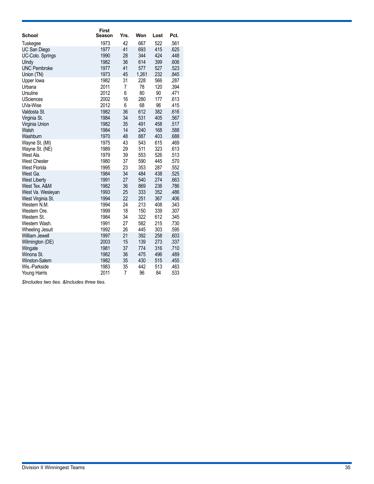| School               | <b>First</b><br>Season | Yrs.           | Won   | Lost | Pct. |
|----------------------|------------------------|----------------|-------|------|------|
|                      |                        |                |       |      |      |
| Tuskegee             | 1973                   | 42             | 667   | 522  | .561 |
| UC San Diego         | 1977                   | 41             | 693   | 415  | .625 |
| UC-Colo. Springs     | 1990                   | 28             | 344   | 424  | .448 |
| Ulndy                | 1982                   | 36             | 614   | 399  | .606 |
| <b>UNC Pembroke</b>  | 1977                   | 41             | 577   | 527  | .523 |
| Union (TN)           | 1973                   | 45             | 1,261 | 232  | .845 |
| Upper lowa           | 1982                   | 31             | 228   | 566  | .287 |
| Urbana               | 2011                   | 7              | 78    | 120  | .394 |
| Ursuline             | 2012                   | 6              | 80    | 90   | .471 |
| <b>USciences</b>     | 2002                   | 16             | 280   | 177  | .613 |
| UVa-Wise             | 2012                   | 6              | 68    | 96   | .415 |
| Valdosta St.         | 1982                   | 36             | 612   | 382  | .616 |
| Virginia St.         | 1984                   | 34             | 531   | 405  | .567 |
| Virginia Union       | 1982                   | 35             | 491   | 458  | .517 |
| Walsh                | 1984                   | 14             | 240   | 168  | .588 |
| Washburn             | 1970                   | 48             | 887   | 403  | .688 |
| Wayne St. (MI)       | 1975                   | 43             | 543   | 615  | .469 |
| Wayne St. (NE)       | 1989                   | 29             | 511   | 323  | .613 |
| West Ala.            | 1979                   | 39             | 553   | 526  | .513 |
| <b>West Chester</b>  | 1980                   | 37             | 590   | 445  | .570 |
| <b>West Florida</b>  | 1995                   | 23             | 353   | 287  | .552 |
| West Ga.             | 1984                   | 34             | 484   | 438  | .525 |
| <b>West Liberty</b>  | 1991                   | 27             | 540   | 274  | .663 |
| West Tex. A&M        | 1982                   | 36             | 869   | 236  | .786 |
| West Va. Wesleyan    | 1993                   | 25             | 333   | 352  | .486 |
| West Virginia St.    | 1994                   | 22             | 251   | 367  | .406 |
| Western N.M.         | 1994                   | 24             | 213   | 408  | .343 |
| Western Ore.         | 1999                   | 18             | 150   | 339  | .307 |
| Western St.          | 1984                   | 34             | 322   | 612  | .345 |
| Western Wash.        | 1991                   | 27             | 582   | 215  | .730 |
| Wheeling Jesuit      | 1992                   | 26             | 445   | 303  | .595 |
| William Jewell       | 1997                   | 21             | 392   | 258  | .603 |
| Wilmington (DE)      | 2003                   | 15             | 139   | 273  | .337 |
| Wingate              | 1981                   | 37             | 774   | 316  | .710 |
| Winona St.           | 1982                   | 36             | 475   | 496  | .489 |
| <b>Winston-Salem</b> | 1982                   | 35             | 430   | 515  | .455 |
| Wis.-Parkside        | 1983                   | 35             | 442   | 513  | .463 |
| Young Harris         | 2011                   | $\overline{7}$ | 96    | 84   | .533 |

*\$Includes two ties. &Includes three ties.*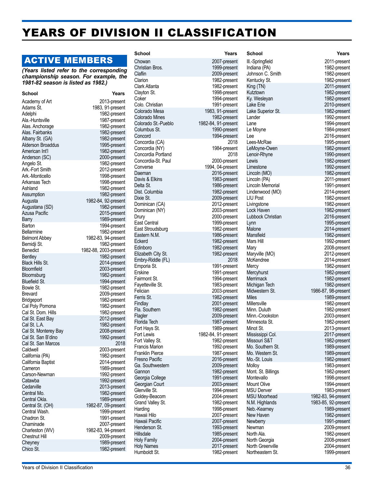## YEARS OF DIVISION II CLASSIFICATION

## ACTIVE MEMBERS

*(Years listed refer to the corresponding championship season. For example, the 1981-82 season is listed as 1982.)*

| School                   | Years                 |
|--------------------------|-----------------------|
| Academy of Art           | 2013-present          |
| Adams St.                | 1983, 91-present      |
| Adelphi                  | 1982-present          |
| Ala.-Huntsville          | 1987-present          |
| Alas. Anchorage          | 1982-present          |
| Alas, Fairbanks          | 1982-present          |
| Albany St. (GA)          | 1982-present          |
| <b>Alderson Broaddus</b> | 1995-present          |
| American Int'l           | 1982-present          |
| Anderson (SC)            | 2000-present          |
| Angelo St.               | 1982-present          |
| Ark.-Fort Smith          | 2012-present          |
| Ark.-Monticello          | 1998-present          |
| Arkansas Tech            | 1998-present          |
| Ashland                  | 1982-present          |
| Assumption               | 1982-present          |
| Augusta                  | 1982-84, 92-present   |
| Augustana (SD)           | 1982-present          |
| <b>Azusa Pacific</b>     | 2015-present          |
| Barry                    | 1989-present          |
| Barton                   | 1994-present          |
| <b>Bellarmine</b>        | 1982-present          |
| <b>Belmont Abbey</b>     | 1982-83, 94-present   |
| Bemidji St.              | 1982-present          |
| <b>Benedict</b>          | 1982-88, 2003-present |
| <b>Bentley</b>           | 1982-present          |
| <b>Black Hills St.</b>   | 2014-present          |
| Bloomfield               | 2003-present          |
| Bloomsburg               | 1982-present          |
| <b>Bluefield St.</b>     | 1994-present          |
| Bowie St.                | 1982-present          |
| <b>Brevard</b>           | 2009-present          |
| Bridgeport               | 1982-present          |
| Cal Poly Pomona          | 1982-present          |
| Cal St. Dom. Hills       | 1982-present          |
| Cal St. East Bay         | 2012-present          |
| Cal St. L.A.             | 1982-present          |
| Cal St. Monterey Bay     | 2008-present          |
| Cal St. San B'dino       | 1992-present          |
| Cal St. San Marcos       | 2018                  |
| Caldwell                 | 2003-present          |
| California (PA)          | 1982-present          |
| California Baptist       | 2014-present          |
| Cameron                  | 1989-present          |
| Carson-Newman            | 1992-present          |
| Catawba                  | 1992-present          |
| Cedarville               | 2013-present          |
| Central Mo.              | 1982-present          |
| Central Okla.            | 1989-present          |
| Central St. (OH)         | 1982-87, 09-present   |
| Central Wash.            | 1999-present          |
| Chadron St.              | 1991-present          |
| Chaminade                | 2007-present          |
| Charleston (WV)          | 1982-83, 94-present   |
| <b>Chestnut Hill</b>     | 2009-present          |
| Cheyney                  | 1989-present          |
| Chico St.                | 1982-present          |
|                          |                       |

| School                           | Years                               |
|----------------------------------|-------------------------------------|
| Chowan                           | 2007-present                        |
| Christian Bros.                  | 1999-present                        |
| Claflin                          | 2009-present                        |
| Clarion                          | 1982-present                        |
| Clark Atlanta                    | 1982-present                        |
| Clayton St.                      | 1998-present                        |
| Coker                            | 1994-present                        |
| Colo. Christian                  | 1991-present                        |
| Colorado Mesa                    | 1983, 91-present                    |
| <b>Colorado Mines</b>            | 1982-present                        |
| Colorado St.-Pueblo              | 1982-84, 91-present                 |
| Columbus St.                     | 1990-present                        |
| Concord                          | 1994-present<br>2018                |
| Concordia (CA)<br>Concordia (NY) |                                     |
| Concordia Portland               | 1984-present<br>2018                |
| Concordia-St. Paul               | 2000-present                        |
| Converse                         | 1994, 04-present                    |
| Daeman                           | 2016-present                        |
| Davis & Elkins                   | 1983-present                        |
| Delta St.                        | 1986-present                        |
| Dist. Columbia                   | 1982-present                        |
| Dixie St.                        | 2009-present                        |
| Dominican (CA)                   | 2012-present                        |
| Dominican (NY)                   | 2003-present                        |
| Drury                            | 2000-present                        |
| East Central                     | 1999-present                        |
| East Stroudsburg                 | 1982-present                        |
| Eastern N.M.                     | 1986-present                        |
| Eckerd                           | 1982-present                        |
| Edinboro                         | 1982-present                        |
| Elizabeth City St.               | 1982-present                        |
| Embry-Riddle (FL)                | 2018                                |
| Emporia St.                      | 1991-present                        |
| Erskine                          | 1991-present                        |
| Fairmont St.                     | 1994-present                        |
| Fayetteville St.                 | 1983-present                        |
| Felician                         | 2003-present                        |
| Ferris St.                       | 1982-present                        |
| Findlay                          | 2001-present                        |
| Fla. Southern                    | 1982-present                        |
| Flagler                          | 2009-present                        |
| Florida Tech                     | 1987-present                        |
| Fort Hays St.                    | 1989-present                        |
| Fort Lewis<br>Fort Valley St.    | 1982-84, 91-present<br>1982-present |
| <b>Francis Marion</b>            | 1992-present                        |
| <b>Franklin Pierce</b>           | 1987-present                        |
| Fresno Pacific                   | 2016-present                        |
| Ga. Southwestern                 | 2009-present                        |
| Gannon                           | 1982-present                        |
| Georgia College                  | 1991-present                        |
| Georgian Court                   | 2003-present                        |
| Glenville St.                    | 1994-present                        |
| Goldey-Beacom                    | 2004-present                        |
| Grand Valley St.                 | 1982-present                        |
| Harding                          | 1998-present                        |
| Hawaii Hilo                      | 2007-present                        |
| Hawaii Pacific                   | 2007-present                        |
| Henderson St.                    | 1993-present                        |
| Hillsdale                        | 1985-present                        |
| <b>Holy Family</b>               | 2004-present                        |
| <b>Holy Names</b>                | 2017-present                        |
| Humboldt St.                     | 1982-present                        |

1982-present 1994-present<br>2018 2009-present 2003-present 1999-present 1982-present 2003-present 2004-present 1998-present

**School Years** Ill.-Springfield 2011-present Indiana (PA) 1982-present<br>
Johnson C. Smith 1982-present Johnson C. Smith Kentucky St. 1982-present King (TN) 2011-present<br>Kutztown 1982-present 1982-present<br>1982-present Ky. Wesleyan<br>Lake Erie 2010-present Lake Superior St. 1982-present 1992-present Lane 1994-present 1984-present Lee 2016-present<br>Lees-McRae 2016-present 1995-present LeMoyne-Owen 1982-present Lenoir-Rhyne 1990-present Lewis 1982-present<br>
Limestone 1992-present Limestone 1992-present<br>
Lincoln (MO) 1982-present Lincoln (MO) 1982-present<br>
Lincoln (PA) 1982-present 2011-present<br>1991-present Lincoln Memorial Lindenwood (MO) 2014-present LIU Post 1982-present Livingstone 1982-present 1982-present Lubbock Christian 2016-present Lynn 1995-present Malone 2014-present<br>Mansfield 2014-present 2014-present Mansfield 1982-present<br>Mars Hill 1992-present 1992-present Mary 2008-present Maryville (MO) 2012-present<br>
McKendree 2014-present 2014-present Mercy<br>
Mercyhurst 1982-present<br>
1982-present Mercyhurst 1982-present<br>Merrimack 1982-present 1982-present Michigan Tech 1982-present<br>Midwestern St. 1986-87, 98-present 1986-87, 98-present Miles 1989-present<br>Millersville 1982-present 1982-present Minn. Duluth 1982-present Minn.-Crookston 2003-present Minnesota St. 1982-present<br>Minot St 1982-present 2013-present Mississippi Col. 2017-present<br>Missouri S&T 1982-present Missouri S&T 1982-present<br>Mo. Southern St. 1989-present Mo. Southern St. 1989-present<br>Mo. Western St. 1989-present Mo. Western St. 1989-present<br>Mo.-St. Louis 1982-present Mo.-St. Louis Molloy 1983-present<br>Mont. St. Billings 1982-present Mont. St. Billings Montevallo 1998-present 1994-present MSU Denver 1983-present<br>MSU Moorhead 1982-83, 94-present MSU Moorhead 1982-83, 94-present<br>N.M. Highlands 1983-85, 92-present N.M. Highlands 1983-85, 92-present<br>Neb.-Kearney 1989-present 1989-present New Haven 1982-present 1991-present Newman 2009-present North Ala.<br>
North Georgia<br>
2008-present North Georgia North Greenville<br>
Northeastern St. 1999-present Northeastern St.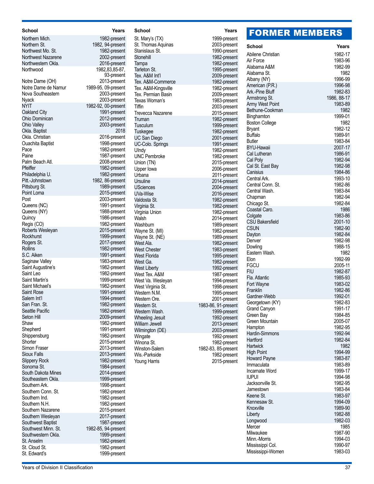| School                                   | Years                               |
|------------------------------------------|-------------------------------------|
| Northern Mich.                           | 1982-present                        |
| Northern St.                             | 1982, 94-present                    |
| Northwest Mo. St.                        | 1982-present                        |
| Northwest Nazarene<br>Northwestern Okla. | 2002-present<br>2016-present        |
| Northwood                                | 1982,83,85-87,                      |
|                                          | 93-present                          |
| Notre Dame (OH)                          | 2013-present                        |
| Notre Dame de Namur                      | 1989-95, 09-present                 |
| Nova Southeastern                        | 2003-present                        |
| Nyack                                    | 2003-present                        |
| nyit                                     | 1982-92, 00-present<br>1991-present |
| Oakland City<br>Ohio Dominican           | 2012-present                        |
| <b>Ohio Valley</b>                       | 2003-present                        |
| Okla. Baptist                            | 2018                                |
| Okla. Christian                          | 2016-present                        |
| <b>Ouachita Baptist</b>                  | 1998-present                        |
| Pace                                     | 1982-present                        |
| Paine                                    | 1987-present                        |
| Palm Beach Atl.<br>Pfeiffer              | 2008-present                        |
| Philadelphia U.                          | 1982-present<br>1982-present        |
| Pitt.-Johnstown                          | 1982, 86-present                    |
| Pittsburg St.                            | 1989-present                        |
| Point Loma                               | 2015-present                        |
| Post                                     | 2003-present                        |
| Queens (NC)                              | 1991-present                        |
| Queens (NY)                              | 1988-present                        |
| Quincy                                   | 1986-present                        |
| Regis (CO)<br>Roberts Wesleyan           | 1982-present<br>2015-present        |
| Rockhurst                                | 1999-present                        |
| Rogers St.                               | 2017-present                        |
| Rollins                                  | 1982-present                        |
| S.C. Aiken                               | 1991-present                        |
| Saginaw Valley                           | 1983-present                        |
| Saint Augustine's                        | 1982-present                        |
| Saint Leo                                | 1982-present                        |
| Saint Martin's<br>Saint Michael's        | 1999-present<br>1982-present        |
| Saint Rose                               | 1991-present                        |
| Salem Int'l                              | 1994-present                        |
| San Fran. St.                            | 1982-present                        |
| Seattle Pacific                          | 1982-present                        |
| Seton Hill                               | 2009-present                        |
| Shaw                                     | 1982-present                        |
| Shepherd<br>Shippensburg                 | 1991-present<br>1982-present        |
| Shorter                                  | 2015-present                        |
| Simon Fraser                             | 2013-present                        |
| <b>Sioux Falls</b>                       | 2013-present                        |
| Slippery Rock                            | 1982-present                        |
| Sonoma St.                               | 1984-present                        |
| South Dakota Mines                       | 2014-present                        |
| Southeastern Okla.                       | 1999-present                        |
| Southern Ark.<br>Southern Conn. St.      | 1998-present<br>1982-present        |
| Southern Ind.                            | 1982-present                        |
| Southern N.H.                            | 1982-present                        |
| Southern Nazarene                        | 2015-present                        |
| Southern Wesleyan                        | 2017-present                        |
| Southwest Baptist                        | 1987-present                        |
| Southwest Minn. St.                      | 1982-85, 94-present                 |
| Southwestern Okla.                       | 1999-present                        |
| St. Anselm<br>St. Cloud St.              | 1982-present<br>1982-present        |
| St. Edward's                             | 1999-present                        |
|                                          |                                     |

| School                   | Years               |
|--------------------------|---------------------|
| St. Mary's (TX)          | 1999-present        |
| St. Thomas Aquinas       | 2003-present        |
| Stanislaus St.           | 1990-present        |
| Stonehill                | 1982-present        |
| Tampa                    | 1982-present        |
| Tarleton St.             | 1995-present        |
| Tex. A&M Int'l           | 2009-present        |
| Tex. A&M-Commerce        |                     |
| Tex. A&M-Kingsville      | 1982-present        |
|                          | 1982-present        |
| Tex. Permian Basin       | 2009-present        |
| Texas Woman's            | 1983-present        |
| Tiffin                   | 2003-present        |
| <b>Trevecca Nazarene</b> | 2015-present        |
| Truman                   | 1982-present        |
| Tusculum                 | 1999-present        |
| Tuskegee                 | 1982-present        |
| UC San Diego             | 2001-present        |
| UC-Colo. Springs         | 1991-present        |
| Ulndy                    | 1982-present        |
| <b>UNC Pembroke</b>      | 1982-present        |
| Union (TN)               | 2015-present        |
| Upper lowa               | 2006-present        |
| Urbana                   | 2011-present        |
| Ursuline                 | 2014-present        |
| USciences                | 2004-present        |
| UVa-Wise                 | 2016-present        |
| Valdosta St.             | 1982-present        |
| Virginia St.             | 1982-present        |
| Virginia Union           | 1982-present        |
| Walsh                    | 2014-present        |
| Washburn                 | 1989-present        |
| Wayne St. (MI)           | 1982-present        |
| Wayne St. (NE)           | 1989-present        |
| West Ala.                | 1982-present        |
| <b>West Chester</b>      | 1983-present        |
| <b>West Florida</b>      | 1995-present        |
| West Ga.                 | 1982-present        |
| <b>West Liberty</b>      | 1992-present        |
| West Tex. A&M            | 1987-present        |
| West Va. Wesleyan        | 1994-present        |
| West Virginia St.        | 1998-present        |
| Western N.M.             | 1995-present        |
| Western Ore.             | 2001-present        |
| Western St.              | 1983-86, 91-present |
| Western Wash.            | 1999-present        |
| <b>Wheeling Jesuit</b>   | 1992-present        |
| William Jewell           | 2013-present        |
| Wilmington (DE)          | 2003-present        |
| Wingate                  | 1992-present        |
| Winona St.               | 1982-present        |
| Winston-Salem            | 1982-83, 85-present |
| Wis.-Parkside            | 1982-present        |
| Young Harris             | 2015-present        |
|                          |                     |
|                          |                     |
|                          |                     |
|                          |                     |
|                          |                     |

## FORMER MEMBERS

| School                            | Years                  |
|-----------------------------------|------------------------|
| Abilene Christian                 | 1982-17                |
| Air Force                         | 1983-96                |
| Alabama A&M                       | 1982-99                |
| Alabama St.                       | 1982                   |
| Albany (NY)                       | 1996-99                |
| American (P.R.)                   | 1996-98                |
| Ark.-Pine Bluff                   | 1982-83                |
| Armstrong St.<br>Army West Point  | 1986, 88-17<br>1983-89 |
| Bethune-Cookman                   | 1982                   |
| Binghamton                        | 1999-01                |
| <b>Boston College</b>             | 1982                   |
| <b>Bryant</b>                     | 1982-12                |
| Buffalo                           | 1989-91                |
| Butler                            | 1983-84                |
| <b>BYU-Hawaii</b>                 | 2007-17                |
| Cal Lutheran                      | 1986-91                |
| Cal Poly<br>Cal St. East Bay      | 1982-94<br>1982-98     |
| Canisius                          | 1984-86                |
| Central Ark.                      | 1993-10                |
| Central Conn. St.                 | 1982-86                |
| Central Wash.                     | 1983-84                |
| Chapman                           | 1982-94                |
| Chicago St.                       | 1982-84                |
| Coastal Caro.                     | 1986                   |
| Colgate                           | 1983-86                |
| <b>CSU Bakersfield</b>            | 2001-10                |
| <b>CSUN</b><br>Dayton             | 1982-90<br>1982-84     |
| Denver                            | 1982-98                |
| Dowling                           | 1988-15                |
| Eastern Wash.                     | 1982                   |
| Elon                              | 1992-99                |
| <b>FGCU</b>                       | 2005-11                |
| <b>FIU</b>                        | 1982-87                |
| Fla. Atlantic                     | 1985-93                |
| Fort Wayne                        | 1983-02                |
| Franklin<br>Gardner-Webb          | 1982-86<br>1992-01     |
| Georgetown (KY)                   | 1982-83                |
| Grand Canyon                      | 1991-17                |
| Green Bay                         | 1984-85                |
| Green Mountain                    | 2005-07                |
| Hampton                           | 1982-95                |
| Hardin-Simmons                    | 1992-94                |
| Hartford                          | 1982-84                |
| Hartwick                          | 1982                   |
| <b>High Point</b>                 | 1994-99                |
| <b>Howard Payne</b><br>Immaculata | 1983-87<br>1983-89     |
| Incarnate Word                    | 1999-17                |
| iupui                             | 1994-98                |
| Jacksonville St.                  | 1982-95                |
| Jamestown                         | 1983-84                |
| Keene St.                         | 1983-97                |
| Kennesaw St.                      | 1994-09                |
| Knoxville                         | 1989-90                |
| Liberty                           | 1982-88                |
| Longwood<br>Mercer                | 1982-03<br>1985        |
| Milwaukee                         | 1987-90                |
| Minn.-Morris                      | 1994-03                |
| Mississippi Col.                  | 1990-97                |
| Mississippi-Women                 | 1983-03                |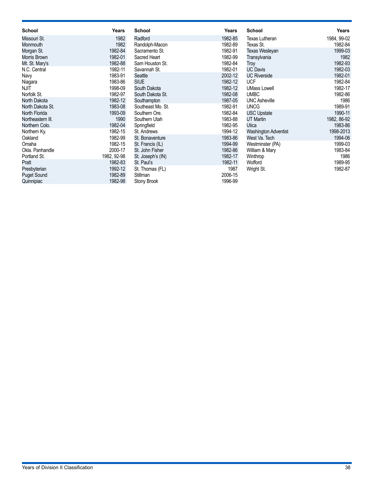| School             | Years       | School            | Years   | <b>School</b>         | Years       |
|--------------------|-------------|-------------------|---------|-----------------------|-------------|
| Missouri St.       | 1982        | Radford           | 1982-85 | <b>Texas Lutheran</b> | 1984, 99-02 |
| Monmouth           | 1982        | Randolph-Macon    | 1982-89 | Texas St.             | 1982-84     |
| Morgan St.         | 1982-84     | Sacramento St.    | 1982-91 | Texas Wesleyan        | 1999-03     |
| Morris Brown       | 1982-01     | Sacred Heart      | 1982-99 | Transylvania          | 1982        |
| Mt. St. Mary's     | 1982-88     | Sam Houston St.   | 1982-84 | Troy                  | 1982-93     |
| N.C. Central       | 1982-11     | Savannah St.      | 1982-01 | <b>UC Davis</b>       | 1982-03     |
| Navy               | 1983-91     | Seattle           | 2002-12 | <b>UC Riverside</b>   | 1982-01     |
| Niagara            | 1983-86     | <b>SIUE</b>       | 1982-12 | <b>UCF</b>            | 1982-84     |
| NJIT               | 1998-09     | South Dakota      | 1982-12 | <b>UMass Lowell</b>   | 1982-17     |
| Norfolk St.        | 1982-97     | South Dakota St.  | 1982-08 | <b>UMBC</b>           | 1982-86     |
| North Dakota       | 1982-12     | Southampton       | 1987-05 | <b>UNC Asheville</b>  | 1986        |
| North Dakota St.   | 1983-08     | Southeast Mo. St. | 1982-91 | <b>UNCG</b>           | 1989-91     |
| North Florida      | 1993-09     | Southern Ore.     | 1982-84 | <b>USC Upstate</b>    | 1990-11     |
| Northeastern III.  | 1990        | Southern Utah     | 1983-88 | <b>UT Martin</b>      | 1982, 86-92 |
| Northern Colo.     | 1982-04     | Springfield       | 1982-95 | Utica                 | 1983-86     |
| Northern Ky.       | 1982-15     | St. Andrews       | 1994-12 | Washington Adventist  | 1998-2013   |
| Oakland            | 1982-99     | St. Bonaventure   | 1983-86 | West Va. Tech         | 1994-06     |
| Omaha              | 1982-15     | St. Francis (IL)  | 1994-99 | Westminster (PA)      | 1999-03     |
| Okla, Panhandle    | 2000-17     | St. John Fisher   | 1982-86 | William & Mary        | 1983-84     |
| Portland St.       | 1982, 92-98 | St. Joseph's (IN) | 1982-17 | Winthrop              | 1986        |
| Pratt              | 1982-83     | St. Paul's        | 1982-11 | Wofford               | 1989-95     |
| Presbyterian       | 1992-12     | St. Thomas (FL)   | 1987    | Wright St.            | 1982-87     |
| <b>Puget Sound</b> | 1982-89     | Stillman          | 2006-15 |                       |             |
| Quinnipiac         | 1982-98     | Stony Brook       | 1996-99 |                       |             |